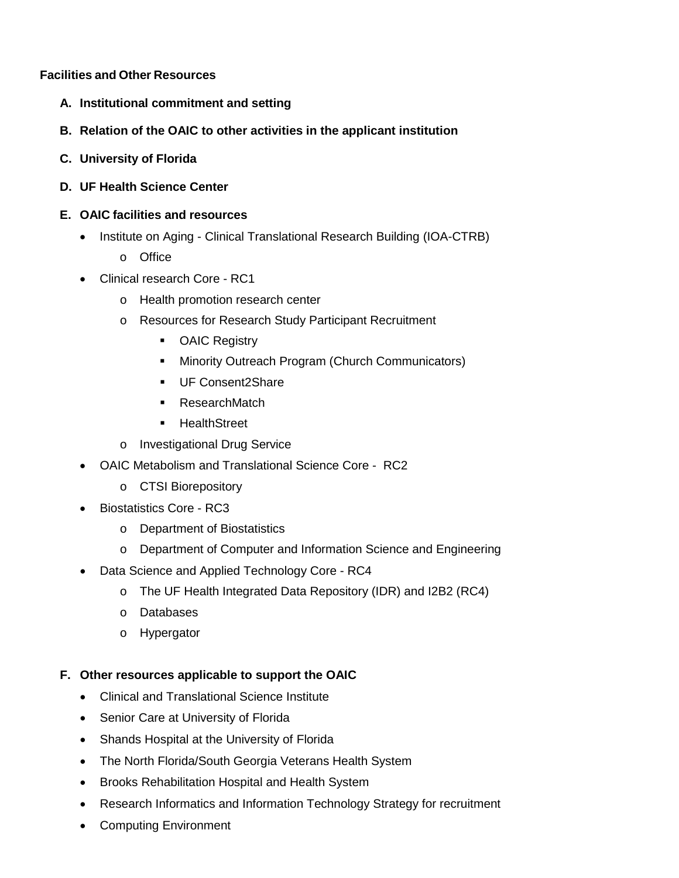## **Facilities and Other Resources**

- **A. Institutional commitment and setting**
- **B. Relation of the OAIC to other activities in the applicant institution**
- **C. University of Florida**
- **D. UF Health Science Center**
- **E. OAIC facilities and resources**
	- Institute on Aging Clinical Translational Research Building (IOA-CTRB)
		- o Office
	- Clinical research Core RC1
		- o Health promotion research center
		- o Resources for Research Study Participant Recruitment
			- **-** OAIC Registry
			- **Minority Outreach Program (Church Communicators)**
			- **UF Consent2Share**
			- **ResearchMatch**
			- **-** HealthStreet
		- o Investigational Drug Service
	- OAIC Metabolism and Translational Science Core RC2
		- o CTSI Biorepository
	- Biostatistics Core RC3
		- o Department of Biostatistics
		- o Department of Computer and Information Science and Engineering
	- Data Science and Applied Technology Core RC4
		- o The UF Health Integrated Data Repository (IDR) and I2B2 (RC4)
		- o Databases
		- o Hypergator

## **F. Other resources applicable to support the OAIC**

- Clinical and Translational Science Institute
- Senior Care at University of Florida
- Shands Hospital at the University of Florida
- The North Florida/South Georgia Veterans Health System
- Brooks Rehabilitation Hospital and Health System
- Research Informatics and Information Technology Strategy for recruitment
- Computing Environment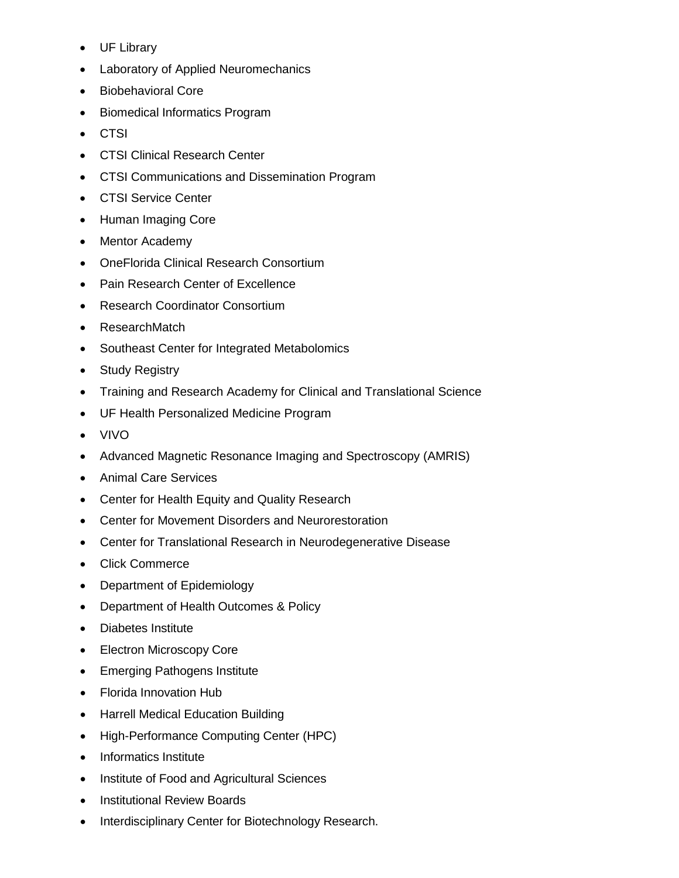- UF Library
- Laboratory of Applied Neuromechanics
- Biobehavioral Core
- Biomedical Informatics Program
- CTSI
- CTSI Clinical Research Center
- CTSI Communications and Dissemination Program
- CTSI Service Center
- Human Imaging Core
- Mentor Academy
- OneFlorida Clinical Research Consortium
- Pain Research Center of Excellence
- Research Coordinator Consortium
- ResearchMatch
- Southeast Center for Integrated Metabolomics
- Study Registry
- Training and Research Academy for Clinical and Translational Science
- UF Health Personalized Medicine Program
- VIVO
- Advanced Magnetic Resonance Imaging and Spectroscopy (AMRIS)
- Animal Care Services
- Center for Health Equity and Quality Research
- Center for Movement Disorders and Neurorestoration
- Center for Translational Research in Neurodegenerative Disease
- Click Commerce
- Department of Epidemiology
- Department of Health Outcomes & Policy
- Diabetes Institute
- Electron Microscopy Core
- Emerging Pathogens Institute
- Florida Innovation Hub
- Harrell Medical Education Building
- High-Performance Computing Center (HPC)
- Informatics Institute
- Institute of Food and Agricultural Sciences
- Institutional Review Boards
- Interdisciplinary Center for Biotechnology Research.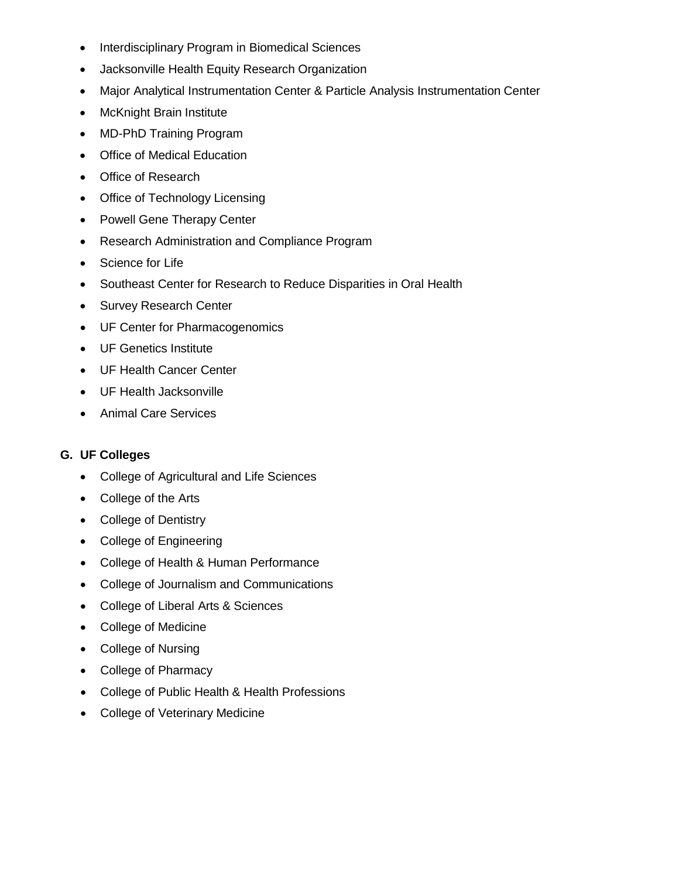- Interdisciplinary Program in Biomedical Sciences
- Jacksonville Health Equity Research Organization
- Major Analytical Instrumentation Center & Particle Analysis Instrumentation Center
- McKnight Brain Institute
- MD-PhD Training Program
- Office of Medical Education
- Office of Research
- Office of Technology Licensing
- Powell Gene Therapy Center
- Research Administration and Compliance Program
- Science for Life
- Southeast Center for Research to Reduce Disparities in Oral Health
- Survey Research Center
- UF Center for Pharmacogenomics
- UF Genetics Institute
- UF Health Cancer Center
- UF Health Jacksonville
- Animal Care Services

## **G. UF Colleges**

- College of Agricultural and Life Sciences
- College of the Arts
- College of Dentistry
- College of Engineering
- College of Health & Human Performance
- College of Journalism and Communications
- College of Liberal Arts & Sciences
- College of Medicine
- College of Nursing
- College of Pharmacy
- College of Public Health & Health Professions
- College of Veterinary Medicine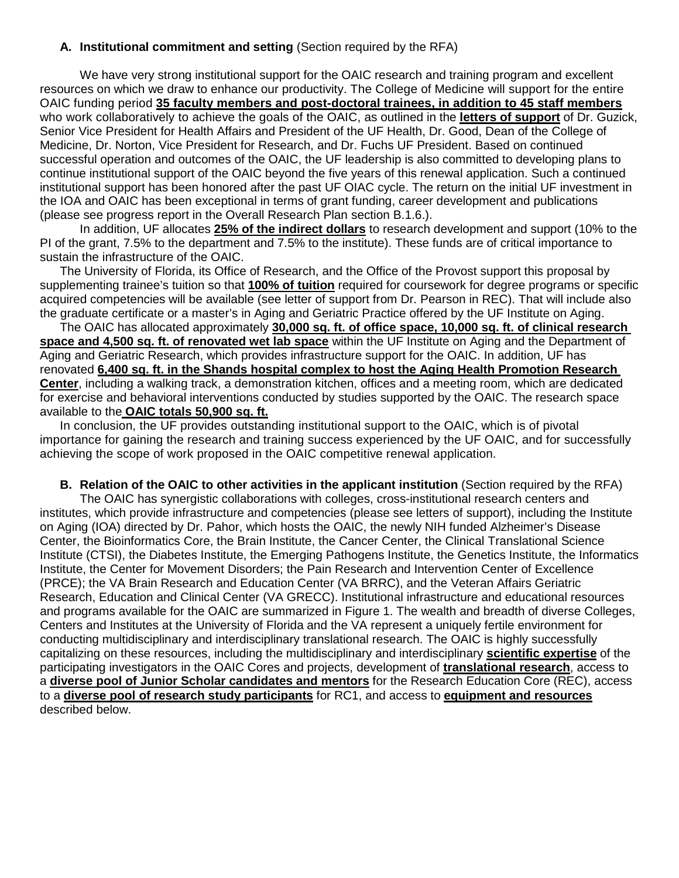## **A. Institutional commitment and setting** (Section required by the RFA)

We have very strong institutional support for the OAIC research and training program and excellent resources on which we draw to enhance our productivity. The College of Medicine will support for the entire OAIC funding period **35 faculty members and post-doctoral trainees, in addition to 45 staff members** who work collaboratively to achieve the goals of the OAIC, as outlined in the **letters of support** of Dr. Guzick, Senior Vice President for Health Affairs and President of the UF Health, Dr. Good, Dean of the College of Medicine, Dr. Norton, Vice President for Research, and Dr. Fuchs UF President. Based on continued successful operation and outcomes of the OAIC, the UF leadership is also committed to developing plans to continue institutional support of the OAIC beyond the five years of this renewal application. Such a continued institutional support has been honored after the past UF OIAC cycle. The return on the initial UF investment in the IOA and OAIC has been exceptional in terms of grant funding, career development and publications (please see progress report in the Overall Research Plan section B.1.6.).

In addition, UF allocates **25% of the indirect dollars** to research development and support (10% to the PI of the grant, 7.5% to the department and 7.5% to the institute). These funds are of critical importance to sustain the infrastructure of the OAIC.

The University of Florida, its Office of Research, and the Office of the Provost support this proposal by supplementing trainee's tuition so that **100% of tuition** required for coursework for degree programs or specific acquired competencies will be available (see letter of support from Dr. Pearson in REC). That will include also the graduate certificate or a master's in Aging and Geriatric Practice offered by the UF Institute on Aging.

The OAIC has allocated approximately **30,000 sq. ft. of office space, 10,000 sq. ft. of clinical research space and 4,500 sq. ft. of renovated wet lab space** within the UF Institute on Aging and the Department of Aging and Geriatric Research, which provides infrastructure support for the OAIC. In addition, UF has renovated **6,400 sq. ft. in the Shands hospital complex to host the Aging Health Promotion Research Center**, including a walking track, a demonstration kitchen, offices and a meeting room, which are dedicated for exercise and behavioral interventions conducted by studies supported by the OAIC. The research space available to the **OAIC totals 50,900 sq. ft.**

In conclusion, the UF provides outstanding institutional support to the OAIC, which is of pivotal importance for gaining the research and training success experienced by the UF OAIC, and for successfully achieving the scope of work proposed in the OAIC competitive renewal application.

#### **B. Relation of the OAIC to other activities in the applicant institution** (Section required by the RFA)

The OAIC has synergistic collaborations with colleges, cross-institutional research centers and institutes, which provide infrastructure and competencies (please see letters of support), including the Institute on Aging (IOA) directed by Dr. Pahor, which hosts the OAIC, the newly NIH funded Alzheimer's Disease Center, the Bioinformatics Core, the Brain Institute, the Cancer Center, the Clinical Translational Science Institute (CTSI), the Diabetes Institute, the Emerging Pathogens Institute, the Genetics Institute, the Informatics Institute, the Center for Movement Disorders; the Pain Research and Intervention Center of Excellence (PRCE); the VA Brain Research and Education Center (VA BRRC), and the Veteran Affairs Geriatric Research, Education and Clinical Center (VA GRECC). Institutional infrastructure and educational resources and programs available for the OAIC are summarized in Figure 1. The wealth and breadth of diverse Colleges, Centers and Institutes at the University of Florida and the VA represent a uniquely fertile environment for conducting multidisciplinary and interdisciplinary translational research. The OAIC is highly successfully capitalizing on these resources, including the multidisciplinary and interdisciplinary **scientific expertise** of the participating investigators in the OAIC Cores and projects, development of **translational research**, access to a **diverse pool of Junior Scholar candidates and mentors** for the Research Education Core (REC), access to a **diverse pool of research study participants** for RC1, and access to **equipment and resources** described below.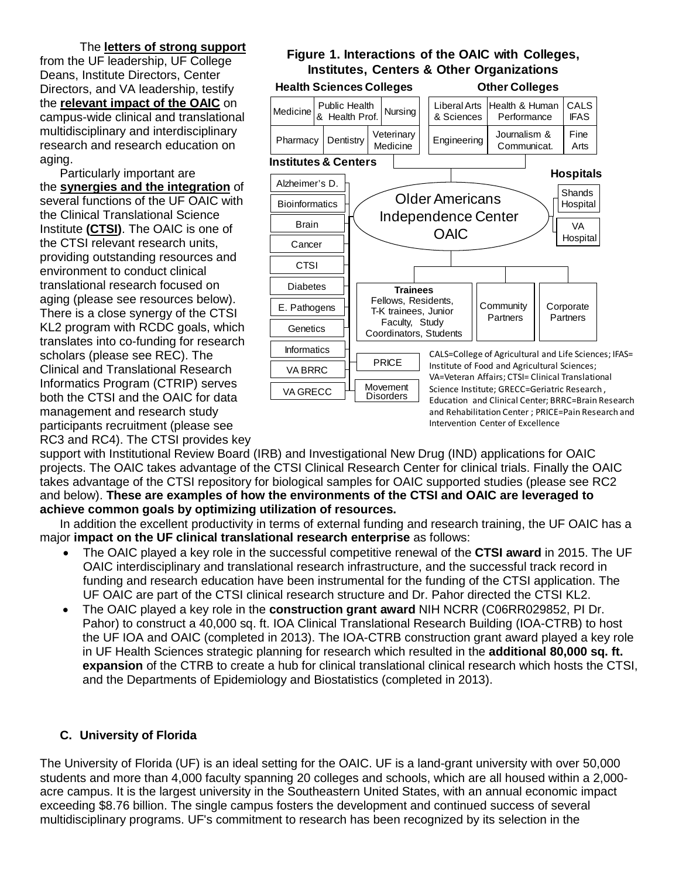The **letters of strong support** from the UF leadership, UF College Deans, Institute Directors, Center Directors, and VA leadership, testify the **relevant impact of the OAIC** on campus-wide clinical and translational multidisciplinary and interdisciplinary research and research education on aging.

Particularly important are the **synergies and the integration** of several functions of the UF OAIC with the Clinical Translational Science Institute **(CTSI)**. The OAIC is one of the CTSI relevant research units, providing outstanding resources and environment to conduct clinical translational research focused on aging (please see resources below). There is a close synergy of the CTSI KL2 program with RCDC goals, which translates into co-funding for research scholars (please see REC). The Clinical and Translational Research Informatics Program (CTRIP) serves both the CTSI and the OAIC for data management and research study participants recruitment (please see RC3 and RC4). The CTSI provides key

# **Figure 1. Interactions of the OAIC with Colleges, Institutes, Centers & Other Organizations**



support with Institutional Review Board (IRB) and Investigational New Drug (IND) applications for OAIC projects. The OAIC takes advantage of the CTSI Clinical Research Center for clinical trials. Finally the OAIC takes advantage of the CTSI repository for biological samples for OAIC supported studies (please see RC2 and below). **These are examples of how the environments of the CTSI and OAIC are leveraged to achieve common goals by optimizing utilization of resources.**

In addition the excellent productivity in terms of external funding and research training, the UF OAIC has a major **impact on the UF clinical translational research enterprise** as follows:

- The OAIC played a key role in the successful competitive renewal of the **CTSI award** in 2015. The UF OAIC interdisciplinary and translational research infrastructure, and the successful track record in funding and research education have been instrumental for the funding of the CTSI application. The UF OAIC are part of the CTSI clinical research structure and Dr. Pahor directed the CTSI KL2.
- The OAIC played a key role in the **construction grant award** NIH NCRR (C06RR029852, PI Dr. Pahor) to construct a 40,000 sq. ft. IOA Clinical Translational Research Building (IOA-CTRB) to host the UF IOA and OAIC (completed in 2013). The IOA-CTRB construction grant award played a key role in UF Health Sciences strategic planning for research which resulted in the **additional 80,000 sq. ft. expansion** of the CTRB to create a hub for clinical translational clinical research which hosts the CTSI, and the Departments of Epidemiology and Biostatistics (completed in 2013).

# **C. University of Florida**

The University of Florida (UF) is an ideal setting for the OAIC. UF is a land-grant university with over 50,000 students and more than 4,000 faculty spanning 20 colleges and schools, which are all housed within a 2,000 acre campus. It is the largest university in the Southeastern United States, with an annual economic impact exceeding \$8.76 billion. The single campus fosters the development and continued success of several multidisciplinary programs. UF's commitment to research has been recognized by its selection in the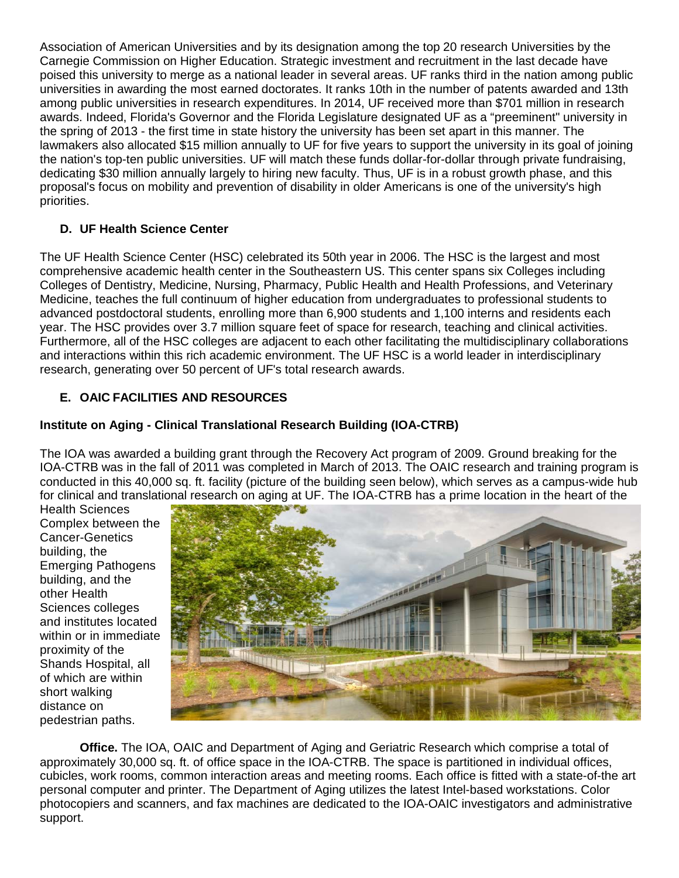Association of American Universities and by its designation among the top 20 research Universities by the Carnegie Commission on Higher Education. Strategic investment and recruitment in the last decade have poised this university to merge as a national leader in several areas. UF ranks third in the nation among public universities in awarding the most earned doctorates. It ranks 10th in the number of patents awarded and 13th among public universities in research expenditures. In 2014, UF received more than \$701 million in research awards. Indeed, Florida's Governor and the Florida Legislature designated UF as a "preeminent" university in the spring of 2013 - the first time in state history the university has been set apart in this manner. The lawmakers also allocated \$15 million annually to UF for five years to support the university in its goal of joining the nation's top-ten public universities. UF will match these funds dollar-for-dollar through private fundraising, dedicating \$30 million annually largely to hiring new faculty. Thus, UF is in a robust growth phase, and this proposal's focus on mobility and prevention of disability in older Americans is one of the university's high priorities.

# **D. UF Health Science Center**

The UF Health Science Center (HSC) celebrated its 50th year in 2006. The HSC is the largest and most comprehensive academic health center in the Southeastern US. This center spans six Colleges including Colleges of Dentistry, Medicine, Nursing, Pharmacy, Public Health and Health Professions, and Veterinary Medicine, teaches the full continuum of higher education from undergraduates to professional students to advanced postdoctoral students, enrolling more than 6,900 students and 1,100 interns and residents each year. The HSC provides over 3.7 million square feet of space for research, teaching and clinical activities. Furthermore, all of the HSC colleges are adjacent to each other facilitating the multidisciplinary collaborations and interactions within this rich academic environment. The UF HSC is a world leader in interdisciplinary research, generating over 50 percent of UF's total research awards.

# **E. OAIC FACILITIES AND RESOURCES**

# **Institute on Aging - Clinical Translational Research Building (IOA-CTRB)**

The IOA was awarded a building grant through the Recovery Act program of 2009. Ground breaking for the IOA-CTRB was in the fall of 2011 was completed in March of 2013. The OAIC research and training program is conducted in this 40,000 sq. ft. facility (picture of the building seen below), which serves as a campus-wide hub for clinical and translational research on aging at UF. The IOA-CTRB has a prime location in the heart of the

Health Sciences Complex between the Cancer-Genetics building, the Emerging Pathogens building, and the other Health Sciences colleges and institutes located within or in immediate proximity of the Shands Hospital, all of which are within short walking distance on pedestrian paths.



**Office.** The IOA, OAIC and Department of Aging and Geriatric Research which comprise a total of approximately 30,000 sq. ft. of office space in the IOA-CTRB. The space is partitioned in individual offices, cubicles, work rooms, common interaction areas and meeting rooms. Each office is fitted with a state-of-the art personal computer and printer. The Department of Aging utilizes the latest Intel-based workstations. Color photocopiers and scanners, and fax machines are dedicated to the IOA-OAIC investigators and administrative support.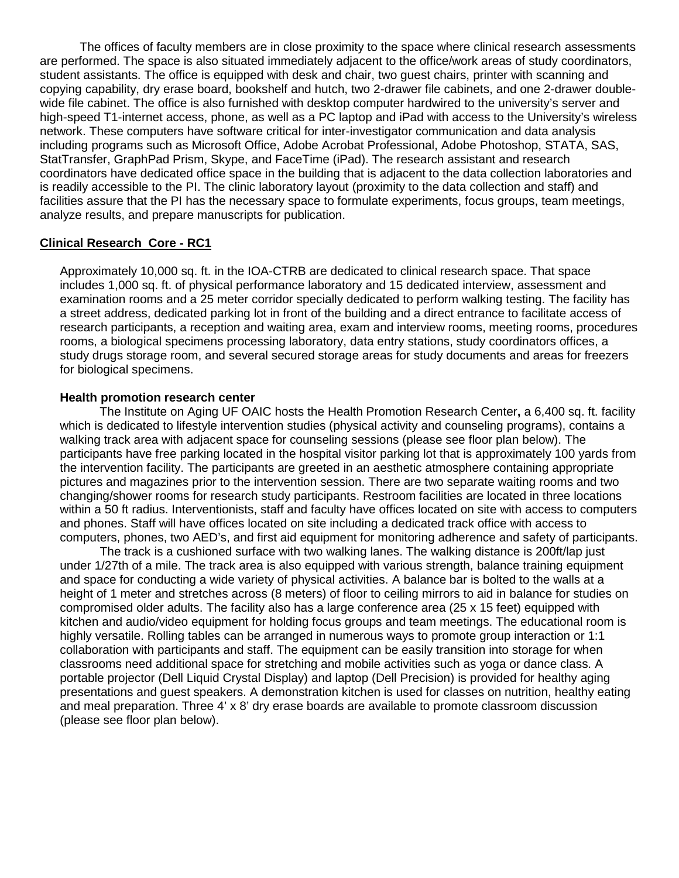The offices of faculty members are in close proximity to the space where clinical research assessments are performed. The space is also situated immediately adjacent to the office/work areas of study coordinators, student assistants. The office is equipped with desk and chair, two guest chairs, printer with scanning and copying capability, dry erase board, bookshelf and hutch, two 2-drawer file cabinets, and one 2-drawer doublewide file cabinet. The office is also furnished with desktop computer hardwired to the university's server and high-speed T1-internet access, phone, as well as a PC laptop and iPad with access to the University's wireless network. These computers have software critical for inter-investigator communication and data analysis including programs such as Microsoft Office, Adobe Acrobat Professional, Adobe Photoshop, STATA, SAS, StatTransfer, GraphPad Prism, Skype, and FaceTime (iPad). The research assistant and research coordinators have dedicated office space in the building that is adjacent to the data collection laboratories and is readily accessible to the PI. The clinic laboratory layout (proximity to the data collection and staff) and facilities assure that the PI has the necessary space to formulate experiments, focus groups, team meetings, analyze results, and prepare manuscripts for publication.

#### **Clinical Research Core - RC1**

Approximately 10,000 sq. ft. in the IOA-CTRB are dedicated to clinical research space. That space includes 1,000 sq. ft. of physical performance laboratory and 15 dedicated interview, assessment and examination rooms and a 25 meter corridor specially dedicated to perform walking testing. The facility has a street address, dedicated parking lot in front of the building and a direct entrance to facilitate access of research participants, a reception and waiting area, exam and interview rooms, meeting rooms, procedures rooms, a biological specimens processing laboratory, data entry stations, study coordinators offices, a study drugs storage room, and several secured storage areas for study documents and areas for freezers for biological specimens.

#### **Health promotion research center**

The Institute on Aging UF OAIC hosts the Health Promotion Research Center**,** a 6,400 sq. ft. facility which is dedicated to lifestyle intervention studies (physical activity and counseling programs), contains a walking track area with adjacent space for counseling sessions (please see floor plan below). The participants have free parking located in the hospital visitor parking lot that is approximately 100 yards from the intervention facility. The participants are greeted in an aesthetic atmosphere containing appropriate pictures and magazines prior to the intervention session. There are two separate waiting rooms and two changing/shower rooms for research study participants. Restroom facilities are located in three locations within a 50 ft radius. Interventionists, staff and faculty have offices located on site with access to computers and phones. Staff will have offices located on site including a dedicated track office with access to computers, phones, two AED's, and first aid equipment for monitoring adherence and safety of participants.

The track is a cushioned surface with two walking lanes. The walking distance is 200ft/lap just under 1/27th of a mile. The track area is also equipped with various strength, balance training equipment and space for conducting a wide variety of physical activities. A balance bar is bolted to the walls at a height of 1 meter and stretches across (8 meters) of floor to ceiling mirrors to aid in balance for studies on compromised older adults. The facility also has a large conference area (25 x 15 feet) equipped with kitchen and audio/video equipment for holding focus groups and team meetings. The educational room is highly versatile. Rolling tables can be arranged in numerous ways to promote group interaction or 1:1 collaboration with participants and staff. The equipment can be easily transition into storage for when classrooms need additional space for stretching and mobile activities such as yoga or dance class. A portable projector (Dell Liquid Crystal Display) and laptop (Dell Precision) is provided for healthy aging presentations and guest speakers. A demonstration kitchen is used for classes on nutrition, healthy eating and meal preparation. Three 4' x 8' dry erase boards are available to promote classroom discussion (please see floor plan below).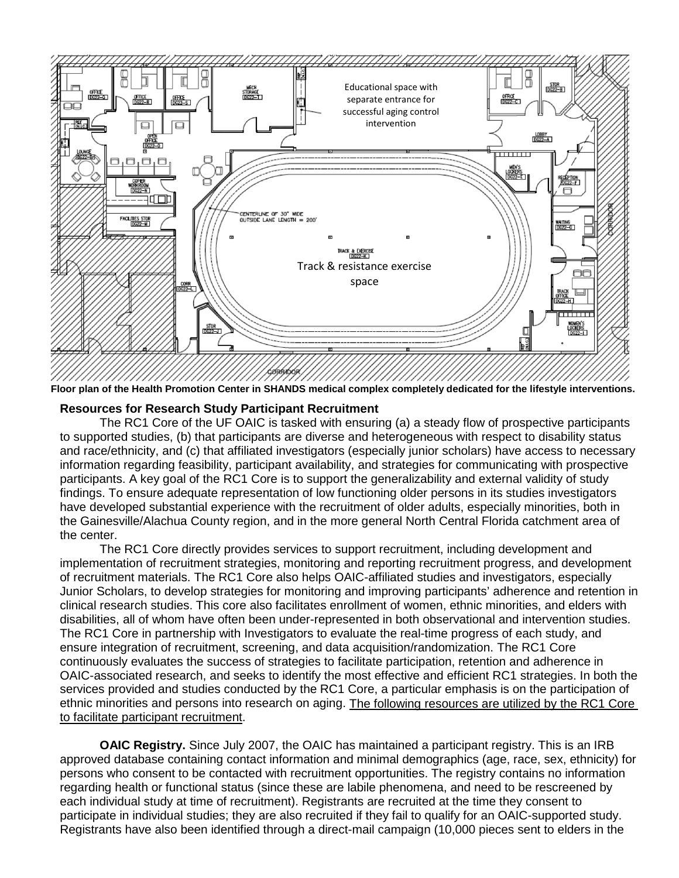

**Floor plan of the Health Promotion Center in SHANDS medical complex completely dedicated for the lifestyle interventions.** 

#### **Resources for Research Study Participant Recruitment**

The RC1 Core of the UF OAIC is tasked with ensuring (a) a steady flow of prospective participants to supported studies, (b) that participants are diverse and heterogeneous with respect to disability status and race/ethnicity, and (c) that affiliated investigators (especially junior scholars) have access to necessary information regarding feasibility, participant availability, and strategies for communicating with prospective participants. A key goal of the RC1 Core is to support the generalizability and external validity of study findings. To ensure adequate representation of low functioning older persons in its studies investigators have developed substantial experience with the recruitment of older adults, especially minorities, both in the Gainesville/Alachua County region, and in the more general North Central Florida catchment area of the center.

The RC1 Core directly provides services to support recruitment, including development and implementation of recruitment strategies, monitoring and reporting recruitment progress, and development of recruitment materials. The RC1 Core also helps OAIC-affiliated studies and investigators, especially Junior Scholars, to develop strategies for monitoring and improving participants' adherence and retention in clinical research studies. This core also facilitates enrollment of women, ethnic minorities, and elders with disabilities, all of whom have often been under-represented in both observational and intervention studies. The RC1 Core in partnership with Investigators to evaluate the real-time progress of each study, and ensure integration of recruitment, screening, and data acquisition/randomization. The RC1 Core continuously evaluates the success of strategies to facilitate participation, retention and adherence in OAIC-associated research, and seeks to identify the most effective and efficient RC1 strategies. In both the services provided and studies conducted by the RC1 Core, a particular emphasis is on the participation of ethnic minorities and persons into research on aging. The following resources are utilized by the RC1 Core to facilitate participant recruitment.

**OAIC Registry.** Since July 2007, the OAIC has maintained a participant registry. This is an IRB approved database containing contact information and minimal demographics (age, race, sex, ethnicity) for persons who consent to be contacted with recruitment opportunities. The registry contains no information regarding health or functional status (since these are labile phenomena, and need to be rescreened by each individual study at time of recruitment). Registrants are recruited at the time they consent to participate in individual studies; they are also recruited if they fail to qualify for an OAIC-supported study. Registrants have also been identified through a direct-mail campaign (10,000 pieces sent to elders in the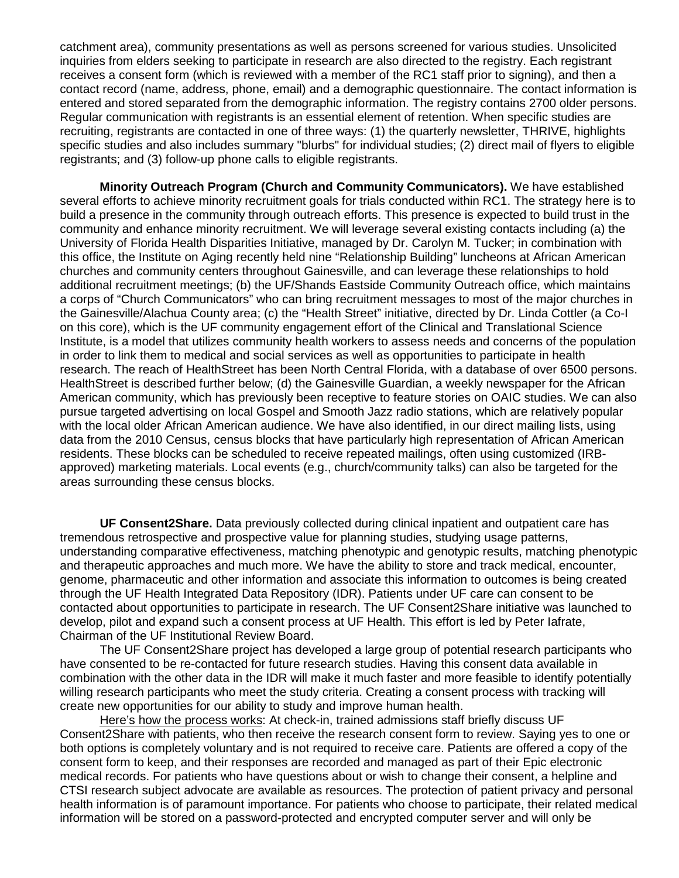catchment area), community presentations as well as persons screened for various studies. Unsolicited inquiries from elders seeking to participate in research are also directed to the registry. Each registrant receives a consent form (which is reviewed with a member of the RC1 staff prior to signing), and then a contact record (name, address, phone, email) and a demographic questionnaire. The contact information is entered and stored separated from the demographic information. The registry contains 2700 older persons. Regular communication with registrants is an essential element of retention. When specific studies are recruiting, registrants are contacted in one of three ways: (1) the quarterly newsletter, THRIVE, highlights specific studies and also includes summary "blurbs" for individual studies; (2) direct mail of flyers to eligible registrants; and (3) follow-up phone calls to eligible registrants.

**Minority Outreach Program (Church and Community Communicators).** We have established several efforts to achieve minority recruitment goals for trials conducted within RC1. The strategy here is to build a presence in the community through outreach efforts. This presence is expected to build trust in the community and enhance minority recruitment. We will leverage several existing contacts including (a) the University of Florida Health Disparities Initiative, managed by Dr. Carolyn M. Tucker; in combination with this office, the Institute on Aging recently held nine "Relationship Building" luncheons at African American churches and community centers throughout Gainesville, and can leverage these relationships to hold additional recruitment meetings; (b) the UF/Shands Eastside Community Outreach office, which maintains a corps of "Church Communicators" who can bring recruitment messages to most of the major churches in the Gainesville/Alachua County area; (c) the "Health Street" initiative, directed by Dr. Linda Cottler (a Co-I on this core), which is the UF community engagement effort of the Clinical and Translational Science Institute, is a model that utilizes community health workers to assess needs and concerns of the population in order to link them to medical and social services as well as opportunities to participate in health research. The reach of HealthStreet has been North Central Florida, with a database of over 6500 persons. HealthStreet is described further below; (d) the Gainesville Guardian, a weekly newspaper for the African American community, which has previously been receptive to feature stories on OAIC studies. We can also pursue targeted advertising on local Gospel and Smooth Jazz radio stations, which are relatively popular with the local older African American audience. We have also identified, in our direct mailing lists, using data from the 2010 Census, census blocks that have particularly high representation of African American residents. These blocks can be scheduled to receive repeated mailings, often using customized (IRBapproved) marketing materials. Local events (e.g., church/community talks) can also be targeted for the areas surrounding these census blocks.

**UF Consent2Share.** Data previously collected during clinical inpatient and outpatient care has tremendous retrospective and prospective value for planning studies, studying usage patterns, understanding comparative effectiveness, matching phenotypic and genotypic results, matching phenotypic and therapeutic approaches and much more. We have the ability to store and track medical, encounter, genome, pharmaceutic and other information and associate this information to outcomes is being created through the UF Health Integrated Data Repository (IDR). Patients under UF care can consent to be contacted about opportunities to participate in research. The UF Consent2Share initiative was launched to develop, pilot and expand such a consent process at UF Health. This effort is led by Peter Iafrate, Chairman of the UF Institutional Review Board.

The UF Consent2Share project has developed a large group of potential research participants who have consented to be re-contacted for future research studies. Having this consent data available in combination with the other data in the IDR will make it much faster and more feasible to identify potentially willing research participants who meet the study criteria. Creating a consent process with tracking will create new opportunities for our ability to study and improve human health.

Here's how the process works: At check-in, trained admissions staff briefly discuss UF Consent2Share with patients, who then receive the research consent form to review. Saying yes to one or both options is completely voluntary and is not required to receive care. Patients are offered a copy of the consent form to keep, and their responses are recorded and managed as part of their Epic electronic medical records. For patients who have questions about or wish to change their consent, a helpline and CTSI research subject advocate are available as resources. The protection of patient privacy and personal health information is of paramount importance. For patients who choose to participate, their related medical information will be stored on a password-protected and encrypted computer server and will only be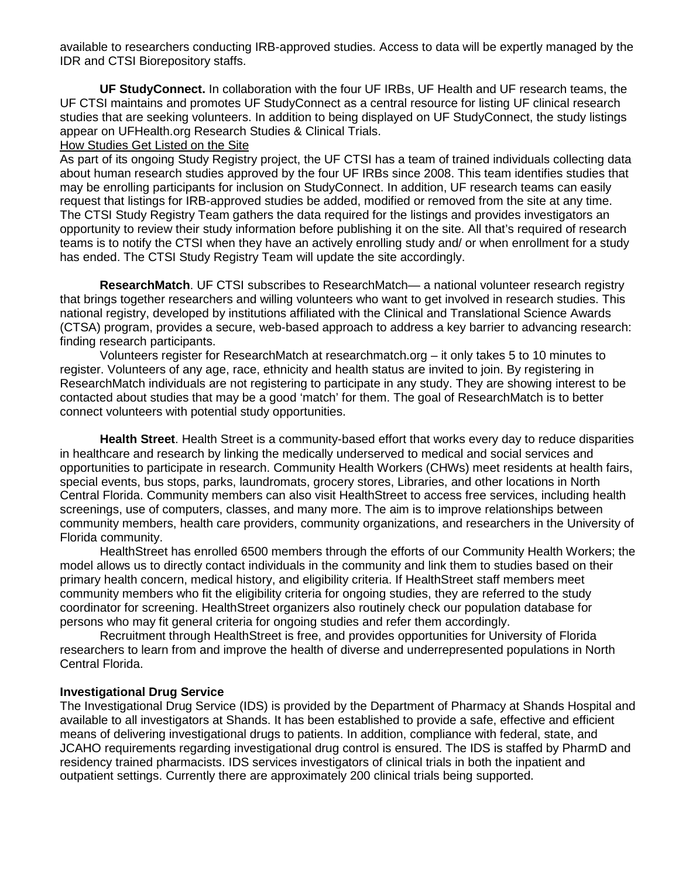available to researchers conducting IRB-approved studies. Access to data will be expertly managed by the IDR and CTSI Biorepository staffs.

**UF StudyConnect.** In collaboration with the four UF IRBs, UF Health and UF research teams, the UF CTSI maintains and promotes UF StudyConnect as a central resource for listing UF clinical research studies that are seeking volunteers. In addition to being displayed on UF StudyConnect, the study listings appear on UFHealth.org Research Studies & Clinical Trials.

#### How Studies Get Listed on the Site

As part of its ongoing Study Registry project, the UF CTSI has a team of trained individuals collecting data about human research studies approved by the four UF IRBs since 2008. This team identifies studies that may be enrolling participants for inclusion on StudyConnect. In addition, UF research teams can easily request that listings for IRB-approved studies be added, modified or removed from the site at any time. The CTSI Study Registry Team gathers the data required for the listings and provides investigators an opportunity to review their study information before publishing it on the site. All that's required of research teams is to notify the CTSI when they have an actively enrolling study and/ or when enrollment for a study has ended. The CTSI Study Registry Team will update the site accordingly.

**ResearchMatch**. UF CTSI subscribes to ResearchMatch— a national volunteer research registry that brings together researchers and willing volunteers who want to get involved in research studies. This national registry, developed by institutions affiliated with the Clinical and Translational Science Awards (CTSA) program, provides a secure, web-based approach to address a key barrier to advancing research: finding research participants.

Volunteers register for ResearchMatch at researchmatch.org – it only takes 5 to 10 minutes to register. Volunteers of any age, race, ethnicity and health status are invited to join. By registering in ResearchMatch individuals are not registering to participate in any study. They are showing interest to be contacted about studies that may be a good 'match' for them. The goal of ResearchMatch is to better connect volunteers with potential study opportunities.

**Health Street**. Health Street is a community-based effort that works every day to reduce disparities in healthcare and research by linking the medically underserved to medical and social services and opportunities to participate in research. Community Health Workers (CHWs) meet residents at health fairs, special events, bus stops, parks, laundromats, grocery stores, Libraries, and other locations in North Central Florida. Community members can also visit HealthStreet to access free services, including health screenings, use of computers, classes, and many more. The aim is to improve relationships between community members, health care providers, community organizations, and researchers in the University of Florida community.

HealthStreet has enrolled 6500 members through the efforts of our Community Health Workers; the model allows us to directly contact individuals in the community and link them to studies based on their primary health concern, medical history, and eligibility criteria. If HealthStreet staff members meet community members who fit the eligibility criteria for ongoing studies, they are referred to the study coordinator for screening. HealthStreet organizers also routinely check our population database for persons who may fit general criteria for ongoing studies and refer them accordingly.

Recruitment through HealthStreet is free, and provides opportunities for University of Florida researchers to learn from and improve the health of diverse and underrepresented populations in North Central Florida.

#### **Investigational Drug Service**

The Investigational Drug Service (IDS) is provided by the Department of Pharmacy at Shands Hospital and available to all investigators at Shands. It has been established to provide a safe, effective and efficient means of delivering investigational drugs to patients. In addition, compliance with federal, state, and JCAHO requirements regarding investigational drug control is ensured. The IDS is staffed by PharmD and residency trained pharmacists. IDS services investigators of clinical trials in both the inpatient and outpatient settings. Currently there are approximately 200 clinical trials being supported.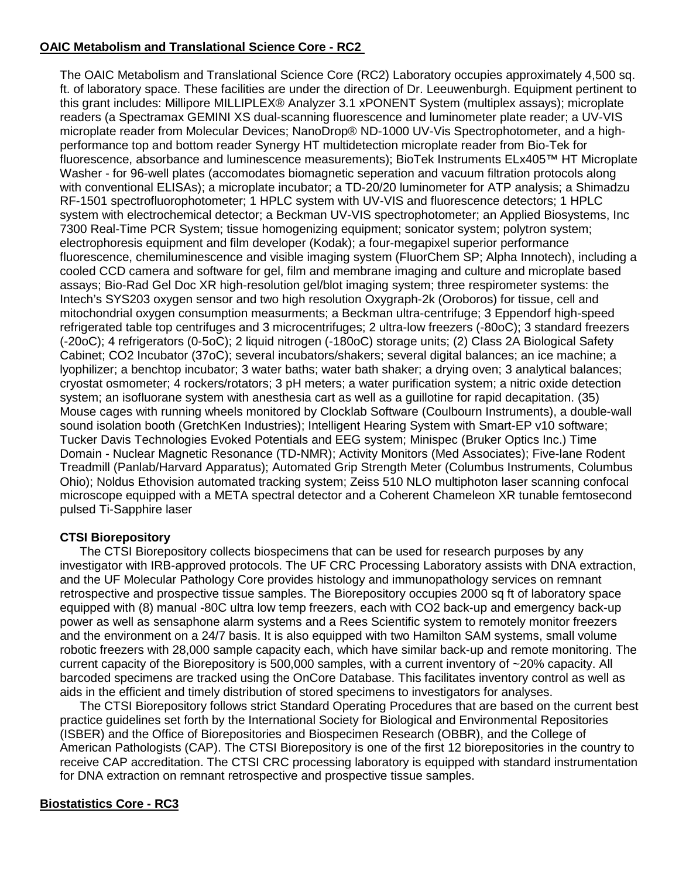## **OAIC Metabolism and Translational Science Core - RC2**

The OAIC Metabolism and Translational Science Core (RC2) Laboratory occupies approximately 4,500 sq. ft. of laboratory space. These facilities are under the direction of Dr. Leeuwenburgh. Equipment pertinent to this grant includes: Millipore MILLIPLEX® Analyzer 3.1 xPONENT System (multiplex assays); microplate readers (a Spectramax GEMINI XS dual-scanning fluorescence and luminometer plate reader; a UV-VIS microplate reader from Molecular Devices; NanoDrop® ND-1000 UV-Vis Spectrophotometer, and a highperformance top and bottom reader Synergy HT multidetection microplate reader from Bio-Tek for fluorescence, absorbance and luminescence measurements); BioTek Instruments ELx405™ HT Microplate Washer - for 96-well plates (accomodates biomagnetic seperation and vacuum filtration protocols along with conventional ELISAs); a microplate incubator; a TD-20/20 luminometer for ATP analysis; a Shimadzu RF-1501 spectrofluorophotometer; 1 HPLC system with UV-VIS and fluorescence detectors; 1 HPLC system with electrochemical detector; a Beckman UV-VIS spectrophotometer; an Applied Biosystems, Inc 7300 Real-Time PCR System; tissue homogenizing equipment; sonicator system; polytron system; electrophoresis equipment and film developer (Kodak); a four-megapixel superior performance fluorescence, chemiluminescence and visible imaging system (FluorChem SP; Alpha Innotech), including a cooled CCD camera and software for gel, film and membrane imaging and culture and microplate based assays; Bio-Rad Gel Doc XR high-resolution gel/blot imaging system; three respirometer systems: the Intech's SYS203 oxygen sensor and two high resolution Oxygraph-2k (Oroboros) for tissue, cell and mitochondrial oxygen consumption measurments; a Beckman ultra-centrifuge; 3 Eppendorf high-speed refrigerated table top centrifuges and 3 microcentrifuges; 2 ultra-low freezers (-80oC); 3 standard freezers (-20oC); 4 refrigerators (0-5oC); 2 liquid nitrogen (-180oC) storage units; (2) Class 2A Biological Safety Cabinet; CO2 Incubator (37oC); several incubators/shakers; several digital balances; an ice machine; a lyophilizer; a benchtop incubator; 3 water baths; water bath shaker; a drying oven; 3 analytical balances; cryostat osmometer; 4 rockers/rotators; 3 pH meters; a water purification system; a nitric oxide detection system; an isofluorane system with anesthesia cart as well as a guillotine for rapid decapitation. (35) Mouse cages with running wheels monitored by Clocklab Software (Coulbourn Instruments), a double-wall sound isolation booth (GretchKen Industries); Intelligent Hearing System with Smart-EP v10 software; Tucker Davis Technologies Evoked Potentials and EEG system; Minispec (Bruker Optics Inc.) Time Domain - Nuclear Magnetic Resonance (TD-NMR); Activity Monitors (Med Associates); Five-lane Rodent Treadmill (Panlab/Harvard Apparatus); Automated Grip Strength Meter (Columbus Instruments, Columbus Ohio); Noldus Ethovision automated tracking system; Zeiss 510 NLO multiphoton laser scanning confocal microscope equipped with a META spectral detector and a Coherent Chameleon XR tunable femtosecond pulsed Ti-Sapphire laser

## **CTSI Biorepository**

The CTSI Biorepository collects biospecimens that can be used for research purposes by any investigator with IRB-approved protocols. The UF CRC Processing Laboratory assists with DNA extraction, and the UF Molecular Pathology Core provides histology and immunopathology services on remnant retrospective and prospective tissue samples. The Biorepository occupies 2000 sq ft of laboratory space equipped with (8) manual -80C ultra low temp freezers, each with CO2 back-up and emergency back-up power as well as sensaphone alarm systems and a Rees Scientific system to remotely monitor freezers and the environment on a 24/7 basis. It is also equipped with two Hamilton SAM systems, small volume robotic freezers with 28,000 sample capacity each, which have similar back-up and remote monitoring. The current capacity of the Biorepository is 500,000 samples, with a current inventory of ~20% capacity. All barcoded specimens are tracked using the OnCore Database. This facilitates inventory control as well as aids in the efficient and timely distribution of stored specimens to investigators for analyses.

The CTSI Biorepository follows strict Standard Operating Procedures that are based on the current best practice guidelines set forth by the International Society for Biological and Environmental Repositories (ISBER) and the Office of Biorepositories and Biospecimen Research (OBBR), and the College of American Pathologists (CAP). The CTSI Biorepository is one of the first 12 biorepositories in the country to receive CAP accreditation. The CTSI CRC processing laboratory is equipped with standard instrumentation for DNA extraction on remnant retrospective and prospective tissue samples.

## **Biostatistics Core - RC3**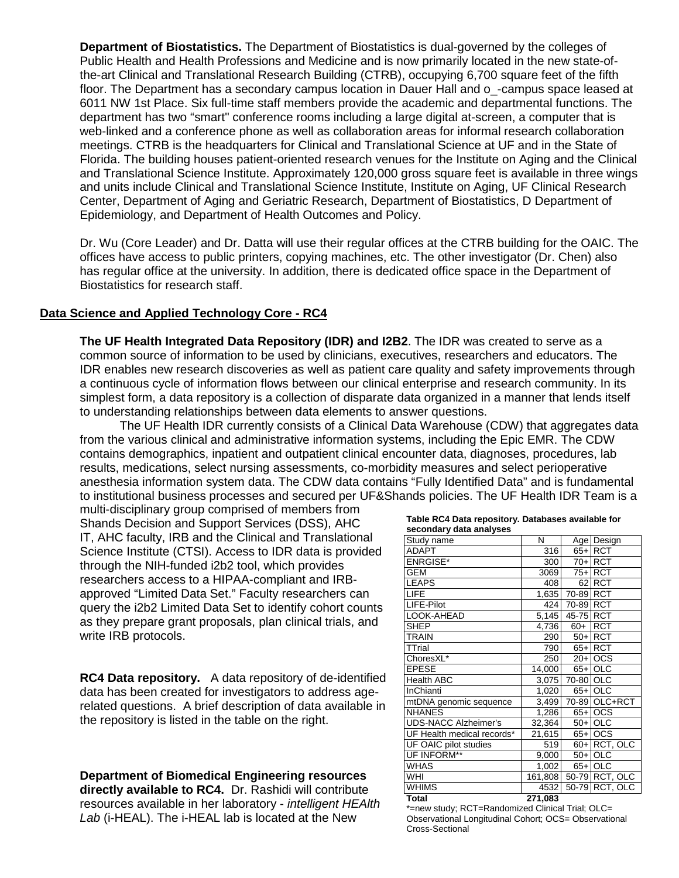**Department of Biostatistics.** The Department of Biostatistics is dual-governed by the colleges of Public Health and Health Professions and Medicine and is now primarily located in the new state-ofthe-art Clinical and Translational Research Building (CTRB), occupying 6,700 square feet of the fifth floor. The Department has a secondary campus location in Dauer Hall and o -campus space leased at 6011 NW 1st Place. Six full-time staff members provide the academic and departmental functions. The department has two "smart" conference rooms including a large digital at-screen, a computer that is web-linked and a conference phone as well as collaboration areas for informal research collaboration meetings. CTRB is the headquarters for Clinical and Translational Science at UF and in the State of Florida. The building houses patient-oriented research venues for the Institute on Aging and the Clinical and Translational Science Institute. Approximately 120,000 gross square feet is available in three wings and units include Clinical and Translational Science Institute, Institute on Aging, UF Clinical Research Center, Department of Aging and Geriatric Research, Department of Biostatistics, D Department of Epidemiology, and Department of Health Outcomes and Policy.

Dr. Wu (Core Leader) and Dr. Datta will use their regular offices at the CTRB building for the OAIC. The offices have access to public printers, copying machines, etc. The other investigator (Dr. Chen) also has regular office at the university. In addition, there is dedicated office space in the Department of Biostatistics for research staff.

#### **Data Science and Applied Technology Core - RC4**

**The UF Health Integrated Data Repository (IDR) and I2B2**. The IDR was created to serve as a common source of information to be used by clinicians, executives, researchers and educators. The IDR enables new research discoveries as well as patient care quality and safety improvements through a continuous cycle of information flows between our clinical enterprise and research community. In its simplest form, a data repository is a collection of disparate data organized in a manner that lends itself to understanding relationships between data elements to answer questions.

The UF Health IDR currently consists of a Clinical Data Warehouse (CDW) that aggregates data from the various clinical and administrative information systems, including the Epic EMR. The CDW contains demographics, inpatient and outpatient clinical encounter data, diagnoses, procedures, lab results, medications, select nursing assessments, co-morbidity measures and select perioperative anesthesia information system data. The CDW data contains "Fully Identified Data" and is fundamental to institutional business processes and secured per UF&Shands policies. The UF Health IDR Team is a

multi-disciplinary group comprised of members from Shands Decision and Support Services (DSS), AHC IT, AHC faculty, IRB and the Clinical and Translational Science Institute (CTSI). Access to IDR data is provided through the NIH-funded i2b2 tool, which provides researchers access to a HIPAA-compliant and IRBapproved "Limited Data Set." Faculty researchers can query the i2b2 Limited Data Set to identify cohort counts as they prepare grant proposals, plan clinical trials, and write IRB protocols.

**RC4 Data repository.** A data repository of de-identified data has been created for investigators to address agerelated questions. A brief description of data available in the repository is listed in the table on the right.

**Department of Biomedical Engineering resources directly available to RC4.** Dr. Rashidi will contribute resources available in her laboratory - *intelligent HEAlth Lab* (i-HEAL). The i-HEAL lab is located at the New

| Table RC4 Data repository. Databases available for |  |
|----------------------------------------------------|--|
| secondary data analyses                            |  |
|                                                    |  |

| Study name                  | N       |           | Age Design     |
|-----------------------------|---------|-----------|----------------|
| <b>ADAPT</b>                | 316     |           | 65+ RCT        |
| <b>ENRGISE*</b>             | 300     |           | 70+ RCT        |
| <b>GEM</b>                  | 3069    |           | 75+ RCT        |
| <b>LEAPS</b>                | 408     |           | 62 RCT         |
| <b>LIFE</b>                 | 1,635   | 70-89 RCT |                |
| LIFE-Pilot                  | 424     | 70-89 RCT |                |
| LOOK-AHEAD                  | 5,145   | 45-75 RCT |                |
| <b>SHEP</b>                 | 4,736   | $60+$     | <b>RCT</b>     |
| <b>TRAIN</b>                | 290     |           | 50+ RCT        |
| <b>TTrial</b>               | 790     |           | 65+ RCT        |
| ChoresXL*                   | 250     |           | $20+$ OCS      |
| <b>EPESE</b>                | 14,000  |           | 65+ OLC        |
| <b>Health ABC</b>           | 3,075   | 70-80 OLC |                |
| <b>InChianti</b>            | 1,020   |           | 65+ OLC        |
| mtDNA genomic sequence      | 3,499   |           | 70-89 OLC+RCT  |
| <b>NHANES</b>               | 1,286   |           | 65+ OCS        |
| <b>UDS-NACC Alzheimer's</b> | 32,364  |           | $50+$ OLC      |
| UF Health medical records*  | 21,615  |           | 65+ OCS        |
| UF OAIC pilot studies       | 519     |           | 60+ RCT, OLC   |
| UF INFORM**                 | 9,000   |           | $50+$ OLC      |
| <b>WHAS</b>                 | 1,002   |           | 65+ OLC        |
| WHI                         | 161,808 |           | 50-79 RCT, OLC |
| <b>WHIMS</b>                | 4532    |           | 50-79 RCT, OLC |
| <b>Total</b>                | 271.083 |           |                |

\*=new study; RCT=Randomized Clinical Trial; OLC= Observational Longitudinal Cohort; OCS= Observational Cross-Sectional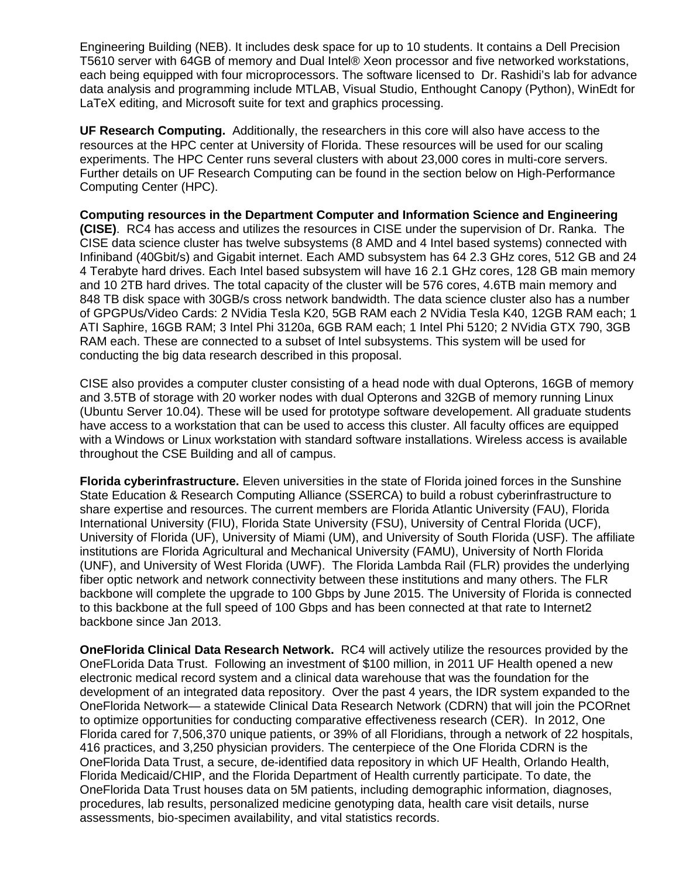Engineering Building (NEB). It includes desk space for up to 10 students. It contains a Dell Precision T5610 server with 64GB of memory and Dual Intel® Xeon processor and five networked workstations, each being equipped with four microprocessors. The software licensed to Dr. Rashidi's lab for advance data analysis and programming include MTLAB, Visual Studio, Enthought Canopy (Python), WinEdt for LaTeX editing, and Microsoft suite for text and graphics processing.

**UF Research Computing.** Additionally, the researchers in this core will also have access to the resources at the HPC center at University of Florida. These resources will be used for our scaling experiments. The HPC Center runs several clusters with about 23,000 cores in multi-core servers. Further details on UF Research Computing can be found in the section below on High-Performance Computing Center (HPC).

**Computing resources in the Department Computer and Information Science and Engineering (CISE)**. RC4 has access and utilizes the resources in CISE under the supervision of Dr. Ranka. The CISE data science cluster has twelve subsystems (8 AMD and 4 Intel based systems) connected with Infiniband (40Gbit/s) and Gigabit internet. Each AMD subsystem has 64 2.3 GHz cores, 512 GB and 24 4 Terabyte hard drives. Each Intel based subsystem will have 16 2.1 GHz cores, 128 GB main memory and 10 2TB hard drives. The total capacity of the cluster will be 576 cores, 4.6TB main memory and 848 TB disk space with 30GB/s cross network bandwidth. The data science cluster also has a number of GPGPUs/Video Cards: 2 NVidia Tesla K20, 5GB RAM each 2 NVidia Tesla K40, 12GB RAM each; 1 ATI Saphire, 16GB RAM; 3 Intel Phi 3120a, 6GB RAM each; 1 Intel Phi 5120; 2 NVidia GTX 790, 3GB RAM each. These are connected to a subset of Intel subsystems. This system will be used for conducting the big data research described in this proposal.

CISE also provides a computer cluster consisting of a head node with dual Opterons, 16GB of memory and 3.5TB of storage with 20 worker nodes with dual Opterons and 32GB of memory running Linux (Ubuntu Server 10.04). These will be used for prototype software developement. All graduate students have access to a workstation that can be used to access this cluster. All faculty offices are equipped with a Windows or Linux workstation with standard software installations. Wireless access is available throughout the CSE Building and all of campus.

**Florida cyberinfrastructure.** Eleven universities in the state of Florida joined forces in the Sunshine State Education & Research Computing Alliance (SSERCA) to build a robust cyberinfrastructure to share expertise and resources. The current members are Florida Atlantic University (FAU), Florida International University (FIU), Florida State University (FSU), University of Central Florida (UCF), University of Florida (UF), University of Miami (UM), and University of South Florida (USF). The affiliate institutions are Florida Agricultural and Mechanical University (FAMU), University of North Florida (UNF), and University of West Florida (UWF). The Florida Lambda Rail (FLR) provides the underlying fiber optic network and network connectivity between these institutions and many others. The FLR backbone will complete the upgrade to 100 Gbps by June 2015. The University of Florida is connected to this backbone at the full speed of 100 Gbps and has been connected at that rate to Internet2 backbone since Jan 2013.

**OneFlorida Clinical Data Research Network.** RC4 will actively utilize the resources provided by the OneFLorida Data Trust. Following an investment of \$100 million, in 2011 UF Health opened a new electronic medical record system and a clinical data warehouse that was the foundation for the development of an integrated data repository. Over the past 4 years, the IDR system expanded to the OneFlorida Network— a statewide Clinical Data Research Network (CDRN) that will join the PCORnet to optimize opportunities for conducting comparative effectiveness research (CER). In 2012, One Florida cared for 7,506,370 unique patients, or 39% of all Floridians, through a network of 22 hospitals, 416 practices, and 3,250 physician providers. The centerpiece of the One Florida CDRN is the OneFlorida Data Trust, a secure, de-identified data repository in which UF Health, Orlando Health, Florida Medicaid/CHIP, and the Florida Department of Health currently participate. To date, the OneFlorida Data Trust houses data on 5M patients, including demographic information, diagnoses, procedures, lab results, personalized medicine genotyping data, health care visit details, nurse assessments, bio-specimen availability, and vital statistics records.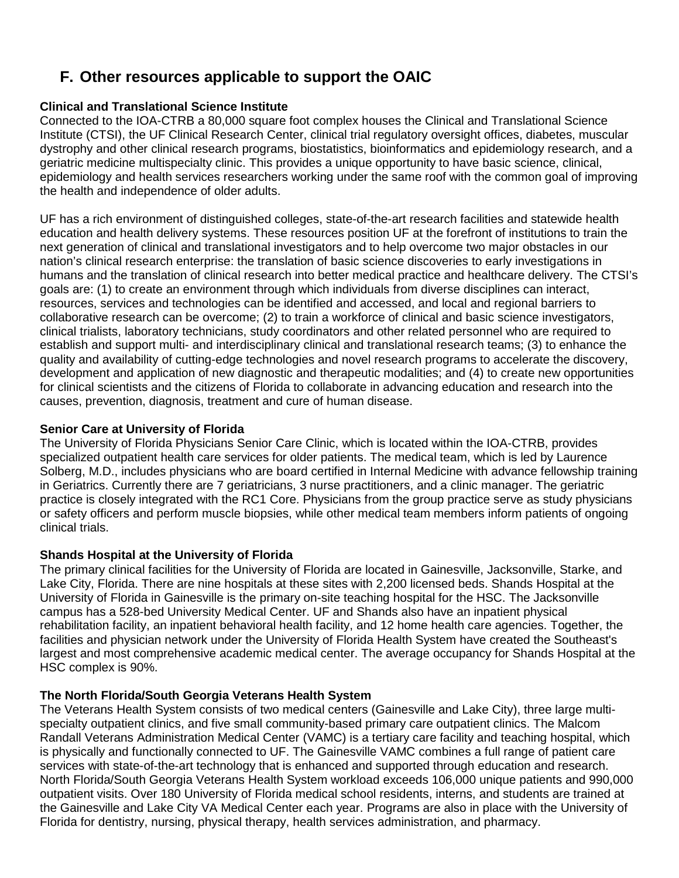# **F. Other resources applicable to support the OAIC**

# **Clinical and Translational Science Institute**

Connected to the IOA-CTRB a 80,000 square foot complex houses the Clinical and Translational Science Institute (CTSI), the UF Clinical Research Center, clinical trial regulatory oversight offices, diabetes, muscular dystrophy and other clinical research programs, biostatistics, bioinformatics and epidemiology research, and a geriatric medicine multispecialty clinic. This provides a unique opportunity to have basic science, clinical, epidemiology and health services researchers working under the same roof with the common goal of improving the health and independence of older adults.

UF has a rich environment of distinguished colleges, state-of-the-art research facilities and statewide health education and health delivery systems. These resources position UF at the forefront of institutions to train the next generation of clinical and translational investigators and to help overcome two major obstacles in our nation's clinical research enterprise: the translation of basic science discoveries to early investigations in humans and the translation of clinical research into better medical practice and healthcare delivery. The CTSI's goals are: (1) to create an environment through which individuals from diverse disciplines can interact, resources, services and technologies can be identified and accessed, and local and regional barriers to collaborative research can be overcome; (2) to train a workforce of clinical and basic science investigators, clinical trialists, laboratory technicians, study coordinators and other related personnel who are required to establish and support multi- and interdisciplinary clinical and translational research teams; (3) to enhance the quality and availability of cutting-edge technologies and novel research programs to accelerate the discovery, development and application of new diagnostic and therapeutic modalities; and (4) to create new opportunities for clinical scientists and the citizens of Florida to collaborate in advancing education and research into the causes, prevention, diagnosis, treatment and cure of human disease.

## **Senior Care at University of Florida**

The University of Florida Physicians Senior Care Clinic, which is located within the IOA-CTRB, provides specialized outpatient health care services for older patients. The medical team, which is led by Laurence Solberg, M.D., includes physicians who are board certified in Internal Medicine with advance fellowship training in Geriatrics. Currently there are 7 geriatricians, 3 nurse practitioners, and a clinic manager. The geriatric practice is closely integrated with the RC1 Core. Physicians from the group practice serve as study physicians or safety officers and perform muscle biopsies, while other medical team members inform patients of ongoing clinical trials.

# **Shands Hospital at the University of Florida**

The primary clinical facilities for the University of Florida are located in Gainesville, Jacksonville, Starke, and Lake City, Florida. There are nine hospitals at these sites with 2,200 licensed beds. Shands Hospital at the University of Florida in Gainesville is the primary on-site teaching hospital for the HSC. The Jacksonville campus has a 528-bed University Medical Center. UF and Shands also have an inpatient physical rehabilitation facility, an inpatient behavioral health facility, and 12 home health care agencies. Together, the facilities and physician network under the University of Florida Health System have created the Southeast's largest and most comprehensive academic medical center. The average occupancy for Shands Hospital at the HSC complex is 90%.

# **The North Florida/South Georgia Veterans Health System**

The Veterans Health System consists of two medical centers (Gainesville and Lake City), three large multispecialty outpatient clinics, and five small community-based primary care outpatient clinics. The Malcom Randall Veterans Administration Medical Center (VAMC) is a tertiary care facility and teaching hospital, which is physically and functionally connected to UF. The Gainesville VAMC combines a full range of patient care services with state-of-the-art technology that is enhanced and supported through education and research. North Florida/South Georgia Veterans Health System workload exceeds 106,000 unique patients and 990,000 outpatient visits. Over 180 University of Florida medical school residents, interns, and students are trained at the Gainesville and Lake City VA Medical Center each year. Programs are also in place with the University of Florida for dentistry, nursing, physical therapy, health services administration, and pharmacy.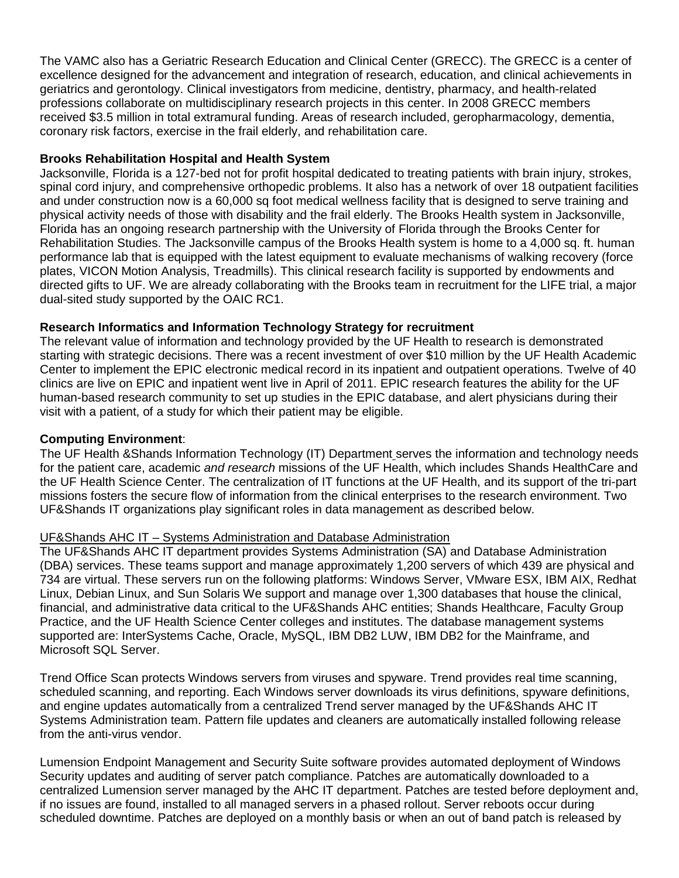The VAMC also has a Geriatric Research Education and Clinical Center (GRECC). The GRECC is a center of excellence designed for the advancement and integration of research, education, and clinical achievements in geriatrics and gerontology. Clinical investigators from medicine, dentistry, pharmacy, and health-related professions collaborate on multidisciplinary research projects in this center. In 2008 GRECC members received \$3.5 million in total extramural funding. Areas of research included, geropharmacology, dementia, coronary risk factors, exercise in the frail elderly, and rehabilitation care.

## **Brooks Rehabilitation Hospital and Health System**

Jacksonville, Florida is a 127-bed not for profit hospital dedicated to treating patients with brain injury, strokes, spinal cord injury, and comprehensive orthopedic problems. It also has a network of over 18 outpatient facilities and under construction now is a 60,000 sq foot medical wellness facility that is designed to serve training and physical activity needs of those with disability and the frail elderly. The Brooks Health system in Jacksonville, Florida has an ongoing research partnership with the University of Florida through the Brooks Center for Rehabilitation Studies. The Jacksonville campus of the Brooks Health system is home to a 4,000 sq. ft. human performance lab that is equipped with the latest equipment to evaluate mechanisms of walking recovery (force plates, VICON Motion Analysis, Treadmills). This clinical research facility is supported by endowments and directed gifts to UF. We are already collaborating with the Brooks team in recruitment for the LIFE trial, a major dual-sited study supported by the OAIC RC1.

## **Research Informatics and Information Technology Strategy for recruitment**

The relevant value of information and technology provided by the UF Health to research is demonstrated starting with strategic decisions. There was a recent investment of over \$10 million by the UF Health Academic Center to implement the EPIC electronic medical record in its inpatient and outpatient operations. Twelve of 40 clinics are live on EPIC and inpatient went live in April of 2011. EPIC research features the ability for the UF human-based research community to set up studies in the EPIC database, and alert physicians during their visit with a patient, of a study for which their patient may be eligible.

#### **Computing Environment**:

The UF Health &Shands Information Technology (IT) Department serves the information and technology needs for the patient care, academic *and research* missions of the UF Health, which includes Shands HealthCare and the UF Health Science Center. The centralization of IT functions at the UF Health, and its support of the tri-part missions fosters the secure flow of information from the clinical enterprises to the research environment. Two UF&Shands IT organizations play significant roles in data management as described below.

#### UF&Shands AHC IT – Systems Administration and Database Administration

The UF&Shands AHC IT department provides Systems Administration (SA) and Database Administration (DBA) services. These teams support and manage approximately 1,200 servers of which 439 are physical and 734 are virtual. These servers run on the following platforms: Windows Server, VMware ESX, IBM AIX, Redhat Linux, Debian Linux, and Sun Solaris We support and manage over 1,300 databases that house the clinical, financial, and administrative data critical to the UF&Shands AHC entities; Shands Healthcare, Faculty Group Practice, and the UF Health Science Center colleges and institutes. The database management systems supported are: InterSystems Cache, Oracle, MySQL, IBM DB2 LUW, IBM DB2 for the Mainframe, and Microsoft SQL Server.

Trend Office Scan protects Windows servers from viruses and spyware. Trend provides real time scanning, scheduled scanning, and reporting. Each Windows server downloads its virus definitions, spyware definitions, and engine updates automatically from a centralized Trend server managed by the UF&Shands AHC IT Systems Administration team. Pattern file updates and cleaners are automatically installed following release from the anti-virus vendor.

Lumension Endpoint Management and Security Suite software provides automated deployment of Windows Security updates and auditing of server patch compliance. Patches are automatically downloaded to a centralized Lumension server managed by the AHC IT department. Patches are tested before deployment and, if no issues are found, installed to all managed servers in a phased rollout. Server reboots occur during scheduled downtime. Patches are deployed on a monthly basis or when an out of band patch is released by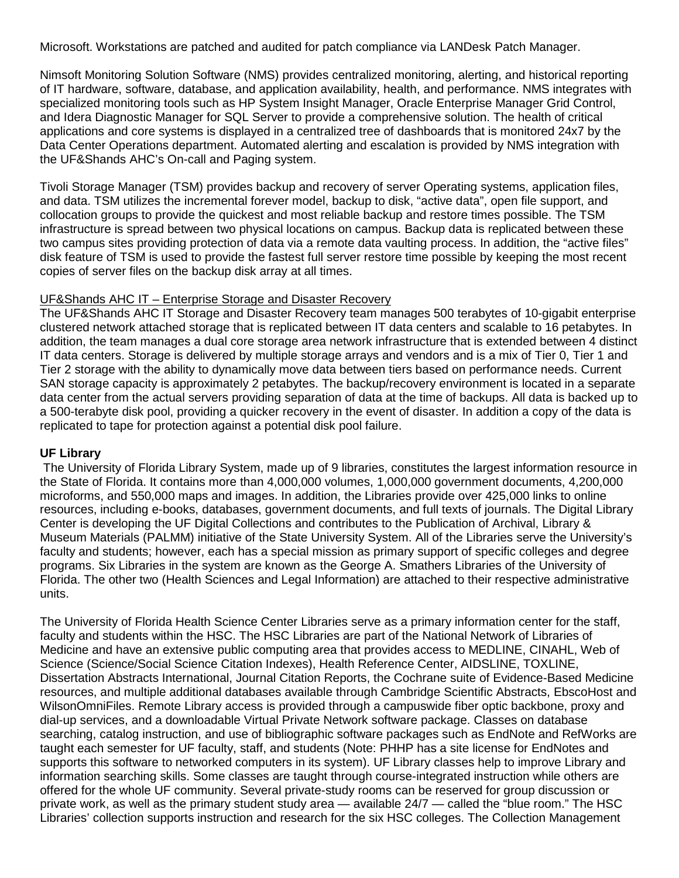Microsoft. Workstations are patched and audited for patch compliance via LANDesk Patch Manager.

Nimsoft Monitoring Solution Software (NMS) provides centralized monitoring, alerting, and historical reporting of IT hardware, software, database, and application availability, health, and performance. NMS integrates with specialized monitoring tools such as HP System Insight Manager, Oracle Enterprise Manager Grid Control, and Idera Diagnostic Manager for SQL Server to provide a comprehensive solution. The health of critical applications and core systems is displayed in a centralized tree of dashboards that is monitored 24x7 by the Data Center Operations department. Automated alerting and escalation is provided by NMS integration with the UF&Shands AHC's On-call and Paging system.

Tivoli Storage Manager (TSM) provides backup and recovery of server Operating systems, application files, and data. TSM utilizes the incremental forever model, backup to disk, "active data", open file support, and collocation groups to provide the quickest and most reliable backup and restore times possible. The TSM infrastructure is spread between two physical locations on campus. Backup data is replicated between these two campus sites providing protection of data via a remote data vaulting process. In addition, the "active files" disk feature of TSM is used to provide the fastest full server restore time possible by keeping the most recent copies of server files on the backup disk array at all times.

#### UF&Shands AHC IT – Enterprise Storage and Disaster Recovery

The UF&Shands AHC IT Storage and Disaster Recovery team manages 500 terabytes of 10-gigabit enterprise clustered network attached storage that is replicated between IT data centers and scalable to 16 petabytes. In addition, the team manages a dual core storage area network infrastructure that is extended between 4 distinct IT data centers. Storage is delivered by multiple storage arrays and vendors and is a mix of Tier 0, Tier 1 and Tier 2 storage with the ability to dynamically move data between tiers based on performance needs. Current SAN storage capacity is approximately 2 petabytes. The backup/recovery environment is located in a separate data center from the actual servers providing separation of data at the time of backups. All data is backed up to a 500-terabyte disk pool, providing a quicker recovery in the event of disaster. In addition a copy of the data is replicated to tape for protection against a potential disk pool failure.

#### **UF Library**

The University of Florida Library System, made up of 9 libraries, constitutes the largest information resource in the State of Florida. It contains more than 4,000,000 volumes, 1,000,000 government documents, 4,200,000 microforms, and 550,000 maps and images. In addition, the Libraries provide over 425,000 links to online resources, including e-books, databases, government documents, and full texts of journals. The Digital Library Center is developing the UF Digital Collections and contributes to the Publication of Archival, Library & Museum Materials (PALMM) initiative of the State University System. All of the Libraries serve the University's faculty and students; however, each has a special mission as primary support of specific colleges and degree programs. Six Libraries in the system are known as the George A. Smathers Libraries of the University of Florida. The other two (Health Sciences and Legal Information) are attached to their respective administrative units.

The University of Florida Health Science Center Libraries serve as a primary information center for the staff, faculty and students within the HSC. The HSC Libraries are part of the National Network of Libraries of Medicine and have an extensive public computing area that provides access to MEDLINE, CINAHL, Web of Science (Science/Social Science Citation Indexes), Health Reference Center, AIDSLINE, TOXLINE, Dissertation Abstracts International, Journal Citation Reports, the Cochrane suite of Evidence-Based Medicine resources, and multiple additional databases available through Cambridge Scientific Abstracts, EbscoHost and WilsonOmniFiles. Remote Library access is provided through a campuswide fiber optic backbone, proxy and dial-up services, and a downloadable Virtual Private Network software package. Classes on database searching, catalog instruction, and use of bibliographic software packages such as EndNote and RefWorks are taught each semester for UF faculty, staff, and students (Note: PHHP has a site license for EndNotes and supports this software to networked computers in its system). UF Library classes help to improve Library and information searching skills. Some classes are taught through course-integrated instruction while others are offered for the whole UF community. Several private-study rooms can be reserved for group discussion or private work, as well as the primary student study area — available 24/7 — called the "blue room." The HSC Libraries' collection supports instruction and research for the six HSC colleges. The Collection Management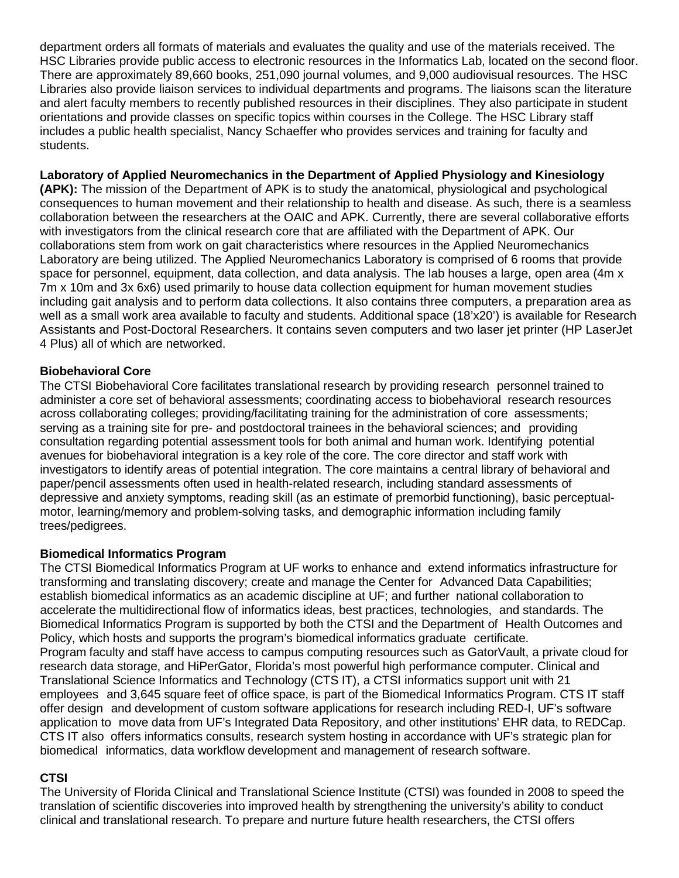department orders all formats of materials and evaluates the quality and use of the materials received. The HSC Libraries provide public access to electronic resources in the Informatics Lab, located on the second floor. There are approximately 89,660 books, 251,090 journal volumes, and 9,000 audiovisual resources. The HSC Libraries also provide liaison services to individual departments and programs. The liaisons scan the literature and alert faculty members to recently published resources in their disciplines. They also participate in student orientations and provide classes on specific topics within courses in the College. The HSC Library staff includes a public health specialist, Nancy Schaeffer who provides services and training for faculty and students.

## **Laboratory of Applied Neuromechanics in the Department of Applied Physiology and Kinesiology**

**(APK):** The mission of the Department of APK is to study the anatomical, physiological and psychological consequences to human movement and their relationship to health and disease. As such, there is a seamless collaboration between the researchers at the OAIC and APK. Currently, there are several collaborative efforts with investigators from the clinical research core that are affiliated with the Department of APK. Our collaborations stem from work on gait characteristics where resources in the Applied Neuromechanics Laboratory are being utilized. The Applied Neuromechanics Laboratory is comprised of 6 rooms that provide space for personnel, equipment, data collection, and data analysis. The lab houses a large, open area (4m x 7m x 10m and 3x 6x6) used primarily to house data collection equipment for human movement studies including gait analysis and to perform data collections. It also contains three computers, a preparation area as well as a small work area available to faculty and students. Additional space (18'x20') is available for Research Assistants and Post-Doctoral Researchers. It contains seven computers and two laser jet printer (HP LaserJet 4 Plus) all of which are networked.

## **Biobehavioral Core**

The CTSI Biobehavioral Core facilitates translational research by providing research personnel trained to administer a core set of behavioral assessments; coordinating access to biobehavioral research resources across collaborating colleges; providing/facilitating training for the administration of core assessments; serving as a training site for pre- and postdoctoral trainees in the behavioral sciences; and providing consultation regarding potential assessment tools for both animal and human work. Identifying potential avenues for biobehavioral integration is a key role of the core. The core director and staff work with investigators to identify areas of potential integration. The core maintains a central library of behavioral and paper/pencil assessments often used in health-related research, including standard assessments of depressive and anxiety symptoms, reading skill (as an estimate of premorbid functioning), basic perceptualmotor, learning/memory and problem-solving tasks, and demographic information including family trees/pedigrees.

## **Biomedical Informatics Program**

The CTSI Biomedical Informatics Program at UF works to enhance and extend informatics infrastructure for transforming and translating discovery; create and manage the Center for Advanced Data Capabilities; establish biomedical informatics as an academic discipline at UF; and further national collaboration to accelerate the multidirectional flow of informatics ideas, best practices, technologies, and standards. The Biomedical Informatics Program is supported by both the CTSI and the Department of Health Outcomes and Policy, which hosts and supports the program's biomedical informatics graduate certificate. Program faculty and staff have access to campus computing resources such as GatorVault, a private cloud for research data storage, and HiPerGator, Florida's most powerful high performance computer. Clinical and Translational Science Informatics and Technology (CTS IT), a CTSI informatics support unit with 21 employees and 3,645 square feet of office space, is part of the Biomedical Informatics Program. CTS IT staff offer design and development of custom software applications for research including RED-I, UF's software application to move data from UF's Integrated Data Repository, and other institutions' EHR data, to REDCap. CTS IT also offers informatics consults, research system hosting in accordance with UF's strategic plan for biomedical informatics, data workflow development and management of research software.

# **CTSI**

The University of Florida Clinical and Translational Science Institute (CTSI) was founded in 2008 to speed the translation of scientific discoveries into improved health by strengthening the university's ability to conduct clinical and translational research. To prepare and nurture future health researchers, the CTSI offers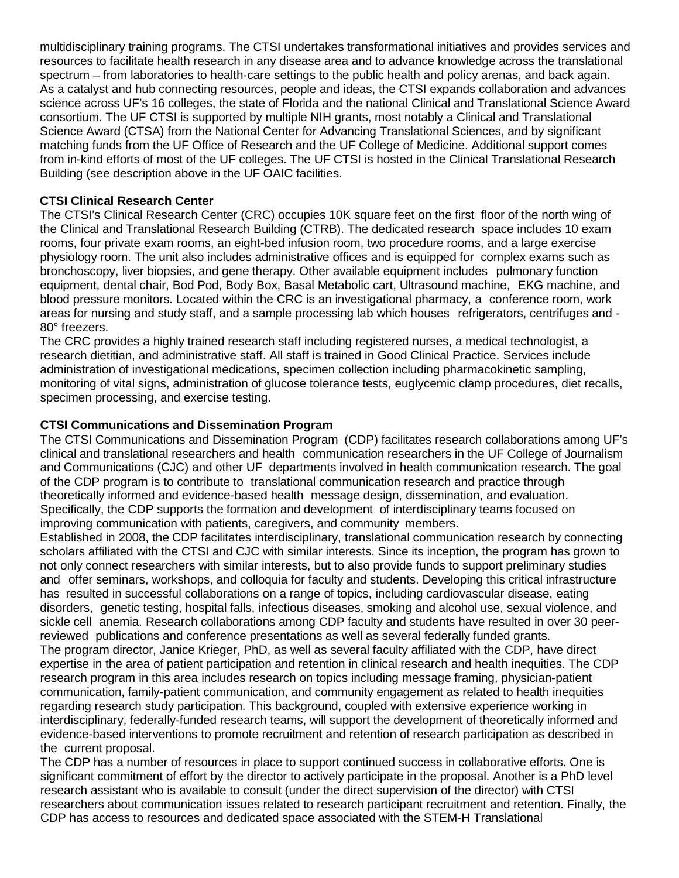multidisciplinary training programs. The CTSI undertakes transformational initiatives and provides services and resources to facilitate health research in any disease area and to advance knowledge across the translational spectrum – from laboratories to health-care settings to the public health and policy arenas, and back again. As a catalyst and hub connecting resources, people and ideas, the CTSI expands collaboration and advances science across UF's 16 colleges, the state of Florida and the national Clinical and Translational Science Award consortium. The UF CTSI is supported by multiple NIH grants, most notably a Clinical and Translational Science Award (CTSA) from the National Center for Advancing Translational Sciences, and by significant matching funds from the UF Office of Research and the UF College of Medicine. Additional support comes from in-kind efforts of most of the UF colleges. The UF CTSI is hosted in the Clinical Translational Research Building (see description above in the UF OAIC facilities.

## **CTSI Clinical Research Center**

The CTSI's Clinical Research Center (CRC) occupies 10K square feet on the first floor of the north wing of the Clinical and Translational Research Building (CTRB). The dedicated research space includes 10 exam rooms, four private exam rooms, an eight-bed infusion room, two procedure rooms, and a large exercise physiology room. The unit also includes administrative offices and is equipped for complex exams such as bronchoscopy, liver biopsies, and gene therapy. Other available equipment includes pulmonary function equipment, dental chair, Bod Pod, Body Box, Basal Metabolic cart, Ultrasound machine, EKG machine, and blood pressure monitors. Located within the CRC is an investigational pharmacy, a conference room, work areas for nursing and study staff, and a sample processing lab which houses refrigerators, centrifuges and - 80° freezers.

The CRC provides a highly trained research staff including registered nurses, a medical technologist, a research dietitian, and administrative staff. All staff is trained in Good Clinical Practice. Services include administration of investigational medications, specimen collection including pharmacokinetic sampling, monitoring of vital signs, administration of glucose tolerance tests, euglycemic clamp procedures, diet recalls, specimen processing, and exercise testing.

## **CTSI Communications and Dissemination Program**

The CTSI Communications and Dissemination Program (CDP) facilitates research collaborations among UF's clinical and translational researchers and health communication researchers in the UF College of Journalism and Communications (CJC) and other UF departments involved in health communication research. The goal of the CDP program is to contribute to translational communication research and practice through theoretically informed and evidence-based health message design, dissemination, and evaluation. Specifically, the CDP supports the formation and development of interdisciplinary teams focused on improving communication with patients, caregivers, and community members.

Established in 2008, the CDP facilitates interdisciplinary, translational communication research by connecting scholars affiliated with the CTSI and CJC with similar interests. Since its inception, the program has grown to not only connect researchers with similar interests, but to also provide funds to support preliminary studies and offer seminars, workshops, and colloquia for faculty and students. Developing this critical infrastructure has resulted in successful collaborations on a range of topics, including cardiovascular disease, eating disorders, genetic testing, hospital falls, infectious diseases, smoking and alcohol use, sexual violence, and sickle cell anemia. Research collaborations among CDP faculty and students have resulted in over 30 peerreviewed publications and conference presentations as well as several federally funded grants. The program director, Janice Krieger, PhD, as well as several faculty affiliated with the CDP, have direct expertise in the area of patient participation and retention in clinical research and health inequities. The CDP research program in this area includes research on topics including message framing, physician-patient communication, family-patient communication, and community engagement as related to health inequities regarding research study participation. This background, coupled with extensive experience working in interdisciplinary, federally-funded research teams, will support the development of theoretically informed and evidence-based interventions to promote recruitment and retention of research participation as described in the current proposal.

The CDP has a number of resources in place to support continued success in collaborative efforts. One is significant commitment of effort by the director to actively participate in the proposal. Another is a PhD level research assistant who is available to consult (under the direct supervision of the director) with CTSI researchers about communication issues related to research participant recruitment and retention. Finally, the CDP has access to resources and dedicated space associated with the STEM-H Translational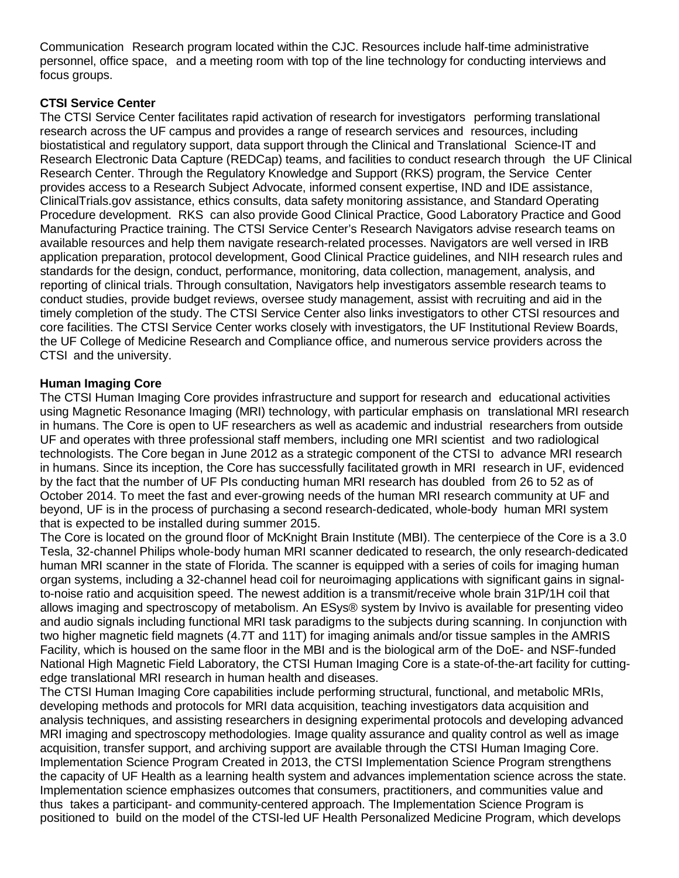Communication Research program located within the CJC. Resources include half-time administrative personnel, office space, and a meeting room with top of the line technology for conducting interviews and focus groups.

## **CTSI Service Center**

The CTSI Service Center facilitates rapid activation of research for investigators performing translational research across the UF campus and provides a range of research services and resources, including biostatistical and regulatory support, data support through the Clinical and Translational Science-IT and Research Electronic Data Capture (REDCap) teams, and facilities to conduct research through the UF Clinical Research Center. Through the Regulatory Knowledge and Support (RKS) program, the Service Center provides access to a Research Subject Advocate, informed consent expertise, IND and IDE assistance, ClinicalTrials.gov assistance, ethics consults, data safety monitoring assistance, and Standard Operating Procedure development. RKS can also provide Good Clinical Practice, Good Laboratory Practice and Good Manufacturing Practice training. The CTSI Service Center's Research Navigators advise research teams on available resources and help them navigate research-related processes. Navigators are well versed in IRB application preparation, protocol development, Good Clinical Practice guidelines, and NIH research rules and standards for the design, conduct, performance, monitoring, data collection, management, analysis, and reporting of clinical trials. Through consultation, Navigators help investigators assemble research teams to conduct studies, provide budget reviews, oversee study management, assist with recruiting and aid in the timely completion of the study. The CTSI Service Center also links investigators to other CTSI resources and core facilities. The CTSI Service Center works closely with investigators, the UF Institutional Review Boards, the UF College of Medicine Research and Compliance office, and numerous service providers across the CTSI and the university.

## **Human Imaging Core**

The CTSI Human Imaging Core provides infrastructure and support for research and educational activities using Magnetic Resonance Imaging (MRI) technology, with particular emphasis on translational MRI research in humans. The Core is open to UF researchers as well as academic and industrial researchers from outside UF and operates with three professional staff members, including one MRI scientist and two radiological technologists. The Core began in June 2012 as a strategic component of the CTSI to advance MRI research in humans. Since its inception, the Core has successfully facilitated growth in MRI research in UF, evidenced by the fact that the number of UF PIs conducting human MRI research has doubled from 26 to 52 as of October 2014. To meet the fast and ever-growing needs of the human MRI research community at UF and beyond, UF is in the process of purchasing a second research-dedicated, whole-body human MRI system that is expected to be installed during summer 2015.

The Core is located on the ground floor of McKnight Brain Institute (MBI). The centerpiece of the Core is a 3.0 Tesla, 32-channel Philips whole-body human MRI scanner dedicated to research, the only research-dedicated human MRI scanner in the state of Florida. The scanner is equipped with a series of coils for imaging human organ systems, including a 32-channel head coil for neuroimaging applications with significant gains in signalto-noise ratio and acquisition speed. The newest addition is a transmit/receive whole brain 31P/1H coil that allows imaging and spectroscopy of metabolism. An ESys® system by Invivo is available for presenting video and audio signals including functional MRI task paradigms to the subjects during scanning. In conjunction with two higher magnetic field magnets (4.7T and 11T) for imaging animals and/or tissue samples in the AMRIS Facility, which is housed on the same floor in the MBI and is the biological arm of the DoE- and NSF-funded National High Magnetic Field Laboratory, the CTSI Human Imaging Core is a state-of-the-art facility for cuttingedge translational MRI research in human health and diseases.

The CTSI Human Imaging Core capabilities include performing structural, functional, and metabolic MRIs, developing methods and protocols for MRI data acquisition, teaching investigators data acquisition and analysis techniques, and assisting researchers in designing experimental protocols and developing advanced MRI imaging and spectroscopy methodologies. Image quality assurance and quality control as well as image acquisition, transfer support, and archiving support are available through the CTSI Human Imaging Core. Implementation Science Program Created in 2013, the CTSI Implementation Science Program strengthens the capacity of UF Health as a learning health system and advances implementation science across the state. Implementation science emphasizes outcomes that consumers, practitioners, and communities value and thus takes a participant- and community-centered approach. The Implementation Science Program is positioned to build on the model of the CTSI-led UF Health Personalized Medicine Program, which develops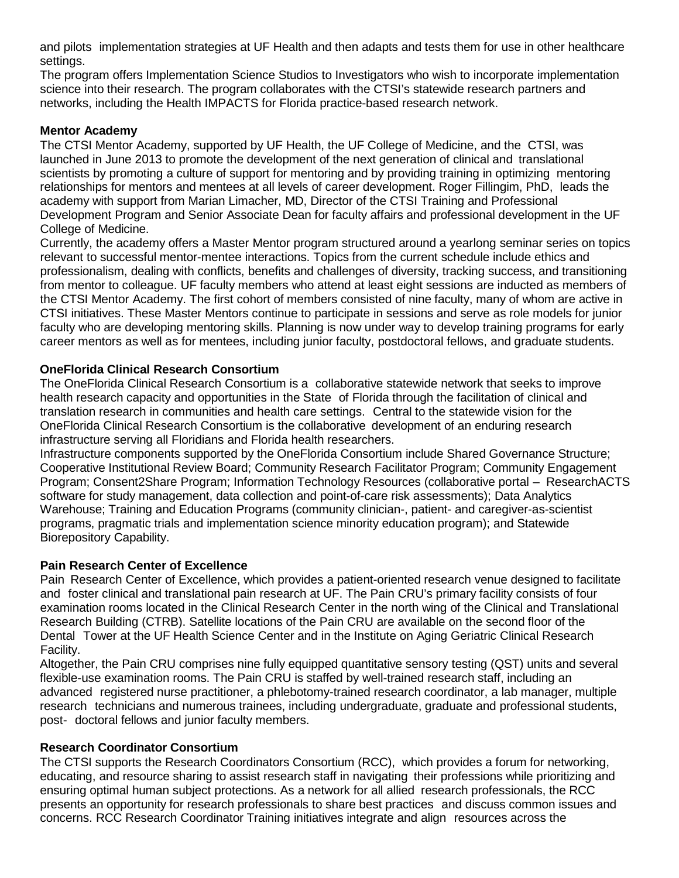and pilots implementation strategies at UF Health and then adapts and tests them for use in other healthcare settings.

The program offers Implementation Science Studios to Investigators who wish to incorporate implementation science into their research. The program collaborates with the CTSI's statewide research partners and networks, including the Health IMPACTS for Florida practice-based research network.

## **Mentor Academy**

The CTSI Mentor Academy, supported by UF Health, the UF College of Medicine, and the CTSI, was launched in June 2013 to promote the development of the next generation of clinical and translational scientists by promoting a culture of support for mentoring and by providing training in optimizing mentoring relationships for mentors and mentees at all levels of career development. Roger Fillingim, PhD, leads the academy with support from Marian Limacher, MD, Director of the CTSI Training and Professional Development Program and Senior Associate Dean for faculty affairs and professional development in the UF College of Medicine.

Currently, the academy offers a Master Mentor program structured around a yearlong seminar series on topics relevant to successful mentor-mentee interactions. Topics from the current schedule include ethics and professionalism, dealing with conflicts, benefits and challenges of diversity, tracking success, and transitioning from mentor to colleague. UF faculty members who attend at least eight sessions are inducted as members of the CTSI Mentor Academy. The first cohort of members consisted of nine faculty, many of whom are active in CTSI initiatives. These Master Mentors continue to participate in sessions and serve as role models for junior faculty who are developing mentoring skills. Planning is now under way to develop training programs for early career mentors as well as for mentees, including junior faculty, postdoctoral fellows, and graduate students.

## **OneFlorida Clinical Research Consortium**

The OneFlorida Clinical Research Consortium is a collaborative statewide network that seeks to improve health research capacity and opportunities in the State of Florida through the facilitation of clinical and translation research in communities and health care settings. Central to the statewide vision for the OneFlorida Clinical Research Consortium is the collaborative development of an enduring research infrastructure serving all Floridians and Florida health researchers.

Infrastructure components supported by the OneFlorida Consortium include Shared Governance Structure; Cooperative Institutional Review Board; Community Research Facilitator Program; Community Engagement Program; Consent2Share Program; Information Technology Resources (collaborative portal – ResearchACTS software for study management, data collection and point-of-care risk assessments); Data Analytics Warehouse; Training and Education Programs (community clinician-, patient- and caregiver-as-scientist programs, pragmatic trials and implementation science minority education program); and Statewide Biorepository Capability.

## **Pain Research Center of Excellence**

Pain Research Center of Excellence, which provides a patient-oriented research venue designed to facilitate and foster clinical and translational pain research at UF. The Pain CRU's primary facility consists of four examination rooms located in the Clinical Research Center in the north wing of the Clinical and Translational Research Building (CTRB). Satellite locations of the Pain CRU are available on the second floor of the Dental Tower at the UF Health Science Center and in the Institute on Aging Geriatric Clinical Research Facility.

Altogether, the Pain CRU comprises nine fully equipped quantitative sensory testing (QST) units and several flexible-use examination rooms. The Pain CRU is staffed by well-trained research staff, including an advanced registered nurse practitioner, a phlebotomy-trained research coordinator, a lab manager, multiple research technicians and numerous trainees, including undergraduate, graduate and professional students, post- doctoral fellows and junior faculty members.

## **Research Coordinator Consortium**

The CTSI supports the Research Coordinators Consortium (RCC), which provides a forum for networking, educating, and resource sharing to assist research staff in navigating their professions while prioritizing and ensuring optimal human subject protections. As a network for all allied research professionals, the RCC presents an opportunity for research professionals to share best practices and discuss common issues and concerns. RCC Research Coordinator Training initiatives integrate and align resources across the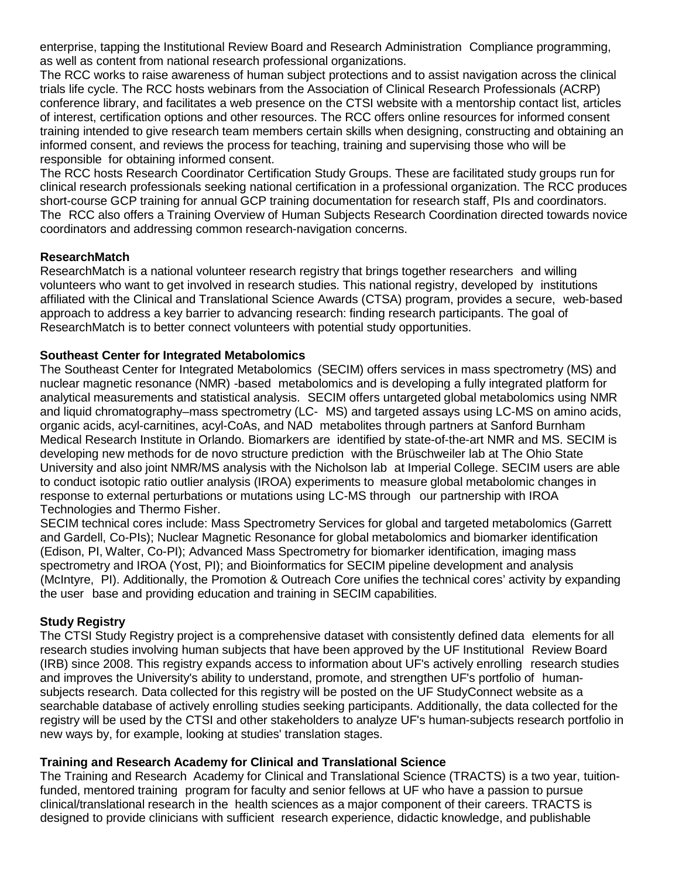enterprise, tapping the Institutional Review Board and Research Administration Compliance programming, as well as content from national research professional organizations.

The RCC works to raise awareness of human subject protections and to assist navigation across the clinical trials life cycle. The RCC hosts webinars from the Association of Clinical Research Professionals (ACRP) conference library, and facilitates a web presence on the CTSI website with a mentorship contact list, articles of interest, certification options and other resources. The RCC offers online resources for informed consent training intended to give research team members certain skills when designing, constructing and obtaining an informed consent, and reviews the process for teaching, training and supervising those who will be responsible for obtaining informed consent.

The RCC hosts Research Coordinator Certification Study Groups. These are facilitated study groups run for clinical research professionals seeking national certification in a professional organization. The RCC produces short-course GCP training for annual GCP training documentation for research staff, PIs and coordinators. The RCC also offers a Training Overview of Human Subjects Research Coordination directed towards novice coordinators and addressing common research-navigation concerns.

## **ResearchMatch**

ResearchMatch is a national volunteer research registry that brings together researchers and willing volunteers who want to get involved in research studies. This national registry, developed by institutions affiliated with the Clinical and Translational Science Awards (CTSA) program, provides a secure, web-based approach to address a key barrier to advancing research: finding research participants. The goal of ResearchMatch is to better connect volunteers with potential study opportunities.

## **Southeast Center for Integrated Metabolomics**

The Southeast Center for Integrated Metabolomics (SECIM) offers services in mass spectrometry (MS) and nuclear magnetic resonance (NMR) -based metabolomics and is developing a fully integrated platform for analytical measurements and statistical analysis. SECIM offers untargeted global metabolomics using NMR and liquid chromatography–mass spectrometry (LC- MS) and targeted assays using LC-MS on amino acids, organic acids, acyl-carnitines, acyl-CoAs, and NAD metabolites through partners at Sanford Burnham Medical Research Institute in Orlando. Biomarkers are identified by state-of-the-art NMR and MS. SECIM is developing new methods for de novo structure prediction with the Brüschweiler lab at The Ohio State University and also joint NMR/MS analysis with the Nicholson lab at Imperial College. SECIM users are able to conduct isotopic ratio outlier analysis (IROA) experiments to measure global metabolomic changes in response to external perturbations or mutations using LC-MS through our partnership with IROA Technologies and Thermo Fisher.

SECIM technical cores include: Mass Spectrometry Services for global and targeted metabolomics (Garrett and Gardell, Co-PIs); Nuclear Magnetic Resonance for global metabolomics and biomarker identification (Edison, PI, Walter, Co-PI); Advanced Mass Spectrometry for biomarker identification, imaging mass spectrometry and IROA (Yost, PI); and Bioinformatics for SECIM pipeline development and analysis (McIntyre, PI). Additionally, the Promotion & Outreach Core unifies the technical cores' activity by expanding the user base and providing education and training in SECIM capabilities.

# **Study Registry**

The CTSI Study Registry project is a comprehensive dataset with consistently defined data elements for all research studies involving human subjects that have been approved by the UF Institutional Review Board (IRB) since 2008. This registry expands access to information about UF's actively enrolling research studies and improves the University's ability to understand, promote, and strengthen UF's portfolio of humansubjects research. Data collected for this registry will be posted on the UF StudyConnect website as a searchable database of actively enrolling studies seeking participants. Additionally, the data collected for the registry will be used by the CTSI and other stakeholders to analyze UF's human-subjects research portfolio in new ways by, for example, looking at studies' translation stages.

# **Training and Research Academy for Clinical and Translational Science**

The Training and Research Academy for Clinical and Translational Science (TRACTS) is a two year, tuitionfunded, mentored training program for faculty and senior fellows at UF who have a passion to pursue clinical/translational research in the health sciences as a major component of their careers. TRACTS is designed to provide clinicians with sufficient research experience, didactic knowledge, and publishable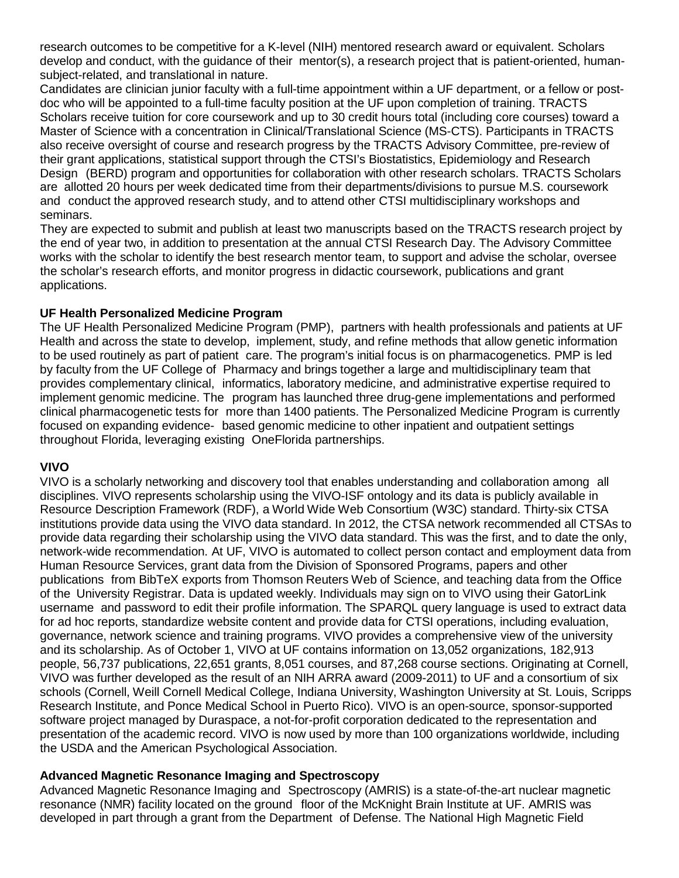research outcomes to be competitive for a K-level (NIH) mentored research award or equivalent. Scholars develop and conduct, with the guidance of their mentor(s), a research project that is patient-oriented, humansubject-related, and translational in nature.

Candidates are clinician junior faculty with a full-time appointment within a UF department, or a fellow or postdoc who will be appointed to a full-time faculty position at the UF upon completion of training. TRACTS Scholars receive tuition for core coursework and up to 30 credit hours total (including core courses) toward a Master of Science with a concentration in Clinical/Translational Science (MS-CTS). Participants in TRACTS also receive oversight of course and research progress by the TRACTS Advisory Committee, pre-review of their grant applications, statistical support through the CTSI's Biostatistics, Epidemiology and Research Design (BERD) program and opportunities for collaboration with other research scholars. TRACTS Scholars are allotted 20 hours per week dedicated time from their departments/divisions to pursue M.S. coursework and conduct the approved research study, and to attend other CTSI multidisciplinary workshops and seminars.

They are expected to submit and publish at least two manuscripts based on the TRACTS research project by the end of year two, in addition to presentation at the annual CTSI Research Day. The Advisory Committee works with the scholar to identify the best research mentor team, to support and advise the scholar, oversee the scholar's research efforts, and monitor progress in didactic coursework, publications and grant applications.

## **UF Health Personalized Medicine Program**

The UF Health Personalized Medicine Program (PMP), partners with health professionals and patients at UF Health and across the state to develop, implement, study, and refine methods that allow genetic information to be used routinely as part of patient care. The program's initial focus is on pharmacogenetics. PMP is led by faculty from the UF College of Pharmacy and brings together a large and multidisciplinary team that provides complementary clinical, informatics, laboratory medicine, and administrative expertise required to implement genomic medicine. The program has launched three drug-gene implementations and performed clinical pharmacogenetic tests for more than 1400 patients. The Personalized Medicine Program is currently focused on expanding evidence- based genomic medicine to other inpatient and outpatient settings throughout Florida, leveraging existing OneFlorida partnerships.

#### **VIVO**

VIVO is a scholarly networking and discovery tool that enables understanding and collaboration among all disciplines. VIVO represents scholarship using the VIVO-ISF ontology and its data is publicly available in Resource Description Framework (RDF), a World Wide Web Consortium (W3C) standard. Thirty-six CTSA institutions provide data using the VIVO data standard. In 2012, the CTSA network recommended all CTSAs to provide data regarding their scholarship using the VIVO data standard. This was the first, and to date the only, network-wide recommendation. At UF, VIVO is automated to collect person contact and employment data from Human Resource Services, grant data from the Division of Sponsored Programs, papers and other publications from BibTeX exports from Thomson Reuters Web of Science, and teaching data from the Office of the University Registrar. Data is updated weekly. Individuals may sign on to VIVO using their GatorLink username and password to edit their profile information. The SPARQL query language is used to extract data for ad hoc reports, standardize website content and provide data for CTSI operations, including evaluation, governance, network science and training programs. VIVO provides a comprehensive view of the university and its scholarship. As of October 1, VIVO at UF contains information on 13,052 organizations, 182,913 people, 56,737 publications, 22,651 grants, 8,051 courses, and 87,268 course sections. Originating at Cornell, VIVO was further developed as the result of an NIH ARRA award (2009-2011) to UF and a consortium of six schools (Cornell, Weill Cornell Medical College, Indiana University, Washington University at St. Louis, Scripps Research Institute, and Ponce Medical School in Puerto Rico). VIVO is an open-source, sponsor-supported software project managed by Duraspace, a not-for-profit corporation dedicated to the representation and presentation of the academic record. VIVO is now used by more than 100 organizations worldwide, including the USDA and the American Psychological Association.

## **Advanced Magnetic Resonance Imaging and Spectroscopy**

Advanced Magnetic Resonance Imaging and Spectroscopy (AMRIS) is a state-of-the-art nuclear magnetic resonance (NMR) facility located on the ground floor of the McKnight Brain Institute at UF. AMRIS was developed in part through a grant from the Department of Defense. The National High Magnetic Field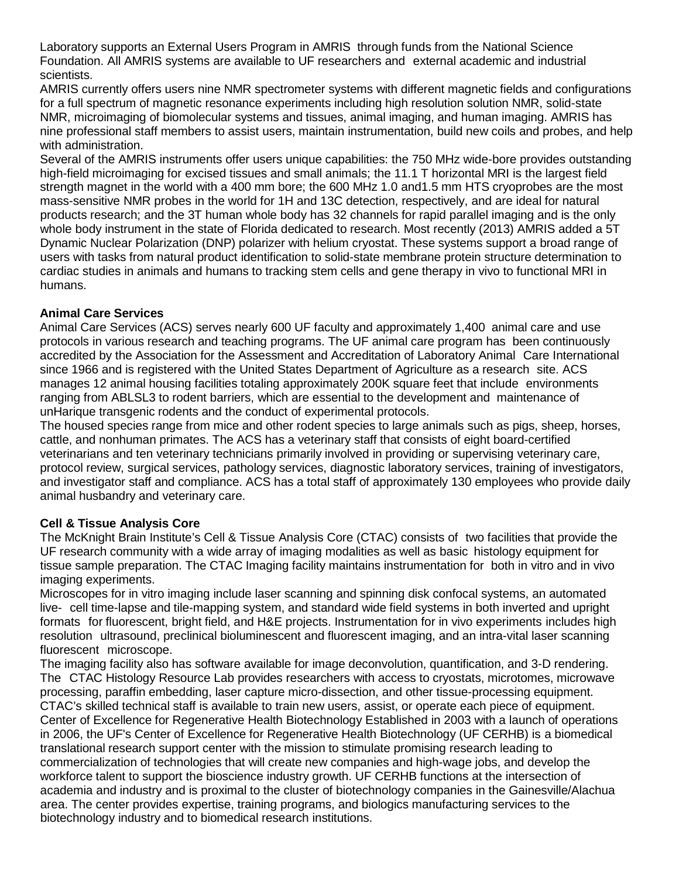Laboratory supports an External Users Program in AMRIS through funds from the National Science Foundation. All AMRIS systems are available to UF researchers and external academic and industrial scientists.

AMRIS currently offers users nine NMR spectrometer systems with different magnetic fields and configurations for a full spectrum of magnetic resonance experiments including high resolution solution NMR, solid-state NMR, microimaging of biomolecular systems and tissues, animal imaging, and human imaging. AMRIS has nine professional staff members to assist users, maintain instrumentation, build new coils and probes, and help with administration.

Several of the AMRIS instruments offer users unique capabilities: the 750 MHz wide-bore provides outstanding high-field microimaging for excised tissues and small animals; the 11.1 T horizontal MRI is the largest field strength magnet in the world with a 400 mm bore; the 600 MHz 1.0 and1.5 mm HTS cryoprobes are the most mass-sensitive NMR probes in the world for 1H and 13C detection, respectively, and are ideal for natural products research; and the 3T human whole body has 32 channels for rapid parallel imaging and is the only whole body instrument in the state of Florida dedicated to research. Most recently (2013) AMRIS added a 5T Dynamic Nuclear Polarization (DNP) polarizer with helium cryostat. These systems support a broad range of users with tasks from natural product identification to solid-state membrane protein structure determination to cardiac studies in animals and humans to tracking stem cells and gene therapy in vivo to functional MRI in humans.

## **Animal Care Services**

Animal Care Services (ACS) serves nearly 600 UF faculty and approximately 1,400 animal care and use protocols in various research and teaching programs. The UF animal care program has been continuously accredited by the Association for the Assessment and Accreditation of Laboratory Animal Care International since 1966 and is registered with the United States Department of Agriculture as a research site. ACS manages 12 animal housing facilities totaling approximately 200K square feet that include environments ranging from ABLSL3 to rodent barriers, which are essential to the development and maintenance of unHarique transgenic rodents and the conduct of experimental protocols.

The housed species range from mice and other rodent species to large animals such as pigs, sheep, horses, cattle, and nonhuman primates. The ACS has a veterinary staff that consists of eight board-certified veterinarians and ten veterinary technicians primarily involved in providing or supervising veterinary care, protocol review, surgical services, pathology services, diagnostic laboratory services, training of investigators, and investigator staff and compliance. ACS has a total staff of approximately 130 employees who provide daily animal husbandry and veterinary care.

# **Cell & Tissue Analysis Core**

The McKnight Brain Institute's Cell & Tissue Analysis Core (CTAC) consists of two facilities that provide the UF research community with a wide array of imaging modalities as well as basic histology equipment for tissue sample preparation. The CTAC Imaging facility maintains instrumentation for both in vitro and in vivo imaging experiments.

Microscopes for in vitro imaging include laser scanning and spinning disk confocal systems, an automated live- cell time-lapse and tile-mapping system, and standard wide field systems in both inverted and upright formats for fluorescent, bright field, and H&E projects. Instrumentation for in vivo experiments includes high resolution ultrasound, preclinical bioluminescent and fluorescent imaging, and an intra-vital laser scanning fluorescent microscope.

The imaging facility also has software available for image deconvolution, quantification, and 3-D rendering. The CTAC Histology Resource Lab provides researchers with access to cryostats, microtomes, microwave processing, paraffin embedding, laser capture micro-dissection, and other tissue-processing equipment. CTAC's skilled technical staff is available to train new users, assist, or operate each piece of equipment. Center of Excellence for Regenerative Health Biotechnology Established in 2003 with a launch of operations in 2006, the UF's Center of Excellence for Regenerative Health Biotechnology (UF CERHB) is a biomedical translational research support center with the mission to stimulate promising research leading to commercialization of technologies that will create new companies and high-wage jobs, and develop the workforce talent to support the bioscience industry growth. UF CERHB functions at the intersection of academia and industry and is proximal to the cluster of biotechnology companies in the Gainesville/Alachua area. The center provides expertise, training programs, and biologics manufacturing services to the biotechnology industry and to biomedical research institutions.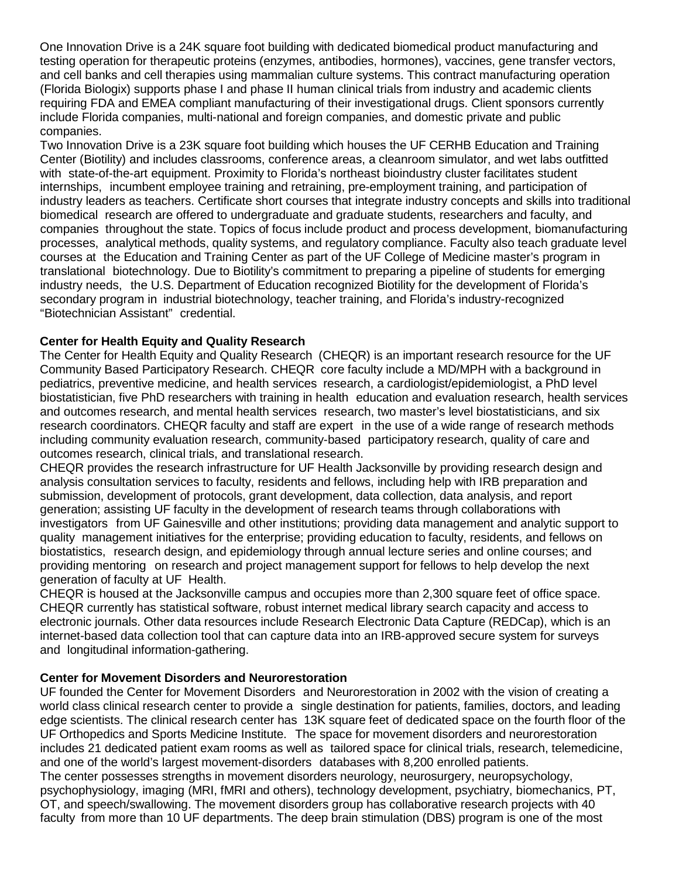One Innovation Drive is a 24K square foot building with dedicated biomedical product manufacturing and testing operation for therapeutic proteins (enzymes, antibodies, hormones), vaccines, gene transfer vectors, and cell banks and cell therapies using mammalian culture systems. This contract manufacturing operation (Florida Biologix) supports phase I and phase II human clinical trials from industry and academic clients requiring FDA and EMEA compliant manufacturing of their investigational drugs. Client sponsors currently include Florida companies, multi-national and foreign companies, and domestic private and public companies.

Two Innovation Drive is a 23K square foot building which houses the UF CERHB Education and Training Center (Biotility) and includes classrooms, conference areas, a cleanroom simulator, and wet labs outfitted with state-of-the-art equipment. Proximity to Florida's northeast bioindustry cluster facilitates student internships, incumbent employee training and retraining, pre-employment training, and participation of industry leaders as teachers. Certificate short courses that integrate industry concepts and skills into traditional biomedical research are offered to undergraduate and graduate students, researchers and faculty, and companies throughout the state. Topics of focus include product and process development, biomanufacturing processes, analytical methods, quality systems, and regulatory compliance. Faculty also teach graduate level courses at the Education and Training Center as part of the UF College of Medicine master's program in translational biotechnology. Due to Biotility's commitment to preparing a pipeline of students for emerging industry needs, the U.S. Department of Education recognized Biotility for the development of Florida's secondary program in industrial biotechnology, teacher training, and Florida's industry-recognized "Biotechnician Assistant" credential.

## **Center for Health Equity and Quality Research**

The Center for Health Equity and Quality Research (CHEQR) is an important research resource for the UF Community Based Participatory Research. CHEQR core faculty include a MD/MPH with a background in pediatrics, preventive medicine, and health services research, a cardiologist/epidemiologist, a PhD level biostatistician, five PhD researchers with training in health education and evaluation research, health services and outcomes research, and mental health services research, two master's level biostatisticians, and six research coordinators. CHEQR faculty and staff are expert in the use of a wide range of research methods including community evaluation research, community-based participatory research, quality of care and outcomes research, clinical trials, and translational research.

CHEQR provides the research infrastructure for UF Health Jacksonville by providing research design and analysis consultation services to faculty, residents and fellows, including help with IRB preparation and submission, development of protocols, grant development, data collection, data analysis, and report generation; assisting UF faculty in the development of research teams through collaborations with investigators from UF Gainesville and other institutions; providing data management and analytic support to quality management initiatives for the enterprise; providing education to faculty, residents, and fellows on biostatistics, research design, and epidemiology through annual lecture series and online courses; and providing mentoring on research and project management support for fellows to help develop the next generation of faculty at UF Health.

CHEQR is housed at the Jacksonville campus and occupies more than 2,300 square feet of office space. CHEQR currently has statistical software, robust internet medical library search capacity and access to electronic journals. Other data resources include Research Electronic Data Capture (REDCap), which is an internet-based data collection tool that can capture data into an IRB-approved secure system for surveys and longitudinal information-gathering.

#### **Center for Movement Disorders and Neurorestoration**

UF founded the Center for Movement Disorders and Neurorestoration in 2002 with the vision of creating a world class clinical research center to provide a single destination for patients, families, doctors, and leading edge scientists. The clinical research center has 13K square feet of dedicated space on the fourth floor of the UF Orthopedics and Sports Medicine Institute. The space for movement disorders and neurorestoration includes 21 dedicated patient exam rooms as well as tailored space for clinical trials, research, telemedicine, and one of the world's largest movement-disorders databases with 8,200 enrolled patients.

The center possesses strengths in movement disorders neurology, neurosurgery, neuropsychology, psychophysiology, imaging (MRI, fMRI and others), technology development, psychiatry, biomechanics, PT, OT, and speech/swallowing. The movement disorders group has collaborative research projects with 40 faculty from more than 10 UF departments. The deep brain stimulation (DBS) program is one of the most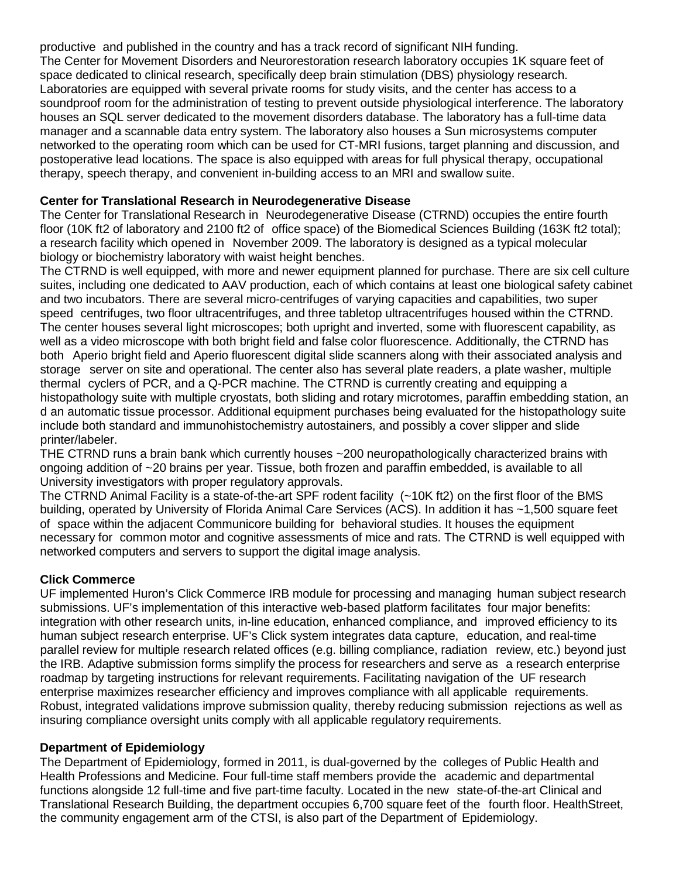productive and published in the country and has a track record of significant NIH funding. The Center for Movement Disorders and Neurorestoration research laboratory occupies 1K square feet of space dedicated to clinical research, specifically deep brain stimulation (DBS) physiology research. Laboratories are equipped with several private rooms for study visits, and the center has access to a soundproof room for the administration of testing to prevent outside physiological interference. The laboratory houses an SQL server dedicated to the movement disorders database. The laboratory has a full-time data manager and a scannable data entry system. The laboratory also houses a Sun microsystems computer networked to the operating room which can be used for CT-MRI fusions, target planning and discussion, and postoperative lead locations. The space is also equipped with areas for full physical therapy, occupational therapy, speech therapy, and convenient in-building access to an MRI and swallow suite.

## **Center for Translational Research in Neurodegenerative Disease**

The Center for Translational Research in Neurodegenerative Disease (CTRND) occupies the entire fourth floor (10K ft2 of laboratory and 2100 ft2 of office space) of the Biomedical Sciences Building (163K ft2 total); a research facility which opened in November 2009. The laboratory is designed as a typical molecular biology or biochemistry laboratory with waist height benches.

The CTRND is well equipped, with more and newer equipment planned for purchase. There are six cell culture suites, including one dedicated to AAV production, each of which contains at least one biological safety cabinet and two incubators. There are several micro-centrifuges of varying capacities and capabilities, two super speed centrifuges, two floor ultracentrifuges, and three tabletop ultracentrifuges housed within the CTRND. The center houses several light microscopes; both upright and inverted, some with fluorescent capability, as well as a video microscope with both bright field and false color fluorescence. Additionally, the CTRND has both Aperio bright field and Aperio fluorescent digital slide scanners along with their associated analysis and storage server on site and operational. The center also has several plate readers, a plate washer, multiple thermal cyclers of PCR, and a Q-PCR machine. The CTRND is currently creating and equipping a histopathology suite with multiple cryostats, both sliding and rotary microtomes, paraffin embedding station, an d an automatic tissue processor. Additional equipment purchases being evaluated for the histopathology suite include both standard and immunohistochemistry autostainers, and possibly a cover slipper and slide printer/labeler.

THE CTRND runs a brain bank which currently houses ~200 neuropathologically characterized brains with ongoing addition of ~20 brains per year. Tissue, both frozen and paraffin embedded, is available to all University investigators with proper regulatory approvals.

The CTRND Animal Facility is a state-of-the-art SPF rodent facility (~10K ft2) on the first floor of the BMS building, operated by University of Florida Animal Care Services (ACS). In addition it has ~1,500 square feet of space within the adjacent Communicore building for behavioral studies. It houses the equipment necessary for common motor and cognitive assessments of mice and rats. The CTRND is well equipped with networked computers and servers to support the digital image analysis.

# **Click Commerce**

UF implemented Huron's Click Commerce IRB module for processing and managing human subject research submissions. UF's implementation of this interactive web-based platform facilitates four major benefits: integration with other research units, in-line education, enhanced compliance, and improved efficiency to its human subject research enterprise. UF's Click system integrates data capture, education, and real-time parallel review for multiple research related offices (e.g. billing compliance, radiation review, etc.) beyond just the IRB. Adaptive submission forms simplify the process for researchers and serve as a research enterprise roadmap by targeting instructions for relevant requirements. Facilitating navigation of the UF research enterprise maximizes researcher efficiency and improves compliance with all applicable requirements. Robust, integrated validations improve submission quality, thereby reducing submission rejections as well as insuring compliance oversight units comply with all applicable regulatory requirements.

## **Department of Epidemiology**

The Department of Epidemiology, formed in 2011, is dual-governed by the colleges of Public Health and Health Professions and Medicine. Four full-time staff members provide the academic and departmental functions alongside 12 full-time and five part-time faculty. Located in the new state-of-the-art Clinical and Translational Research Building, the department occupies 6,700 square feet of the fourth floor. HealthStreet, the community engagement arm of the CTSI, is also part of the Department of Epidemiology.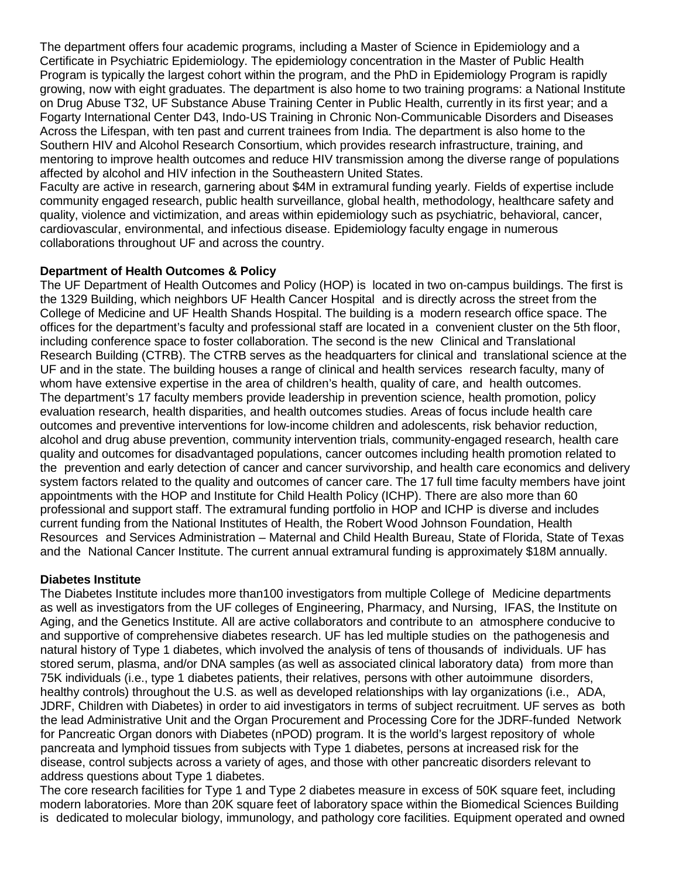The department offers four academic programs, including a Master of Science in Epidemiology and a Certificate in Psychiatric Epidemiology. The epidemiology concentration in the Master of Public Health Program is typically the largest cohort within the program, and the PhD in Epidemiology Program is rapidly growing, now with eight graduates. The department is also home to two training programs: a National Institute on Drug Abuse T32, UF Substance Abuse Training Center in Public Health, currently in its first year; and a Fogarty International Center D43, Indo-US Training in Chronic Non-Communicable Disorders and Diseases Across the Lifespan, with ten past and current trainees from India. The department is also home to the Southern HIV and Alcohol Research Consortium, which provides research infrastructure, training, and mentoring to improve health outcomes and reduce HIV transmission among the diverse range of populations affected by alcohol and HIV infection in the Southeastern United States.

Faculty are active in research, garnering about \$4M in extramural funding yearly. Fields of expertise include community engaged research, public health surveillance, global health, methodology, healthcare safety and quality, violence and victimization, and areas within epidemiology such as psychiatric, behavioral, cancer, cardiovascular, environmental, and infectious disease. Epidemiology faculty engage in numerous collaborations throughout UF and across the country.

## **Department of Health Outcomes & Policy**

The UF Department of Health Outcomes and Policy (HOP) is located in two on-campus buildings. The first is the 1329 Building, which neighbors UF Health Cancer Hospital and is directly across the street from the College of Medicine and UF Health Shands Hospital. The building is a modern research office space. The offices for the department's faculty and professional staff are located in a convenient cluster on the 5th floor, including conference space to foster collaboration. The second is the new Clinical and Translational Research Building (CTRB). The CTRB serves as the headquarters for clinical and translational science at the UF and in the state. The building houses a range of clinical and health services research faculty, many of whom have extensive expertise in the area of children's health, quality of care, and health outcomes. The department's 17 faculty members provide leadership in prevention science, health promotion, policy evaluation research, health disparities, and health outcomes studies. Areas of focus include health care outcomes and preventive interventions for low-income children and adolescents, risk behavior reduction, alcohol and drug abuse prevention, community intervention trials, community-engaged research, health care quality and outcomes for disadvantaged populations, cancer outcomes including health promotion related to the prevention and early detection of cancer and cancer survivorship, and health care economics and delivery system factors related to the quality and outcomes of cancer care. The 17 full time faculty members have joint appointments with the HOP and Institute for Child Health Policy (ICHP). There are also more than 60 professional and support staff. The extramural funding portfolio in HOP and ICHP is diverse and includes current funding from the National Institutes of Health, the Robert Wood Johnson Foundation, Health Resources and Services Administration – Maternal and Child Health Bureau, State of Florida, State of Texas and the National Cancer Institute. The current annual extramural funding is approximately \$18M annually.

## **Diabetes Institute**

The Diabetes Institute includes more than100 investigators from multiple College of Medicine departments as well as investigators from the UF colleges of Engineering, Pharmacy, and Nursing, IFAS, the Institute on Aging, and the Genetics Institute. All are active collaborators and contribute to an atmosphere conducive to and supportive of comprehensive diabetes research. UF has led multiple studies on the pathogenesis and natural history of Type 1 diabetes, which involved the analysis of tens of thousands of individuals. UF has stored serum, plasma, and/or DNA samples (as well as associated clinical laboratory data) from more than 75K individuals (i.e., type 1 diabetes patients, their relatives, persons with other autoimmune disorders, healthy controls) throughout the U.S. as well as developed relationships with lay organizations (i.e., ADA, JDRF, Children with Diabetes) in order to aid investigators in terms of subject recruitment. UF serves as both the lead Administrative Unit and the Organ Procurement and Processing Core for the JDRF-funded Network for Pancreatic Organ donors with Diabetes (nPOD) program. It is the world's largest repository of whole pancreata and lymphoid tissues from subjects with Type 1 diabetes, persons at increased risk for the disease, control subjects across a variety of ages, and those with other pancreatic disorders relevant to address questions about Type 1 diabetes.

The core research facilities for Type 1 and Type 2 diabetes measure in excess of 50K square feet, including modern laboratories. More than 20K square feet of laboratory space within the Biomedical Sciences Building is dedicated to molecular biology, immunology, and pathology core facilities. Equipment operated and owned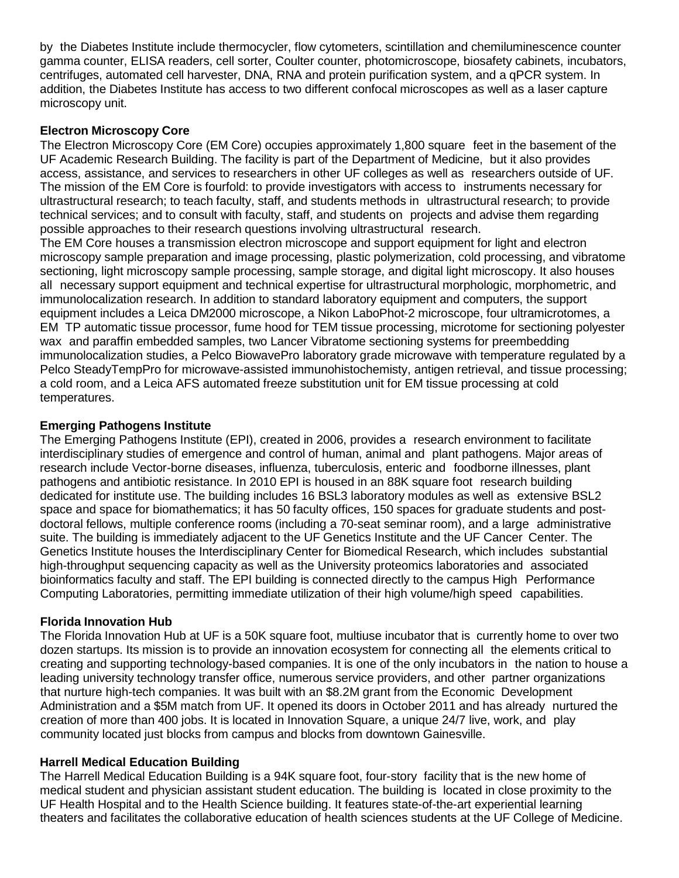by the Diabetes Institute include thermocycler, flow cytometers, scintillation and chemiluminescence counter gamma counter, ELISA readers, cell sorter, Coulter counter, photomicroscope, biosafety cabinets, incubators, centrifuges, automated cell harvester, DNA, RNA and protein purification system, and a qPCR system. In addition, the Diabetes Institute has access to two different confocal microscopes as well as a laser capture microscopy unit.

#### **Electron Microscopy Core**

The Electron Microscopy Core (EM Core) occupies approximately 1,800 square feet in the basement of the UF Academic Research Building. The facility is part of the Department of Medicine, but it also provides access, assistance, and services to researchers in other UF colleges as well as researchers outside of UF. The mission of the EM Core is fourfold: to provide investigators with access to instruments necessary for ultrastructural research; to teach faculty, staff, and students methods in ultrastructural research; to provide technical services; and to consult with faculty, staff, and students on projects and advise them regarding possible approaches to their research questions involving ultrastructural research.

The EM Core houses a transmission electron microscope and support equipment for light and electron microscopy sample preparation and image processing, plastic polymerization, cold processing, and vibratome sectioning, light microscopy sample processing, sample storage, and digital light microscopy. It also houses all necessary support equipment and technical expertise for ultrastructural morphologic, morphometric, and immunolocalization research. In addition to standard laboratory equipment and computers, the support equipment includes a Leica DM2000 microscope, a Nikon LaboPhot-2 microscope, four ultramicrotomes, a EM TP automatic tissue processor, fume hood for TEM tissue processing, microtome for sectioning polyester wax and paraffin embedded samples, two Lancer Vibratome sectioning systems for preembedding immunolocalization studies, a Pelco BiowavePro laboratory grade microwave with temperature regulated by a Pelco SteadyTempPro for microwave-assisted immunohistochemisty, antigen retrieval, and tissue processing; a cold room, and a Leica AFS automated freeze substitution unit for EM tissue processing at cold temperatures.

## **Emerging Pathogens Institute**

The Emerging Pathogens Institute (EPI), created in 2006, provides a research environment to facilitate interdisciplinary studies of emergence and control of human, animal and plant pathogens. Major areas of research include Vector-borne diseases, influenza, tuberculosis, enteric and foodborne illnesses, plant pathogens and antibiotic resistance. In 2010 EPI is housed in an 88K square foot research building dedicated for institute use. The building includes 16 BSL3 laboratory modules as well as extensive BSL2 space and space for biomathematics; it has 50 faculty offices, 150 spaces for graduate students and postdoctoral fellows, multiple conference rooms (including a 70-seat seminar room), and a large administrative suite. The building is immediately adjacent to the UF Genetics Institute and the UF Cancer Center. The Genetics Institute houses the Interdisciplinary Center for Biomedical Research, which includes substantial high-throughput sequencing capacity as well as the University proteomics laboratories and associated bioinformatics faculty and staff. The EPI building is connected directly to the campus High Performance Computing Laboratories, permitting immediate utilization of their high volume/high speed capabilities.

## **Florida Innovation Hub**

The Florida Innovation Hub at UF is a 50K square foot, multiuse incubator that is currently home to over two dozen startups. Its mission is to provide an innovation ecosystem for connecting all the elements critical to creating and supporting technology-based companies. It is one of the only incubators in the nation to house a leading university technology transfer office, numerous service providers, and other partner organizations that nurture high-tech companies. It was built with an \$8.2M grant from the Economic Development Administration and a \$5M match from UF. It opened its doors in October 2011 and has already nurtured the creation of more than 400 jobs. It is located in Innovation Square, a unique 24/7 live, work, and play community located just blocks from campus and blocks from downtown Gainesville.

#### **Harrell Medical Education Building**

The Harrell Medical Education Building is a 94K square foot, four-story facility that is the new home of medical student and physician assistant student education. The building is located in close proximity to the UF Health Hospital and to the Health Science building. It features state-of-the-art experiential learning theaters and facilitates the collaborative education of health sciences students at the UF College of Medicine.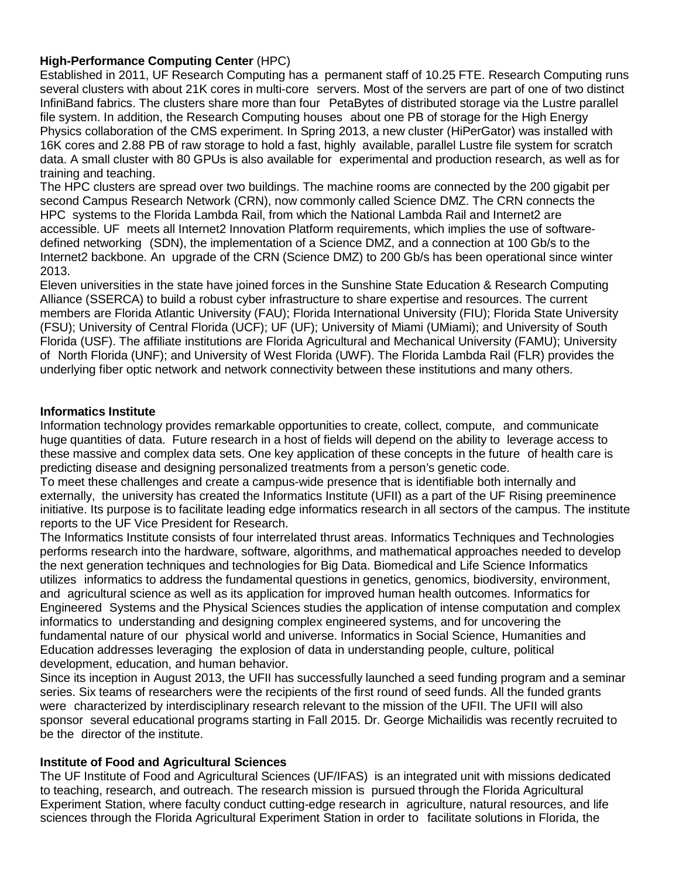## **High-Performance Computing Center** (HPC)

Established in 2011, UF Research Computing has a permanent staff of 10.25 FTE. Research Computing runs several clusters with about 21K cores in multi-core servers. Most of the servers are part of one of two distinct InfiniBand fabrics. The clusters share more than four PetaBytes of distributed storage via the Lustre parallel file system. In addition, the Research Computing houses about one PB of storage for the High Energy Physics collaboration of the CMS experiment. In Spring 2013, a new cluster (HiPerGator) was installed with 16K cores and 2.88 PB of raw storage to hold a fast, highly available, parallel Lustre file system for scratch data. A small cluster with 80 GPUs is also available for experimental and production research, as well as for training and teaching.

The HPC clusters are spread over two buildings. The machine rooms are connected by the 200 gigabit per second Campus Research Network (CRN), now commonly called Science DMZ. The CRN connects the HPC systems to the Florida Lambda Rail, from which the National Lambda Rail and Internet2 are accessible. UF meets all Internet2 Innovation Platform requirements, which implies the use of softwaredefined networking (SDN), the implementation of a Science DMZ, and a connection at 100 Gb/s to the Internet2 backbone. An upgrade of the CRN (Science DMZ) to 200 Gb/s has been operational since winter 2013.

Eleven universities in the state have joined forces in the Sunshine State Education & Research Computing Alliance (SSERCA) to build a robust cyber infrastructure to share expertise and resources. The current members are Florida Atlantic University (FAU); Florida International University (FIU); Florida State University (FSU); University of Central Florida (UCF); UF (UF); University of Miami (UMiami); and University of South Florida (USF). The affiliate institutions are Florida Agricultural and Mechanical University (FAMU); University of North Florida (UNF); and University of West Florida (UWF). The Florida Lambda Rail (FLR) provides the underlying fiber optic network and network connectivity between these institutions and many others.

## **Informatics Institute**

Information technology provides remarkable opportunities to create, collect, compute, and communicate huge quantities of data. Future research in a host of fields will depend on the ability to leverage access to these massive and complex data sets. One key application of these concepts in the future of health care is predicting disease and designing personalized treatments from a person's genetic code.

To meet these challenges and create a campus-wide presence that is identifiable both internally and externally, the university has created the Informatics Institute (UFII) as a part of the UF Rising preeminence initiative. Its purpose is to facilitate leading edge informatics research in all sectors of the campus. The institute reports to the UF Vice President for Research.

The Informatics Institute consists of four interrelated thrust areas. Informatics Techniques and Technologies performs research into the hardware, software, algorithms, and mathematical approaches needed to develop the next generation techniques and technologies for Big Data. Biomedical and Life Science Informatics utilizes informatics to address the fundamental questions in genetics, genomics, biodiversity, environment, and agricultural science as well as its application for improved human health outcomes. Informatics for Engineered Systems and the Physical Sciences studies the application of intense computation and complex informatics to understanding and designing complex engineered systems, and for uncovering the fundamental nature of our physical world and universe. Informatics in Social Science, Humanities and Education addresses leveraging the explosion of data in understanding people, culture, political development, education, and human behavior.

Since its inception in August 2013, the UFII has successfully launched a seed funding program and a seminar series. Six teams of researchers were the recipients of the first round of seed funds. All the funded grants were characterized by interdisciplinary research relevant to the mission of the UFII. The UFII will also sponsor several educational programs starting in Fall 2015. Dr. George Michailidis was recently recruited to be the director of the institute.

## **Institute of Food and Agricultural Sciences**

The UF Institute of Food and Agricultural Sciences (UF/IFAS) is an integrated unit with missions dedicated to teaching, research, and outreach. The research mission is pursued through the Florida Agricultural Experiment Station, where faculty conduct cutting-edge research in agriculture, natural resources, and life sciences through the Florida Agricultural Experiment Station in order to facilitate solutions in Florida, the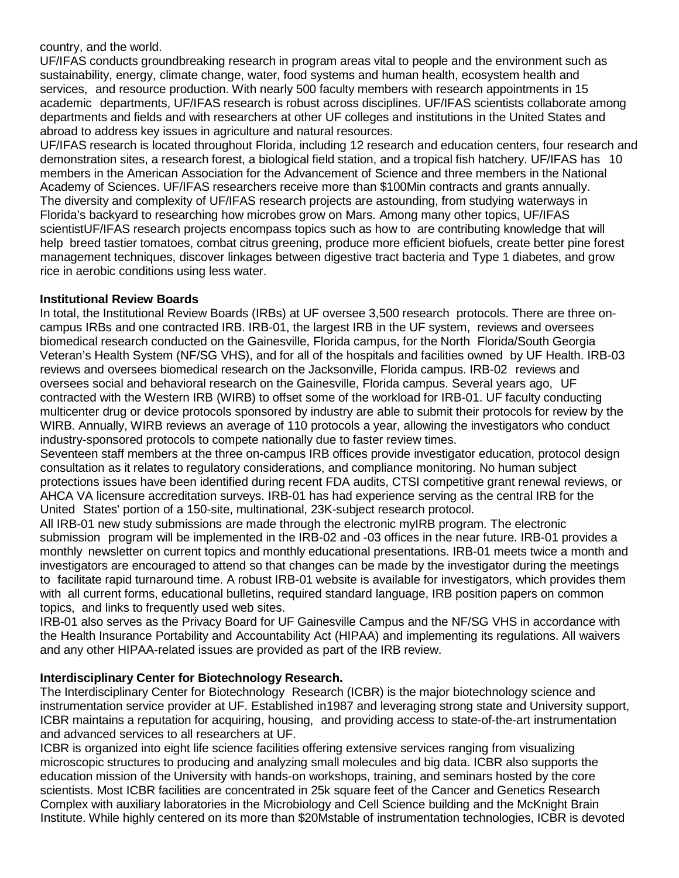#### country, and the world.

UF/IFAS conducts groundbreaking research in program areas vital to people and the environment such as sustainability, energy, climate change, water, food systems and human health, ecosystem health and services, and resource production. With nearly 500 faculty members with research appointments in 15 academic departments, UF/IFAS research is robust across disciplines. UF/IFAS scientists collaborate among departments and fields and with researchers at other UF colleges and institutions in the United States and abroad to address key issues in agriculture and natural resources.

UF/IFAS research is located throughout Florida, including 12 research and education centers, four research and demonstration sites, a research forest, a biological field station, and a tropical fish hatchery. UF/IFAS has 10 members in the American Association for the Advancement of Science and three members in the National Academy of Sciences. UF/IFAS researchers receive more than \$100Min contracts and grants annually. The diversity and complexity of UF/IFAS research projects are astounding, from studying waterways in Florida's backyard to researching how microbes grow on Mars. Among many other topics, UF/IFAS scientistUF/IFAS research projects encompass topics such as how to are contributing knowledge that will help breed tastier tomatoes, combat citrus greening, produce more efficient biofuels, create better pine forest management techniques, discover linkages between digestive tract bacteria and Type 1 diabetes, and grow rice in aerobic conditions using less water.

#### **Institutional Review Boards**

In total, the Institutional Review Boards (IRBs) at UF oversee 3,500 research protocols. There are three oncampus IRBs and one contracted IRB. IRB-01, the largest IRB in the UF system, reviews and oversees biomedical research conducted on the Gainesville, Florida campus, for the North Florida/South Georgia Veteran's Health System (NF/SG VHS), and for all of the hospitals and facilities owned by UF Health. IRB-03 reviews and oversees biomedical research on the Jacksonville, Florida campus. IRB-02 reviews and oversees social and behavioral research on the Gainesville, Florida campus. Several years ago, UF contracted with the Western IRB (WIRB) to offset some of the workload for IRB-01. UF faculty conducting multicenter drug or device protocols sponsored by industry are able to submit their protocols for review by the WIRB. Annually, WIRB reviews an average of 110 protocols a year, allowing the investigators who conduct industry-sponsored protocols to compete nationally due to faster review times.

Seventeen staff members at the three on-campus IRB offices provide investigator education, protocol design consultation as it relates to regulatory considerations, and compliance monitoring. No human subject protections issues have been identified during recent FDA audits, CTSI competitive grant renewal reviews, or AHCA VA licensure accreditation surveys. IRB-01 has had experience serving as the central IRB for the United States' portion of a 150-site, multinational, 23K-subject research protocol.

All IRB-01 new study submissions are made through the electronic myIRB program. The electronic submission program will be implemented in the IRB-02 and -03 offices in the near future. IRB-01 provides a monthly newsletter on current topics and monthly educational presentations. IRB-01 meets twice a month and investigators are encouraged to attend so that changes can be made by the investigator during the meetings to facilitate rapid turnaround time. A robust IRB-01 website is available for investigators, which provides them with all current forms, educational bulletins, required standard language, IRB position papers on common topics, and links to frequently used web sites.

IRB-01 also serves as the Privacy Board for UF Gainesville Campus and the NF/SG VHS in accordance with the Health Insurance Portability and Accountability Act (HIPAA) and implementing its regulations. All waivers and any other HIPAA-related issues are provided as part of the IRB review.

## **Interdisciplinary Center for Biotechnology Research.**

The Interdisciplinary Center for Biotechnology Research (ICBR) is the major biotechnology science and instrumentation service provider at UF. Established in1987 and leveraging strong state and University support, ICBR maintains a reputation for acquiring, housing, and providing access to state-of-the-art instrumentation and advanced services to all researchers at UF.

ICBR is organized into eight life science facilities offering extensive services ranging from visualizing microscopic structures to producing and analyzing small molecules and big data. ICBR also supports the education mission of the University with hands-on workshops, training, and seminars hosted by the core scientists. Most ICBR facilities are concentrated in 25k square feet of the Cancer and Genetics Research Complex with auxiliary laboratories in the Microbiology and Cell Science building and the McKnight Brain Institute. While highly centered on its more than \$20Mstable of instrumentation technologies, ICBR is devoted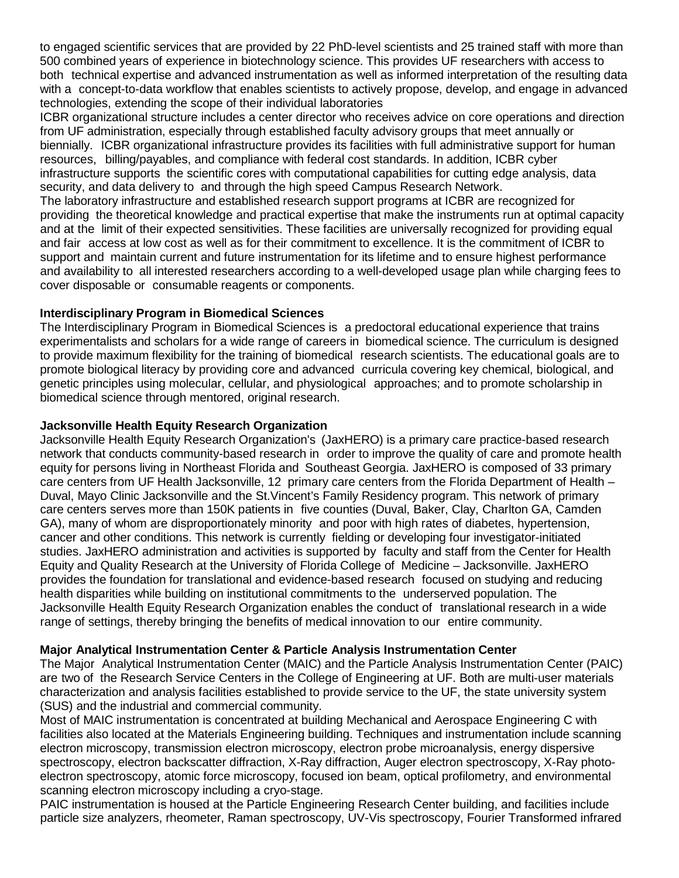to engaged scientific services that are provided by 22 PhD-level scientists and 25 trained staff with more than 500 combined years of experience in biotechnology science. This provides UF researchers with access to both technical expertise and advanced instrumentation as well as informed interpretation of the resulting data with a concept-to-data workflow that enables scientists to actively propose, develop, and engage in advanced technologies, extending the scope of their individual laboratories

ICBR organizational structure includes a center director who receives advice on core operations and direction from UF administration, especially through established faculty advisory groups that meet annually or biennially. ICBR organizational infrastructure provides its facilities with full administrative support for human resources, billing/payables, and compliance with federal cost standards. In addition, ICBR cyber infrastructure supports the scientific cores with computational capabilities for cutting edge analysis, data security, and data delivery to and through the high speed Campus Research Network.

The laboratory infrastructure and established research support programs at ICBR are recognized for providing the theoretical knowledge and practical expertise that make the instruments run at optimal capacity and at the limit of their expected sensitivities. These facilities are universally recognized for providing equal and fair access at low cost as well as for their commitment to excellence. It is the commitment of ICBR to support and maintain current and future instrumentation for its lifetime and to ensure highest performance and availability to all interested researchers according to a well-developed usage plan while charging fees to cover disposable or consumable reagents or components.

## **Interdisciplinary Program in Biomedical Sciences**

The Interdisciplinary Program in Biomedical Sciences is a predoctoral educational experience that trains experimentalists and scholars for a wide range of careers in biomedical science. The curriculum is designed to provide maximum flexibility for the training of biomedical research scientists. The educational goals are to promote biological literacy by providing core and advanced curricula covering key chemical, biological, and genetic principles using molecular, cellular, and physiological approaches; and to promote scholarship in biomedical science through mentored, original research.

## **Jacksonville Health Equity Research Organization**

Jacksonville Health Equity Research Organization's (JaxHERO) is a primary care practice-based research network that conducts community-based research in order to improve the quality of care and promote health equity for persons living in Northeast Florida and Southeast Georgia. JaxHERO is composed of 33 primary care centers from UF Health Jacksonville, 12 primary care centers from the Florida Department of Health – Duval, Mayo Clinic Jacksonville and the St.Vincent's Family Residency program. This network of primary care centers serves more than 150K patients in five counties (Duval, Baker, Clay, Charlton GA, Camden GA), many of whom are disproportionately minority and poor with high rates of diabetes, hypertension, cancer and other conditions. This network is currently fielding or developing four investigator-initiated studies. JaxHERO administration and activities is supported by faculty and staff from the Center for Health Equity and Quality Research at the University of Florida College of Medicine – Jacksonville. JaxHERO provides the foundation for translational and evidence-based research focused on studying and reducing health disparities while building on institutional commitments to the underserved population. The Jacksonville Health Equity Research Organization enables the conduct of translational research in a wide range of settings, thereby bringing the benefits of medical innovation to our entire community.

## **Major Analytical Instrumentation Center & Particle Analysis Instrumentation Center**

The Major Analytical Instrumentation Center (MAIC) and the Particle Analysis Instrumentation Center (PAIC) are two of the Research Service Centers in the College of Engineering at UF. Both are multi-user materials characterization and analysis facilities established to provide service to the UF, the state university system (SUS) and the industrial and commercial community.

Most of MAIC instrumentation is concentrated at building Mechanical and Aerospace Engineering C with facilities also located at the Materials Engineering building. Techniques and instrumentation include scanning electron microscopy, transmission electron microscopy, electron probe microanalysis, energy dispersive spectroscopy, electron backscatter diffraction, X-Ray diffraction, Auger electron spectroscopy, X-Ray photoelectron spectroscopy, atomic force microscopy, focused ion beam, optical profilometry, and environmental scanning electron microscopy including a cryo-stage.

PAIC instrumentation is housed at the Particle Engineering Research Center building, and facilities include particle size analyzers, rheometer, Raman spectroscopy, UV-Vis spectroscopy, Fourier Transformed infrared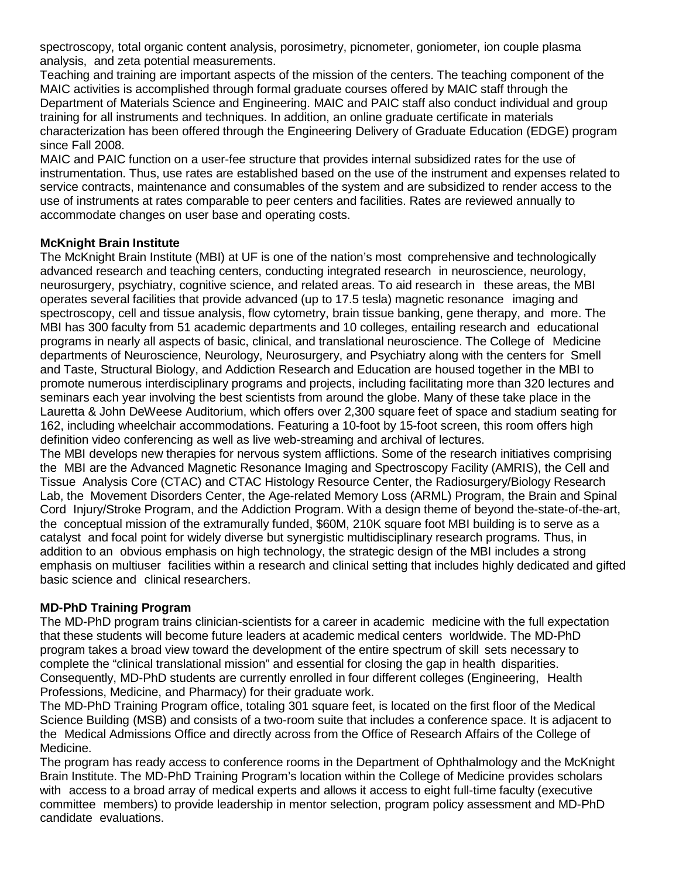spectroscopy, total organic content analysis, porosimetry, picnometer, goniometer, ion couple plasma analysis, and zeta potential measurements.

Teaching and training are important aspects of the mission of the centers. The teaching component of the MAIC activities is accomplished through formal graduate courses offered by MAIC staff through the Department of Materials Science and Engineering. MAIC and PAIC staff also conduct individual and group training for all instruments and techniques. In addition, an online graduate certificate in materials characterization has been offered through the Engineering Delivery of Graduate Education (EDGE) program since Fall 2008.

MAIC and PAIC function on a user-fee structure that provides internal subsidized rates for the use of instrumentation. Thus, use rates are established based on the use of the instrument and expenses related to service contracts, maintenance and consumables of the system and are subsidized to render access to the use of instruments at rates comparable to peer centers and facilities. Rates are reviewed annually to accommodate changes on user base and operating costs.

#### **McKnight Brain Institute**

The McKnight Brain Institute (MBI) at UF is one of the nation's most comprehensive and technologically advanced research and teaching centers, conducting integrated research in neuroscience, neurology, neurosurgery, psychiatry, cognitive science, and related areas. To aid research in these areas, the MBI operates several facilities that provide advanced (up to 17.5 tesla) magnetic resonance imaging and spectroscopy, cell and tissue analysis, flow cytometry, brain tissue banking, gene therapy, and more. The MBI has 300 faculty from 51 academic departments and 10 colleges, entailing research and educational programs in nearly all aspects of basic, clinical, and translational neuroscience. The College of Medicine departments of Neuroscience, Neurology, Neurosurgery, and Psychiatry along with the centers for Smell and Taste, Structural Biology, and Addiction Research and Education are housed together in the MBI to promote numerous interdisciplinary programs and projects, including facilitating more than 320 lectures and seminars each year involving the best scientists from around the globe. Many of these take place in the Lauretta & John DeWeese Auditorium, which offers over 2,300 square feet of space and stadium seating for 162, including wheelchair accommodations. Featuring a 10-foot by 15-foot screen, this room offers high definition video conferencing as well as live web-streaming and archival of lectures.

The MBI develops new therapies for nervous system afflictions. Some of the research initiatives comprising the MBI are the Advanced Magnetic Resonance Imaging and Spectroscopy Facility (AMRIS), the Cell and Tissue Analysis Core (CTAC) and CTAC Histology Resource Center, the Radiosurgery/Biology Research Lab, the Movement Disorders Center, the Age-related Memory Loss (ARML) Program, the Brain and Spinal Cord Injury/Stroke Program, and the Addiction Program. With a design theme of beyond the-state-of-the-art, the conceptual mission of the extramurally funded, \$60M, 210K square foot MBI building is to serve as a catalyst and focal point for widely diverse but synergistic multidisciplinary research programs. Thus, in addition to an obvious emphasis on high technology, the strategic design of the MBI includes a strong emphasis on multiuser facilities within a research and clinical setting that includes highly dedicated and gifted basic science and clinical researchers.

## **MD-PhD Training Program**

The MD-PhD program trains clinician-scientists for a career in academic medicine with the full expectation that these students will become future leaders at academic medical centers worldwide. The MD-PhD program takes a broad view toward the development of the entire spectrum of skill sets necessary to complete the "clinical translational mission" and essential for closing the gap in health disparities. Consequently, MD-PhD students are currently enrolled in four different colleges (Engineering, Health Professions, Medicine, and Pharmacy) for their graduate work.

The MD-PhD Training Program office, totaling 301 square feet, is located on the first floor of the Medical Science Building (MSB) and consists of a two-room suite that includes a conference space. It is adjacent to the Medical Admissions Office and directly across from the Office of Research Affairs of the College of Medicine.

The program has ready access to conference rooms in the Department of Ophthalmology and the McKnight Brain Institute. The MD-PhD Training Program's location within the College of Medicine provides scholars with access to a broad array of medical experts and allows it access to eight full-time faculty (executive committee members) to provide leadership in mentor selection, program policy assessment and MD-PhD candidate evaluations.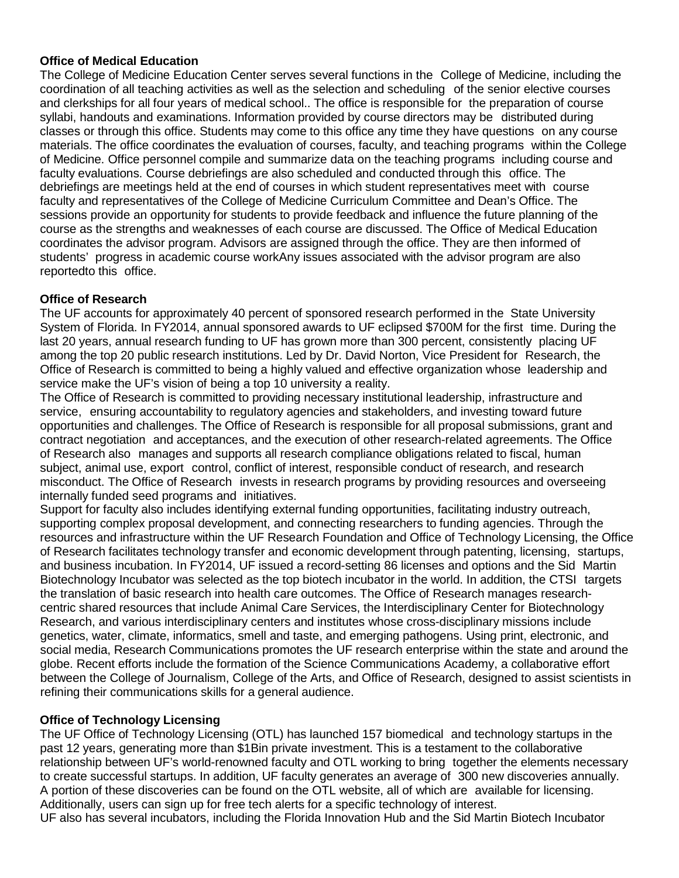## **Office of Medical Education**

The College of Medicine Education Center serves several functions in the College of Medicine, including the coordination of all teaching activities as well as the selection and scheduling of the senior elective courses and clerkships for all four years of medical school.. The office is responsible for the preparation of course syllabi, handouts and examinations. Information provided by course directors may be distributed during classes or through this office. Students may come to this office any time they have questions on any course materials. The office coordinates the evaluation of courses, faculty, and teaching programs within the College of Medicine. Office personnel compile and summarize data on the teaching programs including course and faculty evaluations. Course debriefings are also scheduled and conducted through this office. The debriefings are meetings held at the end of courses in which student representatives meet with course faculty and representatives of the College of Medicine Curriculum Committee and Dean's Office. The sessions provide an opportunity for students to provide feedback and influence the future planning of the course as the strengths and weaknesses of each course are discussed. The Office of Medical Education coordinates the advisor program. Advisors are assigned through the office. They are then informed of students' progress in academic course workAny issues associated with the advisor program are also reportedto this office.

## **Office of Research**

The UF accounts for approximately 40 percent of sponsored research performed in the State University System of Florida. In FY2014, annual sponsored awards to UF eclipsed \$700M for the first time. During the last 20 years, annual research funding to UF has grown more than 300 percent, consistently placing UF among the top 20 public research institutions. Led by Dr. David Norton, Vice President for Research, the Office of Research is committed to being a highly valued and effective organization whose leadership and service make the UF's vision of being a top 10 university a reality.

The Office of Research is committed to providing necessary institutional leadership, infrastructure and service, ensuring accountability to regulatory agencies and stakeholders, and investing toward future opportunities and challenges. The Office of Research is responsible for all proposal submissions, grant and contract negotiation and acceptances, and the execution of other research-related agreements. The Office of Research also manages and supports all research compliance obligations related to fiscal, human subject, animal use, export control, conflict of interest, responsible conduct of research, and research misconduct. The Office of Research invests in research programs by providing resources and overseeing internally funded seed programs and initiatives.

Support for faculty also includes identifying external funding opportunities, facilitating industry outreach, supporting complex proposal development, and connecting researchers to funding agencies. Through the resources and infrastructure within the UF Research Foundation and Office of Technology Licensing, the Office of Research facilitates technology transfer and economic development through patenting, licensing, startups, and business incubation. In FY2014, UF issued a record-setting 86 licenses and options and the Sid Martin Biotechnology Incubator was selected as the top biotech incubator in the world. In addition, the CTSI targets the translation of basic research into health care outcomes. The Office of Research manages researchcentric shared resources that include Animal Care Services, the Interdisciplinary Center for Biotechnology Research, and various interdisciplinary centers and institutes whose cross-disciplinary missions include genetics, water, climate, informatics, smell and taste, and emerging pathogens. Using print, electronic, and social media, Research Communications promotes the UF research enterprise within the state and around the globe. Recent efforts include the formation of the Science Communications Academy, a collaborative effort between the College of Journalism, College of the Arts, and Office of Research, designed to assist scientists in refining their communications skills for a general audience.

# **Office of Technology Licensing**

The UF Office of Technology Licensing (OTL) has launched 157 biomedical and technology startups in the past 12 years, generating more than \$1Bin private investment. This is a testament to the collaborative relationship between UF's world-renowned faculty and OTL working to bring together the elements necessary to create successful startups. In addition, UF faculty generates an average of 300 new discoveries annually. A portion of these discoveries can be found on the OTL website, all of which are available for licensing. Additionally, users can sign up for free tech alerts for a specific technology of interest. UF also has several incubators, including the Florida Innovation Hub and the Sid Martin Biotech Incubator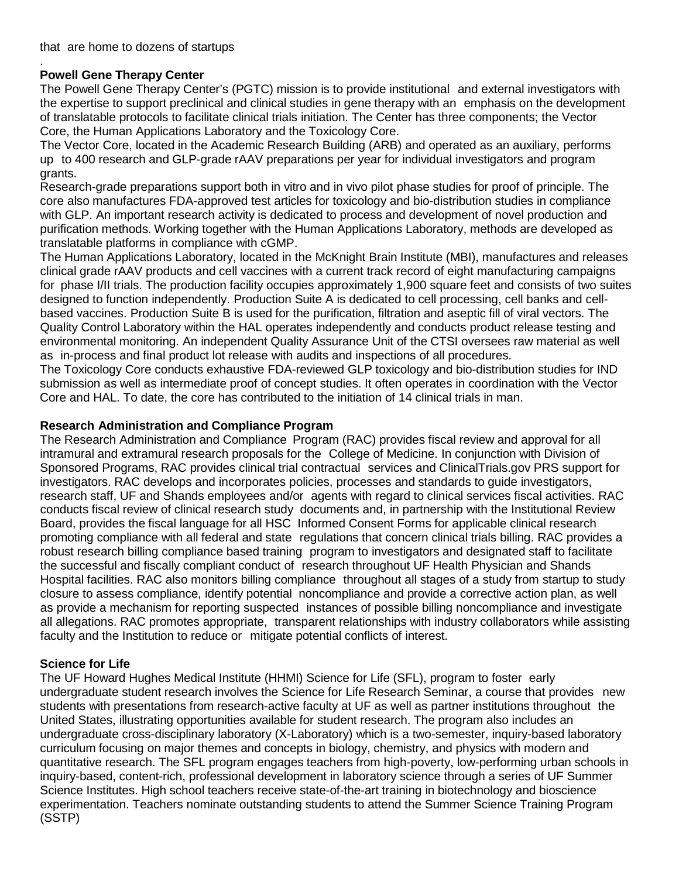#### . **Powell Gene Therapy Center**

The Powell Gene Therapy Center's (PGTC) mission is to provide institutional and external investigators with the expertise to support preclinical and clinical studies in gene therapy with an emphasis on the development of translatable protocols to facilitate clinical trials initiation. The Center has three components; the Vector Core, the Human Applications Laboratory and the Toxicology Core.

The Vector Core, located in the Academic Research Building (ARB) and operated as an auxiliary, performs up to 400 research and GLP-grade rAAV preparations per year for individual investigators and program grants.

Research-grade preparations support both in vitro and in vivo pilot phase studies for proof of principle. The core also manufactures FDA-approved test articles for toxicology and bio-distribution studies in compliance with GLP. An important research activity is dedicated to process and development of novel production and purification methods. Working together with the Human Applications Laboratory, methods are developed as translatable platforms in compliance with cGMP.

The Human Applications Laboratory, located in the McKnight Brain Institute (MBI), manufactures and releases clinical grade rAAV products and cell vaccines with a current track record of eight manufacturing campaigns for phase I/II trials. The production facility occupies approximately 1,900 square feet and consists of two suites designed to function independently. Production Suite A is dedicated to cell processing, cell banks and cellbased vaccines. Production Suite B is used for the purification, filtration and aseptic fill of viral vectors. The Quality Control Laboratory within the HAL operates independently and conducts product release testing and environmental monitoring. An independent Quality Assurance Unit of the CTSI oversees raw material as well as in-process and final product lot release with audits and inspections of all procedures.

The Toxicology Core conducts exhaustive FDA-reviewed GLP toxicology and bio-distribution studies for IND submission as well as intermediate proof of concept studies. It often operates in coordination with the Vector Core and HAL. To date, the core has contributed to the initiation of 14 clinical trials in man.

## **Research Administration and Compliance Program**

The Research Administration and Compliance Program (RAC) provides fiscal review and approval for all intramural and extramural research proposals for the College of Medicine. In conjunction with Division of Sponsored Programs, RAC provides clinical trial contractual services and ClinicalTrials.gov PRS support for investigators. RAC develops and incorporates policies, processes and standards to guide investigators, research staff, UF and Shands employees and/or agents with regard to clinical services fiscal activities. RAC conducts fiscal review of clinical research study documents and, in partnership with the Institutional Review Board, provides the fiscal language for all HSC Informed Consent Forms for applicable clinical research promoting compliance with all federal and state regulations that concern clinical trials billing. RAC provides a robust research billing compliance based training program to investigators and designated staff to facilitate the successful and fiscally compliant conduct of research throughout UF Health Physician and Shands Hospital facilities. RAC also monitors billing compliance throughout all stages of a study from startup to study closure to assess compliance, identify potential noncompliance and provide a corrective action plan, as well as provide a mechanism for reporting suspected instances of possible billing noncompliance and investigate all allegations. RAC promotes appropriate, transparent relationships with industry collaborators while assisting faculty and the Institution to reduce or mitigate potential conflicts of interest.

## **Science for Life**

The UF Howard Hughes Medical Institute (HHMI) Science for Life (SFL), program to foster early undergraduate student research involves the Science for Life Research Seminar, a course that provides new students with presentations from research-active faculty at UF as well as partner institutions throughout the United States, illustrating opportunities available for student research. The program also includes an undergraduate cross-disciplinary laboratory (X-Laboratory) which is a two-semester, inquiry-based laboratory curriculum focusing on major themes and concepts in biology, chemistry, and physics with modern and quantitative research. The SFL program engages teachers from high-poverty, low-performing urban schools in inquiry-based, content-rich, professional development in laboratory science through a series of UF Summer Science Institutes. High school teachers receive state-of-the-art training in biotechnology and bioscience experimentation. Teachers nominate outstanding students to attend the Summer Science Training Program (SSTP)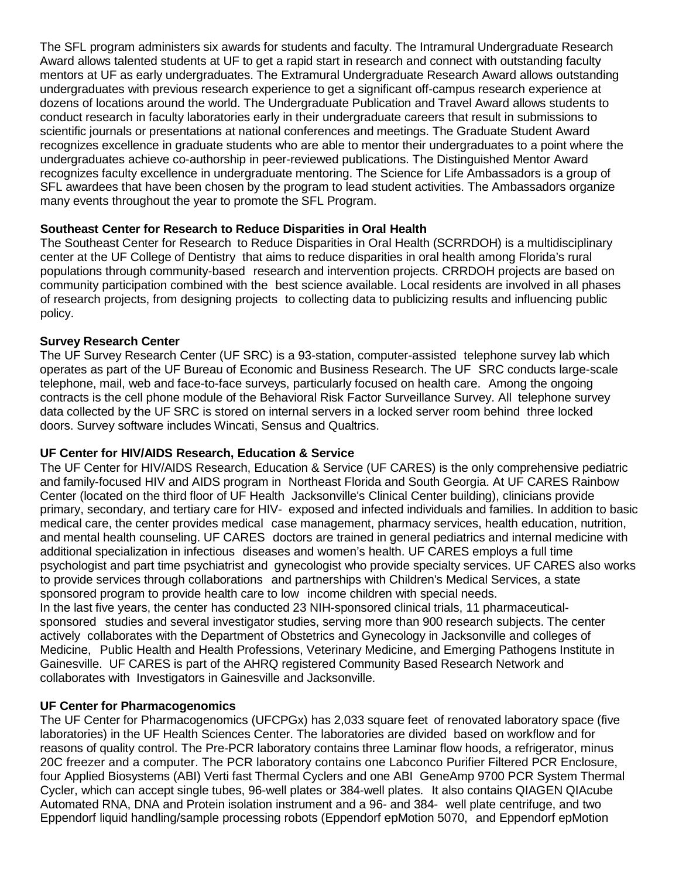The SFL program administers six awards for students and faculty. The Intramural Undergraduate Research Award allows talented students at UF to get a rapid start in research and connect with outstanding faculty mentors at UF as early undergraduates. The Extramural Undergraduate Research Award allows outstanding undergraduates with previous research experience to get a significant off-campus research experience at dozens of locations around the world. The Undergraduate Publication and Travel Award allows students to conduct research in faculty laboratories early in their undergraduate careers that result in submissions to scientific journals or presentations at national conferences and meetings. The Graduate Student Award recognizes excellence in graduate students who are able to mentor their undergraduates to a point where the undergraduates achieve co-authorship in peer-reviewed publications. The Distinguished Mentor Award recognizes faculty excellence in undergraduate mentoring. The Science for Life Ambassadors is a group of SFL awardees that have been chosen by the program to lead student activities. The Ambassadors organize many events throughout the year to promote the SFL Program.

## **Southeast Center for Research to Reduce Disparities in Oral Health**

The Southeast Center for Research to Reduce Disparities in Oral Health (SCRRDOH) is a multidisciplinary center at the UF College of Dentistry that aims to reduce disparities in oral health among Florida's rural populations through community-based research and intervention projects. CRRDOH projects are based on community participation combined with the best science available. Local residents are involved in all phases of research projects, from designing projects to collecting data to publicizing results and influencing public policy.

## **Survey Research Center**

The UF Survey Research Center (UF SRC) is a 93-station, computer-assisted telephone survey lab which operates as part of the UF Bureau of Economic and Business Research. The UF SRC conducts large-scale telephone, mail, web and face-to-face surveys, particularly focused on health care. Among the ongoing contracts is the cell phone module of the Behavioral Risk Factor Surveillance Survey. All telephone survey data collected by the UF SRC is stored on internal servers in a locked server room behind three locked doors. Survey software includes Wincati, Sensus and Qualtrics.

## **UF Center for HIV/AIDS Research, Education & Service**

The UF Center for HIV/AIDS Research, Education & Service (UF CARES) is the only comprehensive pediatric and family-focused HIV and AIDS program in Northeast Florida and South Georgia. At UF CARES Rainbow Center (located on the third floor of UF Health Jacksonville's Clinical Center building), clinicians provide primary, secondary, and tertiary care for HIV- exposed and infected individuals and families. In addition to basic medical care, the center provides medical case management, pharmacy services, health education, nutrition, and mental health counseling. UF CARES doctors are trained in general pediatrics and internal medicine with additional specialization in infectious diseases and women's health. UF CARES employs a full time psychologist and part time psychiatrist and gynecologist who provide specialty services. UF CARES also works to provide services through collaborations and partnerships with Children's Medical Services, a state sponsored program to provide health care to low income children with special needs. In the last five years, the center has conducted 23 NIH-sponsored clinical trials, 11 pharmaceuticalsponsored studies and several investigator studies, serving more than 900 research subjects. The center

actively collaborates with the Department of Obstetrics and Gynecology in Jacksonville and colleges of Medicine, Public Health and Health Professions, Veterinary Medicine, and Emerging Pathogens Institute in Gainesville. UF CARES is part of the AHRQ registered Community Based Research Network and collaborates with Investigators in Gainesville and Jacksonville.

## **UF Center for Pharmacogenomics**

The UF Center for Pharmacogenomics (UFCPGx) has 2,033 square feet of renovated laboratory space (five laboratories) in the UF Health Sciences Center. The laboratories are divided based on workflow and for reasons of quality control. The Pre-PCR laboratory contains three Laminar flow hoods, a refrigerator, minus 20C freezer and a computer. The PCR laboratory contains one Labconco Purifier Filtered PCR Enclosure, four Applied Biosystems (ABI) Verti fast Thermal Cyclers and one ABI GeneAmp 9700 PCR System Thermal Cycler, which can accept single tubes, 96-well plates or 384-well plates. It also contains QIAGEN QIAcube Automated RNA, DNA and Protein isolation instrument and a 96- and 384- well plate centrifuge, and two Eppendorf liquid handling/sample processing robots (Eppendorf epMotion 5070, and Eppendorf epMotion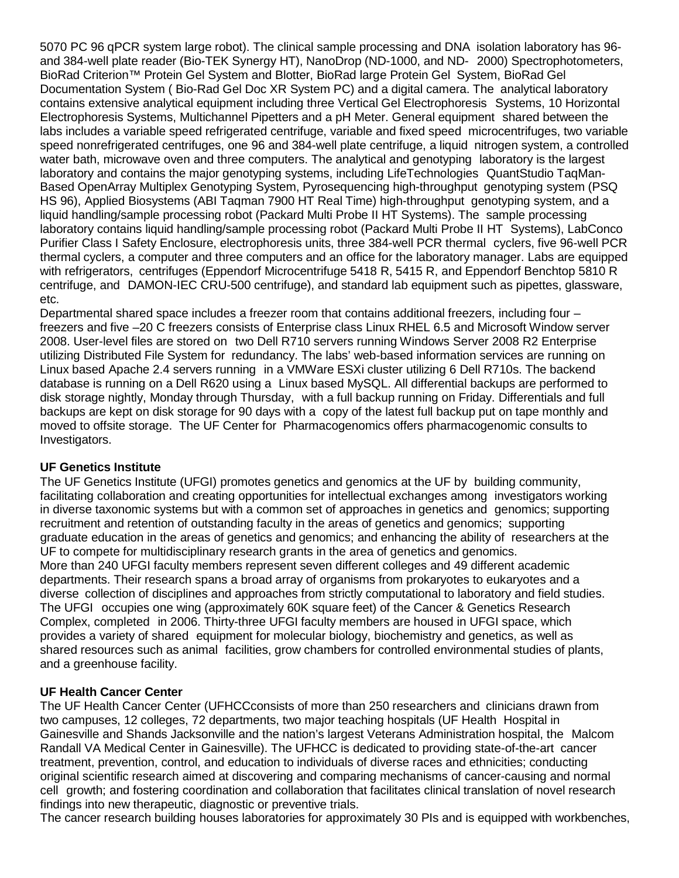5070 PC 96 qPCR system large robot). The clinical sample processing and DNA isolation laboratory has 96 and 384-well plate reader (Bio-TEK Synergy HT), NanoDrop (ND-1000, and ND- 2000) Spectrophotometers, BioRad Criterion™ Protein Gel System and Blotter, BioRad large Protein Gel System, BioRad Gel Documentation System ( Bio-Rad Gel Doc XR System PC) and a digital camera. The analytical laboratory contains extensive analytical equipment including three Vertical Gel Electrophoresis Systems, 10 Horizontal Electrophoresis Systems, Multichannel Pipetters and a pH Meter. General equipment shared between the labs includes a variable speed refrigerated centrifuge, variable and fixed speed microcentrifuges, two variable speed nonrefrigerated centrifuges, one 96 and 384-well plate centrifuge, a liquid nitrogen system, a controlled water bath, microwave oven and three computers. The analytical and genotyping laboratory is the largest laboratory and contains the major genotyping systems, including LifeTechnologies QuantStudio TaqMan-Based OpenArray Multiplex Genotyping System, Pyrosequencing high-throughput genotyping system (PSQ HS 96), Applied Biosystems (ABI Taqman 7900 HT Real Time) high-throughput genotyping system, and a liquid handling/sample processing robot (Packard Multi Probe II HT Systems). The sample processing laboratory contains liquid handling/sample processing robot (Packard Multi Probe II HT Systems), LabConco Purifier Class I Safety Enclosure, electrophoresis units, three 384-well PCR thermal cyclers, five 96-well PCR thermal cyclers, a computer and three computers and an office for the laboratory manager. Labs are equipped with refrigerators, centrifuges (Eppendorf Microcentrifuge 5418 R, 5415 R, and Eppendorf Benchtop 5810 R centrifuge, and DAMON-IEC CRU-500 centrifuge), and standard lab equipment such as pipettes, glassware, etc.

Departmental shared space includes a freezer room that contains additional freezers, including four – freezers and five –20 C freezers consists of Enterprise class Linux RHEL 6.5 and Microsoft Window server 2008. User-level files are stored on two Dell R710 servers running Windows Server 2008 R2 Enterprise utilizing Distributed File System for redundancy. The labs' web-based information services are running on Linux based Apache 2.4 servers running in a VMWare ESXi cluster utilizing 6 Dell R710s. The backend database is running on a Dell R620 using a Linux based MySQL. All differential backups are performed to disk storage nightly, Monday through Thursday, with a full backup running on Friday. Differentials and full backups are kept on disk storage for 90 days with a copy of the latest full backup put on tape monthly and moved to offsite storage. The UF Center for Pharmacogenomics offers pharmacogenomic consults to Investigators.

## **UF Genetics Institute**

The UF Genetics Institute (UFGI) promotes genetics and genomics at the UF by building community, facilitating collaboration and creating opportunities for intellectual exchanges among investigators working in diverse taxonomic systems but with a common set of approaches in genetics and genomics; supporting recruitment and retention of outstanding faculty in the areas of genetics and genomics; supporting graduate education in the areas of genetics and genomics; and enhancing the ability of researchers at the UF to compete for multidisciplinary research grants in the area of genetics and genomics. More than 240 UFGI faculty members represent seven different colleges and 49 different academic departments. Their research spans a broad array of organisms from prokaryotes to eukaryotes and a diverse collection of disciplines and approaches from strictly computational to laboratory and field studies. The UFGI occupies one wing (approximately 60K square feet) of the Cancer & Genetics Research Complex, completed in 2006. Thirty-three UFGI faculty members are housed in UFGI space, which provides a variety of shared equipment for molecular biology, biochemistry and genetics, as well as shared resources such as animal facilities, grow chambers for controlled environmental studies of plants, and a greenhouse facility.

#### **UF Health Cancer Center**

The UF Health Cancer Center (UFHCCconsists of more than 250 researchers and clinicians drawn from two campuses, 12 colleges, 72 departments, two major teaching hospitals (UF Health Hospital in Gainesville and Shands Jacksonville and the nation's largest Veterans Administration hospital, the Malcom Randall VA Medical Center in Gainesville). The UFHCC is dedicated to providing state-of-the-art cancer treatment, prevention, control, and education to individuals of diverse races and ethnicities; conducting original scientific research aimed at discovering and comparing mechanisms of cancer-causing and normal cell growth; and fostering coordination and collaboration that facilitates clinical translation of novel research findings into new therapeutic, diagnostic or preventive trials.

The cancer research building houses laboratories for approximately 30 PIs and is equipped with workbenches,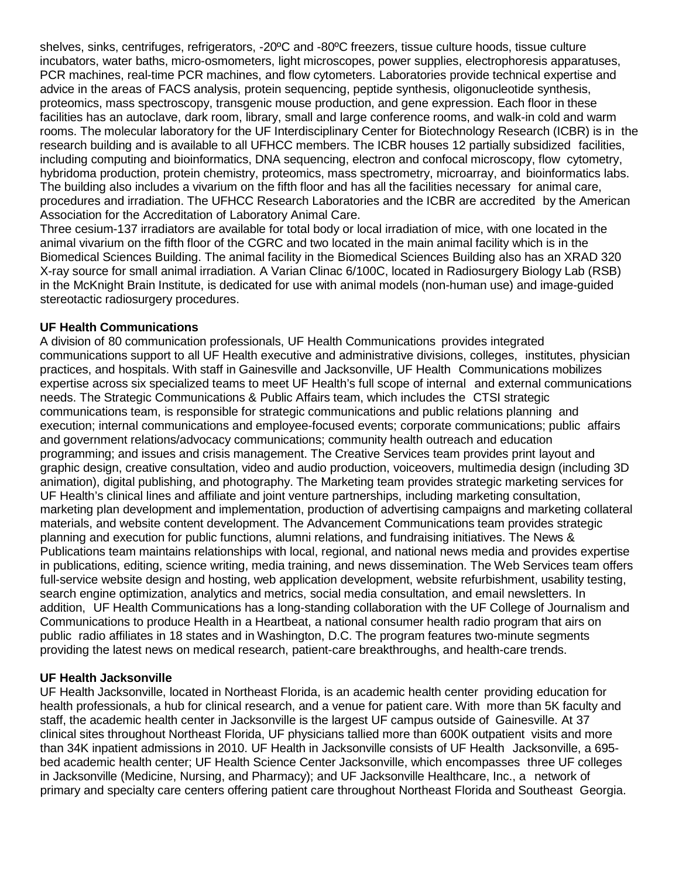shelves, sinks, centrifuges, refrigerators, -20ºC and -80ºC freezers, tissue culture hoods, tissue culture incubators, water baths, micro-osmometers, light microscopes, power supplies, electrophoresis apparatuses, PCR machines, real-time PCR machines, and flow cytometers. Laboratories provide technical expertise and advice in the areas of FACS analysis, protein sequencing, peptide synthesis, oligonucleotide synthesis, proteomics, mass spectroscopy, transgenic mouse production, and gene expression. Each floor in these facilities has an autoclave, dark room, library, small and large conference rooms, and walk-in cold and warm rooms. The molecular laboratory for the UF Interdisciplinary Center for Biotechnology Research (ICBR) is in the research building and is available to all UFHCC members. The ICBR houses 12 partially subsidized facilities, including computing and bioinformatics, DNA sequencing, electron and confocal microscopy, flow cytometry, hybridoma production, protein chemistry, proteomics, mass spectrometry, microarray, and bioinformatics labs. The building also includes a vivarium on the fifth floor and has all the facilities necessary for animal care, procedures and irradiation. The UFHCC Research Laboratories and the ICBR are accredited by the American Association for the Accreditation of Laboratory Animal Care.

Three cesium-137 irradiators are available for total body or local irradiation of mice, with one located in the animal vivarium on the fifth floor of the CGRC and two located in the main animal facility which is in the Biomedical Sciences Building. The animal facility in the Biomedical Sciences Building also has an XRAD 320 X-ray source for small animal irradiation. A Varian Clinac 6/100C, located in Radiosurgery Biology Lab (RSB) in the McKnight Brain Institute, is dedicated for use with animal models (non-human use) and image-guided stereotactic radiosurgery procedures.

## **UF Health Communications**

A division of 80 communication professionals, UF Health Communications provides integrated communications support to all UF Health executive and administrative divisions, colleges, institutes, physician practices, and hospitals. With staff in Gainesville and Jacksonville, UF Health Communications mobilizes expertise across six specialized teams to meet UF Health's full scope of internal and external communications needs. The Strategic Communications & Public Affairs team, which includes the CTSI strategic communications team, is responsible for strategic communications and public relations planning and execution; internal communications and employee-focused events; corporate communications; public affairs and government relations/advocacy communications; community health outreach and education programming; and issues and crisis management. The Creative Services team provides print layout and graphic design, creative consultation, video and audio production, voiceovers, multimedia design (including 3D animation), digital publishing, and photography. The Marketing team provides strategic marketing services for UF Health's clinical lines and affiliate and joint venture partnerships, including marketing consultation, marketing plan development and implementation, production of advertising campaigns and marketing collateral materials, and website content development. The Advancement Communications team provides strategic planning and execution for public functions, alumni relations, and fundraising initiatives. The News & Publications team maintains relationships with local, regional, and national news media and provides expertise in publications, editing, science writing, media training, and news dissemination. The Web Services team offers full-service website design and hosting, web application development, website refurbishment, usability testing, search engine optimization, analytics and metrics, social media consultation, and email newsletters. In addition, UF Health Communications has a long-standing collaboration with the UF College of Journalism and Communications to produce Health in a Heartbeat, a national consumer health radio program that airs on public radio affiliates in 18 states and in Washington, D.C. The program features two-minute segments providing the latest news on medical research, patient-care breakthroughs, and health-care trends.

## **UF Health Jacksonville**

UF Health Jacksonville, located in Northeast Florida, is an academic health center providing education for health professionals, a hub for clinical research, and a venue for patient care. With more than 5K faculty and staff, the academic health center in Jacksonville is the largest UF campus outside of Gainesville. At 37 clinical sites throughout Northeast Florida, UF physicians tallied more than 600K outpatient visits and more than 34K inpatient admissions in 2010. UF Health in Jacksonville consists of UF Health Jacksonville, a 695 bed academic health center; UF Health Science Center Jacksonville, which encompasses three UF colleges in Jacksonville (Medicine, Nursing, and Pharmacy); and UF Jacksonville Healthcare, Inc., a network of primary and specialty care centers offering patient care throughout Northeast Florida and Southeast Georgia.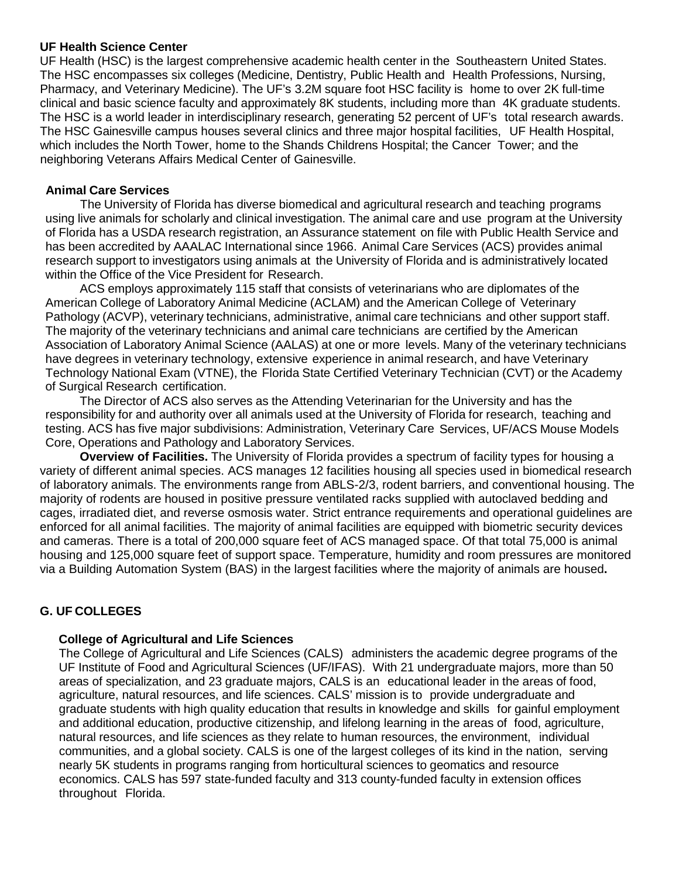#### **UF Health Science Center**

UF Health (HSC) is the largest comprehensive academic health center in the Southeastern United States. The HSC encompasses six colleges (Medicine, Dentistry, Public Health and Health Professions, Nursing, Pharmacy, and Veterinary Medicine). The UF's 3.2M square foot HSC facility is home to over 2K full-time clinical and basic science faculty and approximately 8K students, including more than 4K graduate students. The HSC is a world leader in interdisciplinary research, generating 52 percent of UF's total research awards. The HSC Gainesville campus houses several clinics and three major hospital facilities, UF Health Hospital, which includes the North Tower, home to the Shands Childrens Hospital; the Cancer Tower; and the neighboring Veterans Affairs Medical Center of Gainesville.

#### **Animal Care Services**

The University of Florida has diverse biomedical and agricultural research and teaching programs using live animals for scholarly and clinical investigation. The animal care and use program at the University of Florida has a USDA research registration, an Assurance statement on file with Public Health Service and has been accredited by AAALAC International since 1966. Animal Care Services (ACS) provides animal research support to investigators using animals at the University of Florida and is administratively located within the Office of the Vice President for Research.

ACS employs approximately 115 staff that consists of veterinarians who are diplomates of the American College of Laboratory Animal Medicine (ACLAM) and the American College of Veterinary Pathology (ACVP), veterinary technicians, administrative, animal care technicians and other support staff. The majority of the veterinary technicians and animal care technicians are certified by the American Association of Laboratory Animal Science (AALAS) at one or more levels. Many of the veterinary technicians have degrees in veterinary technology, extensive experience in animal research, and have Veterinary Technology National Exam (VTNE), the Florida State Certified Veterinary Technician (CVT) or the Academy of Surgical Research certification.

The Director of ACS also serves as the Attending Veterinarian for the University and has the responsibility for and authority over all animals used at the University of Florida for research, teaching and testing. ACS has five major subdivisions: Administration, Veterinary Care Services, UF/ACS Mouse Models Core, Operations and Pathology and Laboratory Services.

**Overview of Facilities.** The University of Florida provides a spectrum of facility types for housing a variety of different animal species. ACS manages 12 facilities housing all species used in biomedical research of laboratory animals. The environments range from ABLS-2/3, rodent barriers, and conventional housing. The majority of rodents are housed in positive pressure ventilated racks supplied with autoclaved bedding and cages, irradiated diet, and reverse osmosis water. Strict entrance requirements and operational guidelines are enforced for all animal facilities. The majority of animal facilities are equipped with biometric security devices and cameras. There is a total of 200,000 square feet of ACS managed space. Of that total 75,000 is animal housing and 125,000 square feet of support space. Temperature, humidity and room pressures are monitored via a Building Automation System (BAS) in the largest facilities where the majority of animals are housed**.**

# **G. UF COLLEGES**

#### **College of Agricultural and Life Sciences**

The College of Agricultural and Life Sciences (CALS) administers the academic degree programs of the UF Institute of Food and Agricultural Sciences (UF/IFAS). With 21 undergraduate majors, more than 50 areas of specialization, and 23 graduate majors, CALS is an educational leader in the areas of food, agriculture, natural resources, and life sciences. CALS' mission is to provide undergraduate and graduate students with high quality education that results in knowledge and skills for gainful employment and additional education, productive citizenship, and lifelong learning in the areas of food, agriculture, natural resources, and life sciences as they relate to human resources, the environment, individual communities, and a global society. CALS is one of the largest colleges of its kind in the nation, serving nearly 5K students in programs ranging from horticultural sciences to geomatics and resource economics. CALS has 597 state-funded faculty and 313 county-funded faculty in extension offices throughout Florida.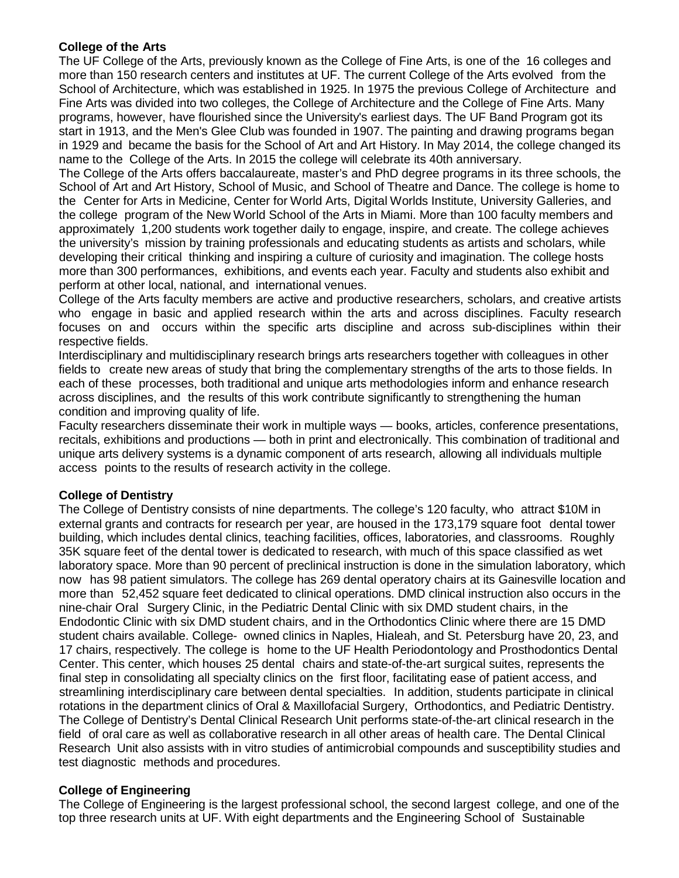## **College of the Arts**

The UF College of the Arts, previously known as the College of Fine Arts, is one of the 16 colleges and more than 150 research centers and institutes at UF. The current College of the Arts evolved from the School of Architecture, which was established in 1925. In 1975 the previous College of Architecture and Fine Arts was divided into two colleges, the College of Architecture and the College of Fine Arts. Many programs, however, have flourished since the University's earliest days. The UF Band Program got its start in 1913, and the Men's Glee Club was founded in 1907. The painting and drawing programs began in 1929 and became the basis for the School of Art and Art History. In May 2014, the college changed its name to the College of the Arts. In 2015 the college will celebrate its 40th anniversary.

The College of the Arts offers baccalaureate, master's and PhD degree programs in its three schools, the School of Art and Art History, School of Music, and School of Theatre and Dance. The college is home to the Center for Arts in Medicine, Center for World Arts, Digital Worlds Institute, University Galleries, and the college program of the New World School of the Arts in Miami. More than 100 faculty members and approximately 1,200 students work together daily to engage, inspire, and create. The college achieves the university's mission by training professionals and educating students as artists and scholars, while developing their critical thinking and inspiring a culture of curiosity and imagination. The college hosts more than 300 performances, exhibitions, and events each year. Faculty and students also exhibit and perform at other local, national, and international venues.

College of the Arts faculty members are active and productive researchers, scholars, and creative artists who engage in basic and applied research within the arts and across disciplines. Faculty research focuses on and occurs within the specific arts discipline and across sub-disciplines within their respective fields.

Interdisciplinary and multidisciplinary research brings arts researchers together with colleagues in other fields to create new areas of study that bring the complementary strengths of the arts to those fields. In each of these processes, both traditional and unique arts methodologies inform and enhance research across disciplines, and the results of this work contribute significantly to strengthening the human condition and improving quality of life.

Faculty researchers disseminate their work in multiple ways — books, articles, conference presentations, recitals, exhibitions and productions — both in print and electronically. This combination of traditional and unique arts delivery systems is a dynamic component of arts research, allowing all individuals multiple access points to the results of research activity in the college.

# **College of Dentistry**

The College of Dentistry consists of nine departments. The college's 120 faculty, who attract \$10M in external grants and contracts for research per year, are housed in the 173,179 square foot dental tower building, which includes dental clinics, teaching facilities, offices, laboratories, and classrooms. Roughly 35K square feet of the dental tower is dedicated to research, with much of this space classified as wet laboratory space. More than 90 percent of preclinical instruction is done in the simulation laboratory, which now has 98 patient simulators. The college has 269 dental operatory chairs at its Gainesville location and more than 52,452 square feet dedicated to clinical operations. DMD clinical instruction also occurs in the nine-chair Oral Surgery Clinic, in the Pediatric Dental Clinic with six DMD student chairs, in the Endodontic Clinic with six DMD student chairs, and in the Orthodontics Clinic where there are 15 DMD student chairs available. College- owned clinics in Naples, Hialeah, and St. Petersburg have 20, 23, and 17 chairs, respectively. The college is home to the UF Health Periodontology and Prosthodontics Dental Center. This center, which houses 25 dental chairs and state-of-the-art surgical suites, represents the final step in consolidating all specialty clinics on the first floor, facilitating ease of patient access, and streamlining interdisciplinary care between dental specialties. In addition, students participate in clinical rotations in the department clinics of Oral & Maxillofacial Surgery, Orthodontics, and Pediatric Dentistry. The College of Dentistry's Dental Clinical Research Unit performs state-of-the-art clinical research in the field of oral care as well as collaborative research in all other areas of health care. The Dental Clinical Research Unit also assists with in vitro studies of antimicrobial compounds and susceptibility studies and test diagnostic methods and procedures.

# **College of Engineering**

The College of Engineering is the largest professional school, the second largest college, and one of the top three research units at UF. With eight departments and the Engineering School of Sustainable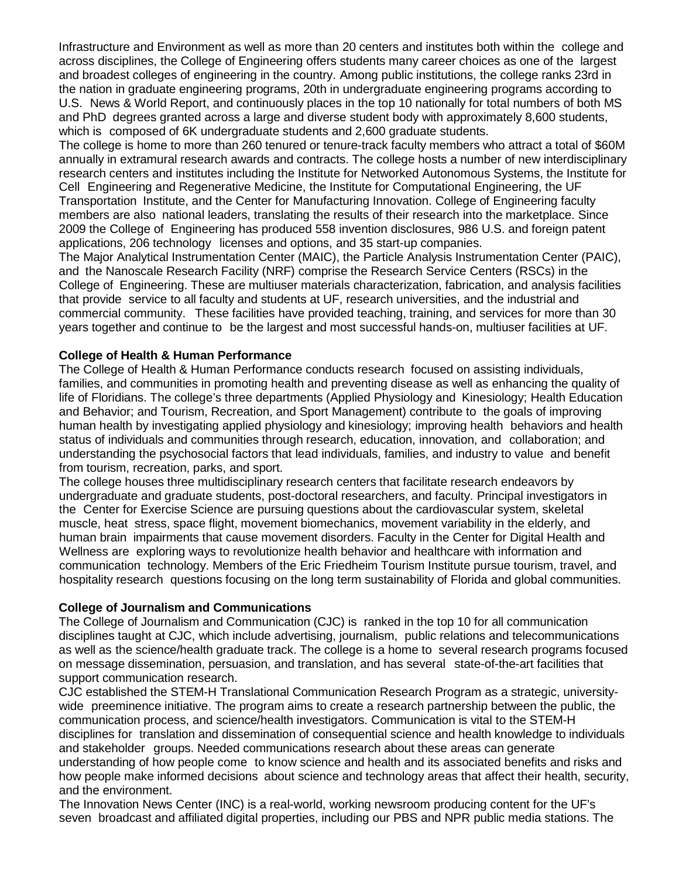Infrastructure and Environment as well as more than 20 centers and institutes both within the college and across disciplines, the College of Engineering offers students many career choices as one of the largest and broadest colleges of engineering in the country. Among public institutions, the college ranks 23rd in the nation in graduate engineering programs, 20th in undergraduate engineering programs according to U.S. News & World Report, and continuously places in the top 10 nationally for total numbers of both MS and PhD degrees granted across a large and diverse student body with approximately 8,600 students, which is composed of 6K undergraduate students and 2,600 graduate students.

The college is home to more than 260 tenured or tenure-track faculty members who attract a total of \$60M annually in extramural research awards and contracts. The college hosts a number of new interdisciplinary research centers and institutes including the Institute for Networked Autonomous Systems, the Institute for Cell Engineering and Regenerative Medicine, the Institute for Computational Engineering, the UF Transportation Institute, and the Center for Manufacturing Innovation. College of Engineering faculty members are also national leaders, translating the results of their research into the marketplace. Since 2009 the College of Engineering has produced 558 invention disclosures, 986 U.S. and foreign patent applications, 206 technology licenses and options, and 35 start-up companies.

The Major Analytical Instrumentation Center (MAIC), the Particle Analysis Instrumentation Center (PAIC), and the Nanoscale Research Facility (NRF) comprise the Research Service Centers (RSCs) in the College of Engineering. These are multiuser materials characterization, fabrication, and analysis facilities that provide service to all faculty and students at UF, research universities, and the industrial and commercial community. These facilities have provided teaching, training, and services for more than 30 years together and continue to be the largest and most successful hands-on, multiuser facilities at UF.

## **College of Health & Human Performance**

The College of Health & Human Performance conducts research focused on assisting individuals, families, and communities in promoting health and preventing disease as well as enhancing the quality of life of Floridians. The college's three departments (Applied Physiology and Kinesiology; Health Education and Behavior; and Tourism, Recreation, and Sport Management) contribute to the goals of improving human health by investigating applied physiology and kinesiology; improving health behaviors and health status of individuals and communities through research, education, innovation, and collaboration; and understanding the psychosocial factors that lead individuals, families, and industry to value and benefit from tourism, recreation, parks, and sport.

The college houses three multidisciplinary research centers that facilitate research endeavors by undergraduate and graduate students, post-doctoral researchers, and faculty. Principal investigators in the Center for Exercise Science are pursuing questions about the cardiovascular system, skeletal muscle, heat stress, space flight, movement biomechanics, movement variability in the elderly, and human brain impairments that cause movement disorders. Faculty in the Center for Digital Health and Wellness are exploring ways to revolutionize health behavior and healthcare with information and communication technology. Members of the Eric Friedheim Tourism Institute pursue tourism, travel, and hospitality research questions focusing on the long term sustainability of Florida and global communities.

#### **College of Journalism and Communications**

The College of Journalism and Communication (CJC) is ranked in the top 10 for all communication disciplines taught at CJC, which include advertising, journalism, public relations and telecommunications as well as the science/health graduate track. The college is a home to several research programs focused on message dissemination, persuasion, and translation, and has several state-of-the-art facilities that support communication research.

CJC established the STEM-H Translational Communication Research Program as a strategic, universitywide preeminence initiative. The program aims to create a research partnership between the public, the communication process, and science/health investigators. Communication is vital to the STEM-H disciplines for translation and dissemination of consequential science and health knowledge to individuals and stakeholder groups. Needed communications research about these areas can generate understanding of how people come to know science and health and its associated benefits and risks and how people make informed decisions about science and technology areas that affect their health, security, and the environment.

The Innovation News Center (INC) is a real-world, working newsroom producing content for the UF's seven broadcast and affiliated digital properties, including our PBS and NPR public media stations. The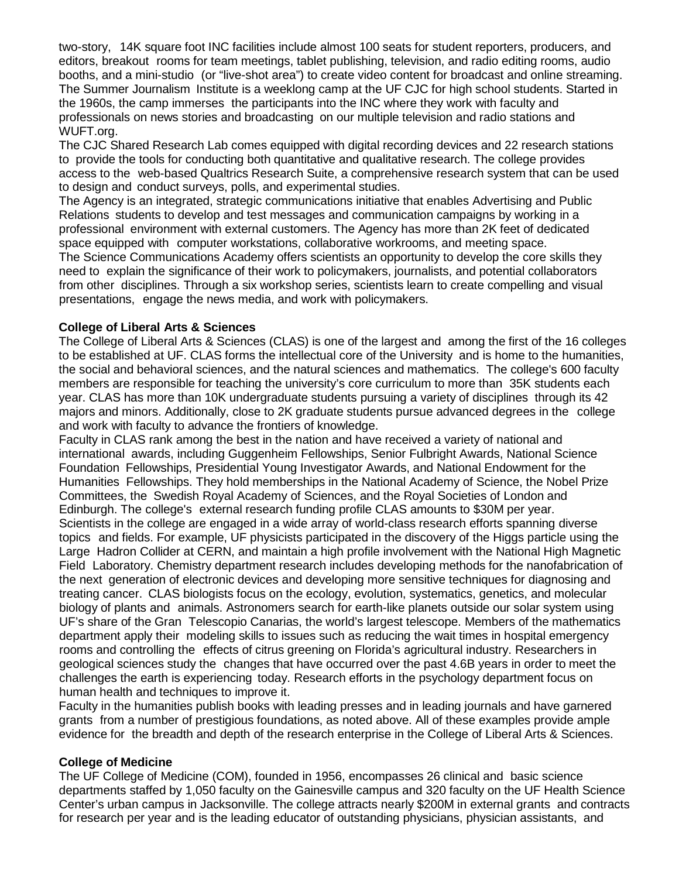two-story, 14K square foot INC facilities include almost 100 seats for student reporters, producers, and editors, breakout rooms for team meetings, tablet publishing, television, and radio editing rooms, audio booths, and a mini-studio (or "live-shot area") to create video content for broadcast and online streaming. The Summer Journalism Institute is a weeklong camp at the UF CJC for high school students. Started in the 1960s, the camp immerses the participants into the INC where they work with faculty and professionals on news stories and broadcasting on our multiple television and radio stations and WUFT.org.

The CJC Shared Research Lab comes equipped with digital recording devices and 22 research stations to provide the tools for conducting both quantitative and qualitative research. The college provides access to the web-based Qualtrics Research Suite, a comprehensive research system that can be used to design and conduct surveys, polls, and experimental studies.

The Agency is an integrated, strategic communications initiative that enables Advertising and Public Relations students to develop and test messages and communication campaigns by working in a professional environment with external customers. The Agency has more than 2K feet of dedicated space equipped with computer workstations, collaborative workrooms, and meeting space. The Science Communications Academy offers scientists an opportunity to develop the core skills they need to explain the significance of their work to policymakers, journalists, and potential collaborators from other disciplines. Through a six workshop series, scientists learn to create compelling and visual presentations, engage the news media, and work with policymakers.

#### **College of Liberal Arts & Sciences**

The College of Liberal Arts & Sciences (CLAS) is one of the largest and among the first of the 16 colleges to be established at UF. CLAS forms the intellectual core of the University and is home to the humanities, the social and behavioral sciences, and the natural sciences and mathematics. The college's 600 faculty members are responsible for teaching the university's core curriculum to more than 35K students each year. CLAS has more than 10K undergraduate students pursuing a variety of disciplines through its 42 majors and minors. Additionally, close to 2K graduate students pursue advanced degrees in the college and work with faculty to advance the frontiers of knowledge.

Faculty in CLAS rank among the best in the nation and have received a variety of national and international awards, including Guggenheim Fellowships, Senior Fulbright Awards, National Science Foundation Fellowships, Presidential Young Investigator Awards, and National Endowment for the Humanities Fellowships. They hold memberships in the National Academy of Science, the Nobel Prize Committees, the Swedish Royal Academy of Sciences, and the Royal Societies of London and Edinburgh. The college's external research funding profile CLAS amounts to \$30M per year. Scientists in the college are engaged in a wide array of world-class research efforts spanning diverse topics and fields. For example, UF physicists participated in the discovery of the Higgs particle using the Large Hadron Collider at CERN, and maintain a high profile involvement with the National High Magnetic Field Laboratory. Chemistry department research includes developing methods for the nanofabrication of the next generation of electronic devices and developing more sensitive techniques for diagnosing and treating cancer. CLAS biologists focus on the ecology, evolution, systematics, genetics, and molecular biology of plants and animals. Astronomers search for earth-like planets outside our solar system using UF's share of the Gran Telescopio Canarias, the world's largest telescope. Members of the mathematics department apply their modeling skills to issues such as reducing the wait times in hospital emergency rooms and controlling the effects of citrus greening on Florida's agricultural industry. Researchers in geological sciences study the changes that have occurred over the past 4.6B years in order to meet the challenges the earth is experiencing today. Research efforts in the psychology department focus on human health and techniques to improve it.

Faculty in the humanities publish books with leading presses and in leading journals and have garnered grants from a number of prestigious foundations, as noted above. All of these examples provide ample evidence for the breadth and depth of the research enterprise in the College of Liberal Arts & Sciences.

#### **College of Medicine**

The UF College of Medicine (COM), founded in 1956, encompasses 26 clinical and basic science departments staffed by 1,050 faculty on the Gainesville campus and 320 faculty on the UF Health Science Center's urban campus in Jacksonville. The college attracts nearly \$200M in external grants and contracts for research per year and is the leading educator of outstanding physicians, physician assistants, and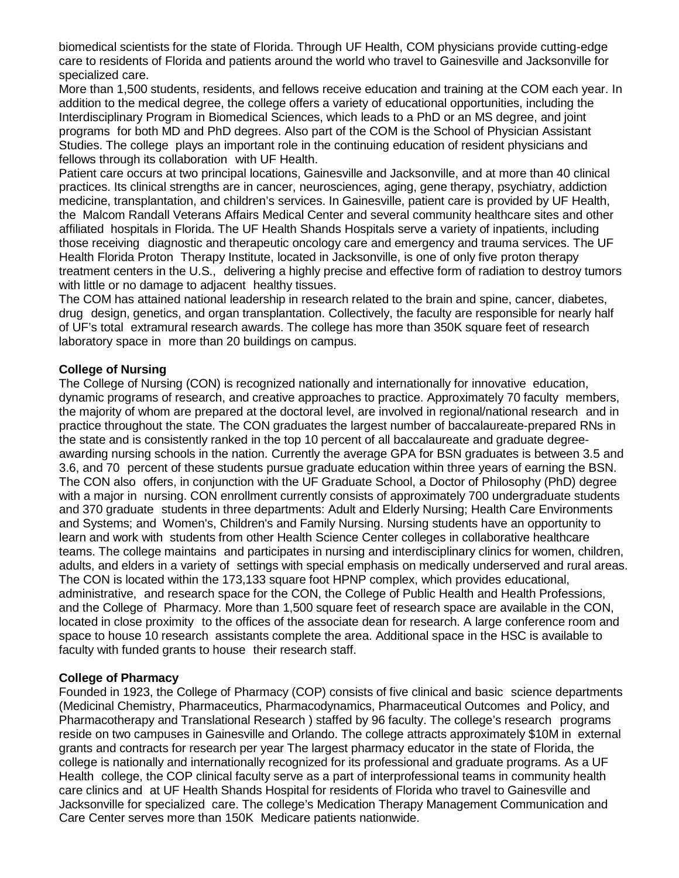biomedical scientists for the state of Florida. Through UF Health, COM physicians provide cutting-edge care to residents of Florida and patients around the world who travel to Gainesville and Jacksonville for specialized care.

More than 1,500 students, residents, and fellows receive education and training at the COM each year. In addition to the medical degree, the college offers a variety of educational opportunities, including the Interdisciplinary Program in Biomedical Sciences, which leads to a PhD or an MS degree, and joint programs for both MD and PhD degrees. Also part of the COM is the School of Physician Assistant Studies. The college plays an important role in the continuing education of resident physicians and fellows through its collaboration with UF Health.

Patient care occurs at two principal locations, Gainesville and Jacksonville, and at more than 40 clinical practices. Its clinical strengths are in cancer, neurosciences, aging, gene therapy, psychiatry, addiction medicine, transplantation, and children's services. In Gainesville, patient care is provided by UF Health, the Malcom Randall Veterans Affairs Medical Center and several community healthcare sites and other affiliated hospitals in Florida. The UF Health Shands Hospitals serve a variety of inpatients, including those receiving diagnostic and therapeutic oncology care and emergency and trauma services. The UF Health Florida Proton Therapy Institute, located in Jacksonville, is one of only five proton therapy treatment centers in the U.S., delivering a highly precise and effective form of radiation to destroy tumors with little or no damage to adjacent healthy tissues.

The COM has attained national leadership in research related to the brain and spine, cancer, diabetes, drug design, genetics, and organ transplantation. Collectively, the faculty are responsible for nearly half of UF's total extramural research awards. The college has more than 350K square feet of research laboratory space in more than 20 buildings on campus.

## **College of Nursing**

The College of Nursing (CON) is recognized nationally and internationally for innovative education, dynamic programs of research, and creative approaches to practice. Approximately 70 faculty members, the majority of whom are prepared at the doctoral level, are involved in regional/national research and in practice throughout the state. The CON graduates the largest number of baccalaureate-prepared RNs in the state and is consistently ranked in the top 10 percent of all baccalaureate and graduate degreeawarding nursing schools in the nation. Currently the average GPA for BSN graduates is between 3.5 and 3.6, and 70 percent of these students pursue graduate education within three years of earning the BSN. The CON also offers, in conjunction with the UF Graduate School, a Doctor of Philosophy (PhD) degree with a major in nursing. CON enrollment currently consists of approximately 700 undergraduate students and 370 graduate students in three departments: Adult and Elderly Nursing; Health Care Environments and Systems; and Women's, Children's and Family Nursing. Nursing students have an opportunity to learn and work with students from other Health Science Center colleges in collaborative healthcare teams. The college maintains and participates in nursing and interdisciplinary clinics for women, children, adults, and elders in a variety of settings with special emphasis on medically underserved and rural areas. The CON is located within the 173,133 square foot HPNP complex, which provides educational, administrative, and research space for the CON, the College of Public Health and Health Professions, and the College of Pharmacy. More than 1,500 square feet of research space are available in the CON, located in close proximity to the offices of the associate dean for research. A large conference room and space to house 10 research assistants complete the area. Additional space in the HSC is available to faculty with funded grants to house their research staff.

## **College of Pharmacy**

Founded in 1923, the College of Pharmacy (COP) consists of five clinical and basic science departments (Medicinal Chemistry, Pharmaceutics, Pharmacodynamics, Pharmaceutical Outcomes and Policy, and Pharmacotherapy and Translational Research ) staffed by 96 faculty. The college's research programs reside on two campuses in Gainesville and Orlando. The college attracts approximately \$10M in external grants and contracts for research per year The largest pharmacy educator in the state of Florida, the college is nationally and internationally recognized for its professional and graduate programs. As a UF Health college, the COP clinical faculty serve as a part of interprofessional teams in community health care clinics and at UF Health Shands Hospital for residents of Florida who travel to Gainesville and Jacksonville for specialized care. The college's Medication Therapy Management Communication and Care Center serves more than 150K Medicare patients nationwide.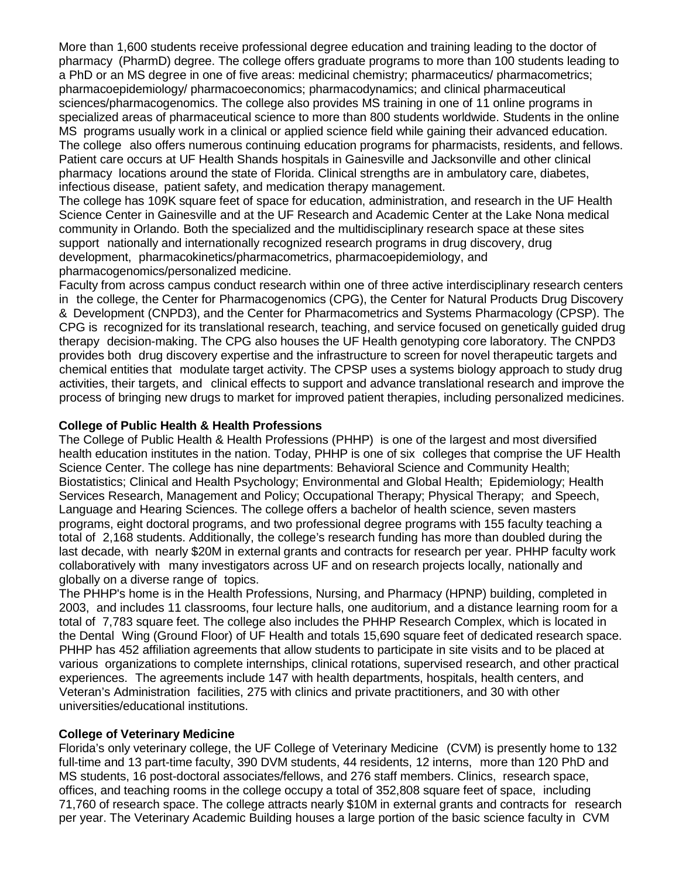More than 1,600 students receive professional degree education and training leading to the doctor of pharmacy (PharmD) degree. The college offers graduate programs to more than 100 students leading to a PhD or an MS degree in one of five areas: medicinal chemistry; pharmaceutics/ pharmacometrics; pharmacoepidemiology/ pharmacoeconomics; pharmacodynamics; and clinical pharmaceutical sciences/pharmacogenomics. The college also provides MS training in one of 11 online programs in specialized areas of pharmaceutical science to more than 800 students worldwide. Students in the online MS programs usually work in a clinical or applied science field while gaining their advanced education. The college also offers numerous continuing education programs for pharmacists, residents, and fellows. Patient care occurs at UF Health Shands hospitals in Gainesville and Jacksonville and other clinical pharmacy locations around the state of Florida. Clinical strengths are in ambulatory care, diabetes, infectious disease, patient safety, and medication therapy management.

The college has 109K square feet of space for education, administration, and research in the UF Health Science Center in Gainesville and at the UF Research and Academic Center at the Lake Nona medical community in Orlando. Both the specialized and the multidisciplinary research space at these sites support nationally and internationally recognized research programs in drug discovery, drug development, pharmacokinetics/pharmacometrics, pharmacoepidemiology, and pharmacogenomics/personalized medicine.

Faculty from across campus conduct research within one of three active interdisciplinary research centers in the college, the Center for Pharmacogenomics (CPG), the Center for Natural Products Drug Discovery & Development (CNPD3), and the Center for Pharmacometrics and Systems Pharmacology (CPSP). The CPG is recognized for its translational research, teaching, and service focused on genetically guided drug therapy decision-making. The CPG also houses the UF Health genotyping core laboratory. The CNPD3 provides both drug discovery expertise and the infrastructure to screen for novel therapeutic targets and chemical entities that modulate target activity. The CPSP uses a systems biology approach to study drug activities, their targets, and clinical effects to support and advance translational research and improve the process of bringing new drugs to market for improved patient therapies, including personalized medicines.

#### **College of Public Health & Health Professions**

The College of Public Health & Health Professions (PHHP) is one of the largest and most diversified health education institutes in the nation. Today, PHHP is one of six colleges that comprise the UF Health Science Center. The college has nine departments: Behavioral Science and Community Health; Biostatistics; Clinical and Health Psychology; Environmental and Global Health; Epidemiology; Health Services Research, Management and Policy; Occupational Therapy; Physical Therapy; and Speech, Language and Hearing Sciences. The college offers a bachelor of health science, seven masters programs, eight doctoral programs, and two professional degree programs with 155 faculty teaching a total of 2,168 students. Additionally, the college's research funding has more than doubled during the last decade, with nearly \$20M in external grants and contracts for research per year. PHHP faculty work collaboratively with many investigators across UF and on research projects locally, nationally and globally on a diverse range of topics.

The PHHP's home is in the Health Professions, Nursing, and Pharmacy (HPNP) building, completed in 2003, and includes 11 classrooms, four lecture halls, one auditorium, and a distance learning room for a total of 7,783 square feet. The college also includes the PHHP Research Complex, which is located in the Dental Wing (Ground Floor) of UF Health and totals 15,690 square feet of dedicated research space. PHHP has 452 affiliation agreements that allow students to participate in site visits and to be placed at various organizations to complete internships, clinical rotations, supervised research, and other practical experiences. The agreements include 147 with health departments, hospitals, health centers, and Veteran's Administration facilities, 275 with clinics and private practitioners, and 30 with other universities/educational institutions.

## **College of Veterinary Medicine**

Florida's only veterinary college, the UF College of Veterinary Medicine (CVM) is presently home to 132 full-time and 13 part-time faculty, 390 DVM students, 44 residents, 12 interns, more than 120 PhD and MS students, 16 post-doctoral associates/fellows, and 276 staff members. Clinics, research space, offices, and teaching rooms in the college occupy a total of 352,808 square feet of space, including 71,760 of research space. The college attracts nearly \$10M in external grants and contracts for research per year. The Veterinary Academic Building houses a large portion of the basic science faculty in CVM